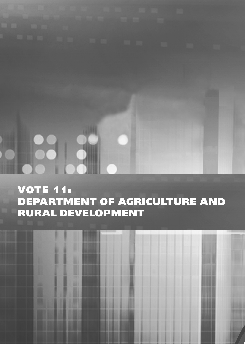# VOTE 11: DEPARTMENT OF AGRICULTURE AND RURAL DEVELOPMENT

51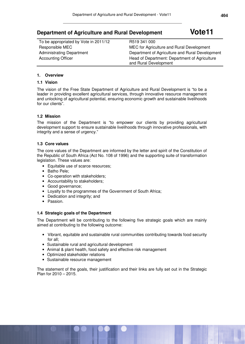## **Department of Agriculture and Rural Development Vote11**

| To be appropriated by Vote in 2011/12 | R519 341 000                                                           |
|---------------------------------------|------------------------------------------------------------------------|
| Responsible MEC                       | MEC for Agriculture and Rural Development                              |
| <b>Administrating Department</b>      | Department of Agriculture and Rural Development                        |
| <b>Accounting Officer</b>             | Head of Department: Department of Agriculture<br>and Rural Development |

#### **1. Overview**

#### **1.1 Vision**

The vision of the Free State Department of Agriculture and Rural Development is "to be a leader in providing excellent agricultural services, through innovative resource management and unlocking of agricultural potential, ensuring economic growth and sustainable livelihoods for our clients".

#### **1.2 Mission**

The mission of the Department is "to empower our clients by providing agricultural development support to ensure sustainable livelihoods through innovative professionals, with integrity and a sense of urgency."

#### **1.3 Core values**

The core values of the Department are informed by the letter and spirit of the Constitution of the Republic of South Africa (Act No. 108 of 1996) and the supporting suite of transformation legislation. These values are:

- Equitable use of scarce resources;
- Batho Pele;
- Co-operation with stakeholders;
- Accountability to stakeholders;
- Good governance;
- Loyalty to the programmes of the Government of South Africa;
- Dedication and integrity; and
- Passion.

#### **1.4 Strategic goals of the Department**

The Department will be contributing to the following five strategic goals which are mainly aimed at contributing to the following outcome:

- Vibrant, equitable and sustainable rural communities contributing towards food security for all;
- Sustainable rural and agricultural development
- Animal & plant health, food safety and effective risk management
- Optimized stakeholder relations
- Sustainable resource management

The statement of the goals, their justification and their links are fully set out in the Strategic Plan for 2010 – 2015.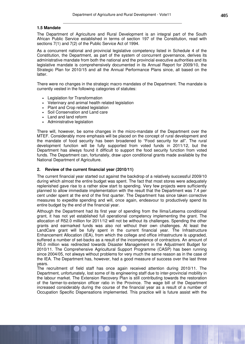#### **1.5 Mandate**

The Department of Agriculture and Rural Development is an integral part of the South African Public Service established in terms of section 197 of the Constitution, read with sections 7(1) and 7(2) of the Public Service Act of 1994.

As a concurrent national and provincial legislative competency listed in Schedule 4 of the Constitution, the Department, as part of the system of concurrent governance, derives its administrative mandate from both the national and the provincial executive authorities and its legislative mandate is comprehensively documented in its Annual Report for 2009/10, the Strategic Plan for 2010/15 and all the Annual Performance Plans since, all based on the latter.

There were no changes in the strategic macro mandates of the Department. The mandate is currently vested in the following categories of statutes:

- Legislation for Transformation
- Veterinary and animal health related legislation
- Plant and Crop related legislation
- Soil Conservation and Land care
- Land and land reform
- Administrative legislation

There will, however, be some changes in the micro-mandate of the Department over the MTEF. Considerably more emphasis will be placed on the concept of rural development and the mandate of food security has been broadened to "Food security for all". The rural development function will be fully supported from voted funds in 2011/12, but the Department has always found it difficult to support the food security function from voted funds. The Department can, fortunately, draw upon conditional grants made available by the National Department of Agriculture.

#### **2. Review of the current financial year (2010/11)**

The current financial year started out against the backdrop of a relatively successful 2009/10 during which almost the entire budget was spent. The fact that most stores were adequately replenished gave rise to a rather slow start to spending. Very few projects were sufficiently planned to allow immediate implementation with the result that the Department was 7.4 per cent under spent at the end of the first quarter. The Department has since taken corrective measures to expedite spending and will, once again, endeavour to productively spend its entire budget by the end of the financial year.

Although the Department had its first year of spending from the Ilima/Letsema conditional grant, it has not yet established full operational competency implementing the grant. The allocation of R52.0 million for 2011/12 will not be without its challenges. Spending the other grants and earmarked funds was also not without their own challenges. At least the LandCare grant will be fully spent in the current financial year. The Infrastructure Enhancement Allocation (IEA), from which the college and office infrastructure is upgraded, suffered a number of set-backs as a result of the incompetence of contractors. An amount of R5.0 million was redirected towards Disaster Management in the Adjustment Budget for 2010/11. The Comprehensive Agricultural Support Programme (CASP) has been running since 2004/05, not always without problems for very much the same reason as in the case of the IEA. The Department has, however, had a good measure of success over the last three years.

The recruitment of field staff has once again received attention during 2010/11. The Department, unfortunately, lost some of its engineering staff due to inter-provincial mobility in the labour market. The Extension Recovery Plan is still contributing towards the restoration of the farmer-to-extension officer ratio in the Province. The wage bill of the Department increased considerably during the course of the financial year as a result of a number of Occupation Specific Dispensations implemented. This practice will is future assist with the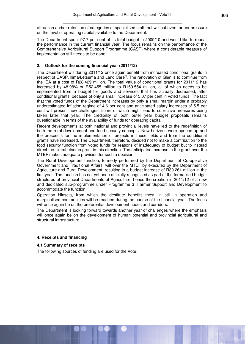attraction and/or retention of categories of specialised staff, but will put even further pressure on the level of operating capital available to the Department.

The Department spent 97.7 per cent of its total budget in 2009/10 and would like to repeat the performance in the current financial year. The focus remains on the performance of the Comprehensive Agricultural Support Programme (CASP) where a considerable measure of implementation still needs to be done.

#### **3. Outlook for the coming financial year (2011/12)**

The Department will during 2011/12 once again benefit from increased conditional grants in respect of CASP, Ilima/Letsema and Land Care®. The renovation of Glen is to continue from the IEA at a cost of R28.429 million. The total value of conditional grants for 2011/12 has increased by 48.98% or R52.455 million to R159.554 million, all of which needs to be implemented from a budget for goods and services that has actually decreased, after conditional grants, because of only a small increase of 5.07 per cent in voted funds. The fact that the voted funds of the Department increases by only a small margin under a probably underestimated inflation regime of 4.6 per cent and anticipated salary increases of 5.5 per cent will present new challenges, some of which might lead to corrective measures being taken later that year. The credibility of both outer year budget proposals remains questionable in terms of the availability of funds for operating capital.

Recent developments at both national and provincial levels have led to the redefinition of both the rural development and food security concepts. New horizons were opened up and the prospects for the implementation of projects in these fields and from the conditional grants have increased. The Department, therefore, decided not to make a contribution to the food security function from voted funds for reasons of inadequacy of budget but to instead direct the Ilima/Letsema grant in this direction. The anticipated increase in the grant over the MTEF makes adequate provision for such a decision.

The Rural Development function, formerly performed by the Department of Co-operative Government and Traditional Affairs, will over the MTEF by executed by the Department of Agriculture and Rural Development, resulting in a budget increase of R30.261 million in the first year. The function has not yet been officially recognised as part of the formalised budget structures of provincial Departments of Agriculture, hence the creation in 2011/12 of a new and dedicated sub-programme under Programme 3: Farmer Support and Development to accommodate the function.

Operation Hlasela, from which the destitute benefits most, in still in operation and marginalised communities will be reached during the course of the financial year. The focus will once again be on the preferential development nodes and corridors.

The Department is looking forward towards another year of challenges where the emphasis will once again be on the development of human potential and provincial agricultural and structural infrastructure.

#### **4. Receipts and financing**

#### **4.1 Summary of receipts**

The following sources of funding are used for the Vote: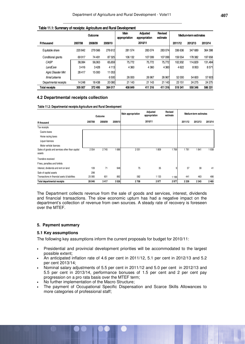| <u>Fable This Odininal y or receipts. Agriculture and human Development</u> |         |                                         |         |         |                                  |         |                       |         |         |
|-----------------------------------------------------------------------------|---------|-----------------------------------------|---------|---------|----------------------------------|---------|-----------------------|---------|---------|
|                                                                             |         | <b>Main</b><br>Outcome<br>appropriation |         |         | <b>Adiusted</b><br>appropriation |         | Medium-term estimates |         |         |
| <b>R</b> thousand                                                           | 2007/08 | 2008/09                                 | 2009/10 |         | 2010/11                          |         | 2011/12               | 2012/13 | 2013/14 |
| Equitable share                                                             | 220 842 | 279 566                                 | 276612  | 281 574 | 283074                           | 283074  | 336 636               | 347689  | 364 398 |
| Conditional grants                                                          | 69917   | 74 491                                  | 87325   | 106 132 | 107 099                          | 107099  | 159 554               | 178 382 | 197658  |
| CASP                                                                        | 38.084  | 56,063                                  | 65,659  | 75,772  | 75,772                           | 75,772  | 102.932               | 114.829 | 131,484 |
| LandCare                                                                    | 3416    | 3428                                    | 4113    | 4 3 6 0 | 4 3 6 0                          | 4 3 6 0 | 4622                  | 8953    | 8571    |
| <b>Agric Disaster Mnt</b>                                                   | 28417   | 15 000                                  | 11053   |         |                                  |         |                       |         |         |
| llima/Letsema                                                               |         |                                         | 6500    | 26 000  | 26 967                           | 26 967  | 52 000                | 54 600  | 57603   |
| Departmental receipts                                                       | 14 24 8 | 18438                                   | 20 080  | 21 1 43 | 21 143                           | 21 1 43 | 23 15 1               | 24 275  | 24 275  |
| <b>Total receipts</b>                                                       | 305 007 | 372495                                  | 384017  | 408 849 | 411 316                          | 411 316 | 519341                | 550346  | 586 331 |

#### **Table 11.1: Summary of receipts: Agriculture and Rural Development**

#### **4.2 Departmental receipts collection**

**Table 11.2: Departmental receipts:Agriculture and Rural Development**

|                                                          |         | Outcome |         | Main appropriation | Adjusted<br>appropriation | Revised<br>estimate | Medium-term estimates |         |         |
|----------------------------------------------------------|---------|---------|---------|--------------------|---------------------------|---------------------|-----------------------|---------|---------|
| R thousand                                               | 2007/08 | 2008/09 | 2009/10 |                    | 2010/11                   |                     | 2011/12               | 2012/13 | 2013/14 |
| Tax receipts                                             |         |         |         |                    |                           |                     |                       |         |         |
| Casino taxes                                             |         |         |         |                    |                           |                     |                       |         |         |
| Horse racing taxes                                       |         |         |         |                    |                           |                     |                       |         |         |
| Liquor licences                                          |         |         |         |                    |                           |                     |                       |         |         |
| Motor vehicle licences                                   |         |         |         |                    |                           |                     |                       |         |         |
| Sales of goods and services other than capital<br>assets | 2554    | 2745    | 1686    | 2051               | 1809                      | 1769                | 1761                  | 1841    | 1938    |
| Transfers received                                       |         |         |         |                    |                           |                     |                       |         |         |
| Fines, penalties and forfeits                            |         |         |         |                    |                           |                     |                       |         |         |
| Interest, dividends and rent on land                     | 109     | 71      | 948     | 75                 | 35                        | 9                   | 37                    | 39      | 41      |
| Sale of capital assets                                   | 298     |         |         |                    |                           |                     |                       |         |         |
| Transactions in financial asets & liabilities            | 25 0 85 | 601     | 892     | 582                | 1 1 3 3                   | 1 1 9 9             | 441                   | 463     | 486     |
| <b>Total departmental receipts</b>                       | 28 046  | 3417    | 3526    | 2708               | 2977                      | 2977                | 2 2 3 9               | 2343    | 2465    |

The Department collects revenue from the sale of goods and services, interest, dividends and financial transactions. The slow economic upturn has had a negative impact on the department's collection of revenue from own sources. A steady rate of recovery is foreseen over the MTEF.

#### **5. Payment summary**

#### **5.1 Key assumptions**

The following key assumptions inform the current proposals for budget for 2010/11:

- Presidential and provincial development priorities will be accommodated to the largest possible extent;
- An anticipated inflation rate of 4.6 per cent in 2011/12, 5.1 per cent in 2012/13 and 5.2 per cent 2013/14;
- Nominal salary adjustments of 5.5 per cent in 2011/12 and 5.0 per cent in 2012/13 and 5.5 per cent in 2013/14, performance bonuses of 1.5 per cent and 2 per cent pay progression on a pro rata basis over the MTEF term;
- No further implementation of the Macro Structure;
- The payment of Occupational Specific Dispensation and Scarce Skills Allowances to more categories of professional staff;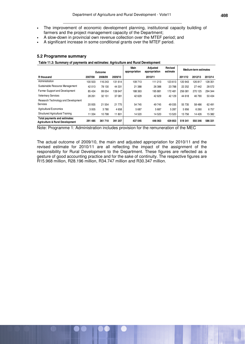- The improvement of economic development planning, institutional capacity building of farmers and the project management capacity of the Department;
- A slow-down in provincial own revenue collection over the MTEF period; and
- A significant increase in some conditional grants over the MTEF period.

#### **5.2 Programme summary**

**Table 11.3: Summary of payments and estimates: Agriculture and Rural Development**

|                                                                  |         |         |         | Main          | <b>Adjusted</b> | Revised  |         | Medium-term estimates |         |
|------------------------------------------------------------------|---------|---------|---------|---------------|-----------------|----------|---------|-----------------------|---------|
|                                                                  |         | Outcome |         | appropriation | appropriation   | estimate |         |                       |         |
| R thousand                                                       | 2007/08 | 2008/09 | 2009/10 |               | 2010/11         |          | 2011/12 | 2012/13               | 2013/14 |
| Administration                                                   | 100 503 | 116 243 | 131 614 | 109 713       | 111 213         | 123 613  | 120 943 | 126 817               | 128 351 |
| Sustainable Resource Management                                  | 42 013  | 78 130  | 44 331  | 21 388        | 26 388          | 23788    | 22 25 2 | 27 442                | 28 572  |
| Farmer Support and Development                                   | 85 4 34 | 99 0 54 | 139 947 | 188 363       | 195 881         | 172481   | 256 081 | 270 125               | 294 344 |
| <b>Veterinary Services</b>                                       | 28 261  | 32 151  | 37 081  | 42 629        | 42 629          | 42 129   | 44 618  | 46 790                | 50 434  |
| Research Technology and Development                              |         |         |         |               |                 |          |         |                       |         |
| Services                                                         | 20 935  | 21 5 54 | 21 775  | 54 745        | 49 745          | 49 0 35  | 55 735  | 58 486                | 62 491  |
| <b>Agricultural Economics</b>                                    | 3005    | 3780    | 4658    | 5687          | 5 6 8 7         | 5 2 8 7  | 5956    | 6 2 6 0               | 6757    |
| Structured Agricultural Training                                 | 11 3 34 | 10798   | 11801   | 14 5 20       | 14 520          | 13520    | 13756   | 14 4 26               | 15 3 82 |
| Total payments and estimates:<br>Agriculture & Rural Development | 291 485 | 361 710 | 391 207 | 437 045       | 446 063         | 429 853  | 519341  | 550 346               | 586 331 |

Note: Programme 1: Administration includes provision for the remuneration of the MEC

The actual outcome of 2009/10, the main and adjusted appropriation for 2010/11 and the revised estimate for 2010/11 are all reflecting the impact of the assignment of the responsibility for Rural Development to the Department. These figures are reflected as a gesture of good accounting practice and for the sake of continuity. The respective figures are R15.968 million, R28.196 million, R34.747 million and R30.347 million.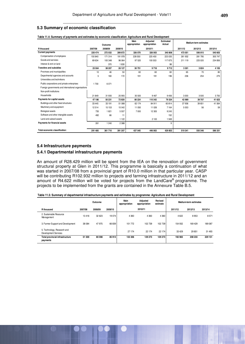#### **5.3 Summary of economic classification**

|                                                     |         | Outcome |         | Main<br>appropriation | Adjusted<br>appropriation | <b>Estimated</b><br>Actual |         | Medium-term estimates |         |
|-----------------------------------------------------|---------|---------|---------|-----------------------|---------------------------|----------------------------|---------|-----------------------|---------|
| R thousand                                          | 2007/08 | 2008/09 | 2009/10 |                       | 2010/11                   |                            | 2011/12 | 2012/13               | 2013/14 |
| <b>Current payments</b>                             | 220 474 | 272 032 | 289872  | 326 070               | 326 003                   | 340 808                    | 473 051 | 506 815               | 540 603 |
| Compensation of employees                           | 150 840 | 171 314 | 191 978 | 228 550               | 225 450                   | 223 035                    | 261 932 | 281 795               | 305 747 |
| Goods and services                                  | 69 634  | 100 348 | 96 064  | 97 520                | 100 553                   | 117 675                    | 211 119 | 225 020               | 234 856 |
| Interest & rent on land                             |         | 370     | 1830    |                       |                           | 98                         |         |                       |         |
| <b>Transfers and subsidies</b>                      | 23 5 64 | 38 207  | 26 1 27 | 30 751                | 9718                      | 9712                       | 3 3 0 1 | 3824                  | 4 1 0 5 |
| Provinces and municipalities                        | 10      | 46      | 50      | 60                    | 60                        | 60                         | 65      | 70                    | 80      |
| Departmental agencies and accounts                  | 5       | 160     | 172     | 191                   | 191                       | 196                        | 236     | 254                   | 275     |
| Universities and technikons                         |         |         |         |                       |                           |                            |         |                       |         |
| Public corporations and private enterprises         | 1 700   | 6071    |         |                       |                           |                            |         |                       |         |
| Foreign governments and international organisations |         |         |         |                       |                           |                            |         |                       |         |
| Non-profit institutions                             |         |         |         |                       |                           |                            |         |                       |         |
| Households                                          | 21849   | 31 930  | 25 905  | 30 500                | 9467                      | 9456                       | 3 0 0 0 | 3500                  | 3750    |
| Payments for capital assets                         | 47 186  | 50 231  | 72820   | 80 224                | 110 342                   | 79 324                     | 42 989  | 39 707                | 41 623  |
| Buildings and other fixed structures                | 33 4 45 | 33 191  | 51 088  | 62 174                | 84 911                    | 60814                      | 37936   | 39 651                | 41 564  |
| Machinery and equipment                             | 12514   | 15 15 3 | 15 04 2 | 11 050                | 11 0 26                   | 7164                       | 5053    | 56                    | 59      |
| <b>Biological assets</b>                            | 735     | 1821    | 5557    | 7 000                 | 12 30 5                   | 9 2 4 5                    |         |                       |         |
| Software and other intangible assets                | 492     | 66      | 11      |                       |                           | 152                        |         |                       |         |
| Land and subsoil assets                             |         |         | 1122    |                       | 2100                      | 1949                       |         |                       |         |
| Payments for financial assets                       | 261     | 1 2 4 0 | 2 3 8 8 |                       |                           | 9                          |         |                       |         |
| Total economic classification:                      | 291 485 | 361710  | 391 207 | 437 045               | 446 063                   | 429 853                    | 519 341 | 550 346               | 586 331 |

#### **Table 11.4: Summary of payments and estimates by economic classification: Agriculture and Rural Development**

#### **5.4 Infrastructure payments**

#### **5.4.1 Departmental infrastructure payments**

An amount of R28.429 million will be spent from the IEA on the renovation of government structural property at Glen in 2011/12. This programme is basically a continuation of what was started in 2007/08 from a provincial grant of R10.0 million in that particular year. CASP will be contributing R102.932 million to projects and farming infrastructure in 2011/12 and an amount of R4.622 million will be voted for projects from the LandCare® programme. The projects to be implemented from the grants are contained in the Annexure Table B.5.

| Table 11.5: Summary of departmental infrastructure payments and estimates by programme: Agriculture and Rural Development |  |
|---------------------------------------------------------------------------------------------------------------------------|--|
|---------------------------------------------------------------------------------------------------------------------------|--|

|                                                     |         | Outcome |         | Main<br>appropriation | Adjusted<br>appropriation | Medium-term estimates |         |         |         |
|-----------------------------------------------------|---------|---------|---------|-----------------------|---------------------------|-----------------------|---------|---------|---------|
| R thousand                                          | 2007/08 | 2008/09 | 2009/10 |                       | 2010/11                   |                       | 2011/12 | 2012/13 | 2013/14 |
| 2. Sustainable Resource<br>Management               | 13416   | 32 623  | 19 0 74 | 4 3 6 0               | 4 3 6 0                   | 4 3 6 0               | 4622    | 8953    | 8571    |
| 3. Farmer Support and Development                   | 38 084  | 47 975  | 66 839  | 101 772               | 102 739                   | 102 739               | 154 932 | 169 429 | 189 087 |
| 5. Technology, Research and<br>Development Services |         |         |         | 27 174                | 22 174                    | 22 174                | 33 4 29 | 29 851  | 31 493  |
| <b>Total provincial infrastructure</b><br>payments  | 51 500  | 80 598  | 85 913  | 133 306               | 129 273                   | 129 273               | 192 983 | 208 233 | 229 151 |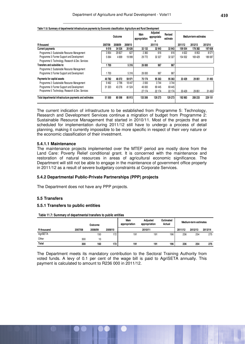|                                                          |         | Outcome |         | Main<br>appropriation | Adjusted<br>appropriatio<br>n | Revised<br>estimate |         | Medium-term estimates |         |
|----------------------------------------------------------|---------|---------|---------|-----------------------|-------------------------------|---------------------|---------|-----------------------|---------|
| R thousand                                               | 2007/08 | 2008/09 | 2009/10 |                       | 201/110                       |                     | 2011/12 | 2012/13               | 2013/14 |
| <b>Current payments</b>                                  | 9018    | 34 5 26 | 20 6 26 | 32 132                | 32 943                        | 32 943              | 159 554 | 178 382               | 197 658 |
| Programme 2: Sustainable Resource Management             | 3954    | 29 827  | 627     | 2 3 6 0               | 616                           | 616                 | 4622    | 8953                  | 8571    |
| Programme 3: Farmer Support and Development              | 5 0 64  | 4699    | 19 999  | 29772                 | 32 327                        | 32 327              | 154 932 | 169 429               | 189 087 |
| Programme 5: Technology, Research & Dev. Services        |         |         |         |                       |                               |                     |         |                       |         |
| Transfers and subsidies to:                              | 1700    |         | 5316    | 26 000                | 967                           | 967                 |         |                       |         |
| Programme 2: Sustainable Resource Management             |         |         |         |                       |                               |                     |         |                       |         |
| Programme 3: Farmer Support and Development              | 700     |         | 5316    | 26 000                | 967                           | 967                 |         |                       |         |
| Payments for capital assets                              | 40782   | 46 072  | 59 971  | 75 174                | 95 363                        | 95 363              | 33 4 29 | 29 851                | 31 493  |
| Programme 2: Sustainable Resource Management             | 9462    | 2796    | 18 447  | 2000                  | 3744                          | 3744                |         |                       |         |
| Programme 3: Farmer Support and Development              | 31 320  | 43 276  | 41 524  | 46 000                | 69 445                        | 69 445              |         |                       |         |
| Programme 5: Technology, Research & Dev. Services        |         |         |         | 27 174                | 22 174                        | 22 174              | 33 4 29 | 29 851                | 31 493  |
| Total departmental infrastructure payments and estimates | 51 500  | 80 598  | 85 913  | 133 306               | 129 273                       | 129 273             | 192 983 | 208 233               | 229 151 |

**Table 11.6: Summary of departmental infrastructure payments by Economic classification: Agriculture and Rural Development**

The current indication of infrastructure to be established from Programme 5: Technology, Research and Development Services continue a migration of budget from Programme 2: Sustainable Resource Management that started in 2010/11. Most of the projects that are scheduled for implementation during 2011/12 still have to undergo a process of detail planning, making it currently impossible to be more specific in respect of their very nature or the economic classification of their investment.

#### **5.4.1.1 Maintenance**

The maintenance projects implemented over the MTEF period are mostly done from the Land Care: Poverty Relief conditional grant. It is concerned with the maintenance and restoration of natural resources in areas of agricultural economic significance. The Department will still not be able to engage in the maintenance of government office property in 2011/12 as a result of severe budgetary constraints at Corporate Services.

#### **5.4.2 Departmental Public-Private Partnerships (PPP) projects**

The Department does not have any PPP projects.

#### **5.5 Transfers**

#### **5.5.1 Transfers to public entities**

**Table 11.7: Summary of departmental transfers to public entities**

|            |         | Outcome |         | Main<br>appropriation |         | Medium-term estimates |         |         |         |
|------------|---------|---------|---------|-----------------------|---------|-----------------------|---------|---------|---------|
| R thousand | 2007/08 | 2008/09 | 2009/10 |                       | 2010/11 |                       | 2011/12 | 2012/13 | 2013/14 |
| AgriSETA   |         | 150     | 172     | 191                   | 191     | 196                   | 236     | 254     | 275     |
| Other      | 300     | 10      |         |                       |         |                       |         |         |         |
| Total      | 300     | 160     | 172     | 191                   | 191     | 196                   | 236     | 254     | 275     |

The Department meets its mandatory contribution to the Sectoral Training Authority from voted funds. A levy of 0.1 per cent of the wage bill is paid to AgriSETA annually. This payment is calculated to amount to R236 000 in 2011/12.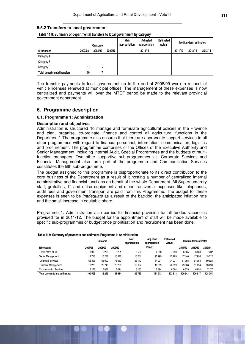#### **5.5.2 Transfers to local government**

**Table 11.8: Summary of departmental transfers to local government by category**

|                                     |         | Outcome |         | Main<br>appropriation | Adjusted<br>appropriation | <b>Estimated</b><br>Actual |         | Medium-term estimates |         |
|-------------------------------------|---------|---------|---------|-----------------------|---------------------------|----------------------------|---------|-----------------------|---------|
| <b>R</b> thousand                   | 2007/08 | 2008/09 | 2009/10 |                       | 2010/11                   |                            | 2011/12 | 2012/13               | 2013/14 |
| Category A                          |         |         |         |                       |                           |                            |         |                       |         |
| Category B                          |         |         |         |                       |                           |                            |         |                       |         |
| Category C                          | 10      |         |         |                       |                           |                            |         |                       |         |
| <b>Total departmental transfers</b> | 10      |         |         |                       |                           |                            |         |                       |         |

The transfer payments to local government up to the end of 2008/09 were in respect of vehicle licenses renewed at municipal offices. The management of these expenses is now centralized and payments will over the MTEF period be made to the relevant provincial government department.

#### **6. Programme description**

#### **6.1. Programme 1: Administration**

#### **Description and objectives**

Administration is structured "to manage and formulate agricultural policies in the Province and plan, organise, co-ordinate, finance and control all agricultural functions in the Department". The programme also ensures that there are appropriate support services to all other programmes with regard to finance, personnel, information, communication, logistics and procurement. The programme comprises of the Offices of the Executive Authority and Senior Management, including Internal Audit, Special Programmes and the budgets of multifunction managers. Two other supportive sub-programmes viz. Corporate Services and Financial Management also form part of the programme and Communication Services constitutes the fifth sub-programme.

The budget assigned to this programme is disproportionate to its direct contribution to the core business of the Department as a result of it hosting a number of centralized internal administrative and financial functions on behalf of the whole Department. All Supernumerary staff, gratuities, IT and office equipment and other transversal expenses like telephones, audit fees and government transport are paid from this Programme. The budget for these expenses is seen to be inadequate as a result of the backlog, the anticipated inflation rate and the small increase in equitable share.

Programme 1: Administration also carries for financial provision for all funded vacancies provided for in 2011/12. The budget for the appointment of staff will be made available to specific sub-programmes of budget once prioritisation and recruitment has been done.

|                               | Outcome |         |         | Main<br>appropriation | <b>Adiusted</b><br>appropriation | <b>Estimated</b><br>Actual | Medium-term estimates |         |         |
|-------------------------------|---------|---------|---------|-----------------------|----------------------------------|----------------------------|-----------------------|---------|---------|
| R thousand                    | 2007/08 | 2008/09 | 2009/10 |                       | 2010/11                          |                            | 2011/12               | 2012/13 | 2013/14 |
| Office of the MEC             | 3980    | 6 20 6  | 6 2 0 1 | 6590                  | 6590                             | 7090                       | 6565                  | 6863    | 7432    |
| Senior Management             | 12718   | 15 2 38 | 16 546  | 15741                 | 15799                            | 15 299                     | 17 140                | 17 996  | 19522   |
| Corporate Services            | 62 30 6 | 63 002  | 75 633  | 63 172                | 64 231                           | 74 231                     | 61 093                | 64 054  | 60 924  |
| <b>Financial Management</b>   | 16226   | 25 745  | 28 2 20 | 19 0 57               | 18 9 9 9                         | 20899                      | 29 5 66               | 31 054  | 33 296  |
| <b>Communication Services</b> | 5273    | 6052    | 5014    | 5 1 5 3               | 5594                             | 6094                       | 6579                  | 6850    | 7177    |
| Total payments and estimates: | 100 503 | 116 243 | 131 614 | 109713                | 111 213                          | 123 613                    | 120 943               | 126 817 | 128 351 |

#### **Table 11.9: Summary of payments and estimates:Programme 1: Administration**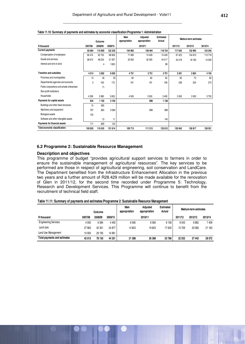|                                             |         | Outcome |         | Main<br>appropriation | Adjusted<br>appropriation | <b>Estimated</b><br>Actual |         | Medium-term estimates |         |
|---------------------------------------------|---------|---------|---------|-----------------------|---------------------------|----------------------------|---------|-----------------------|---------|
| R thousand                                  | 2007/08 | 2008/09 | 2009/10 |                       | 2010/11                   |                            | 2011/12 | 2012/13               | 2013/14 |
| <b>Current payments</b>                     | 95 084  | 110 959 | 122 335 | 104 962               | 106 464                   | 118724                     | 117 642 | 122 993               | 124 246 |
| Compensation of employees                   | 56 474  | 62700   | 68 908  | 71 909                | 74 409                    | 74 409                     | 97 423  | 104 810               | 113718  |
| Goods and services                          | 38 610  | 48 255  | 51 597  | 33 053                | 32 055                    | 44 217                     | 20 219  | 18 18 3               | 10528   |
| Interest and rent on land                   |         | 4       | 1830    |                       |                           | 98                         |         |                       |         |
| <b>Transfers and subsidies</b>              | 4314    | 3 2 6 2 | 6 0 5 5 | 4751                  | 3751                      | 3751                       | 3 3 0 1 | 3824                  | 4105    |
| Provinces and municipalities                | 10      | 46      | 50      | 60                    | 60                        | 60                         | 65      | 70                    | 80      |
| Departmental agencies and accounts          | 5       | 160     | 172     | 191                   | 191                       | 196                        | 236     | 254                   | 275     |
| Public corporations and private enterprises |         | 71      |         |                       |                           |                            |         |                       |         |
| Non-profit institutions                     |         |         |         |                       |                           |                            |         |                       |         |
| Households                                  | 4 2 9 9 | 2985    | 5833    | 4500                  | 3500                      | 3495                       | 3 0 0 0 | 3500                  | 3750    |
| Payments for capital assets                 | 934     | 1 1 9 3 | 3 100   |                       | 998                       | 1 1 3 8                    |         |                       |         |
| Buildings and other fixed structures        | 15      | 360     | ٠       |                       |                           |                            |         |                       |         |
| Machinery and equipment                     | 767     | 820     | 3089    |                       | 998                       | 998                        |         |                       |         |
| <b>Biological assets</b>                    | 152     |         |         |                       |                           |                            |         |                       |         |
| Software and other intangible assets        |         | 13      | 11      |                       |                           | 140                        |         |                       |         |
| Payments for financial assets               | 171     | 829     | 124     |                       |                           |                            |         |                       |         |
| Total economic classification:              | 100 503 | 116 243 | 131 614 | 109713                | 111 213                   | 123 613                    | 120 943 | 126 817               | 128 351 |

#### **Table 11.10: Summary of payments and estimates by economic classification:Programme 1: Administration**

#### **6.2 Programme 2: Sustainable Resource Management**

#### **Description and objectives**

This programme of budget "provides agricultural support services to farmers in order to ensure the sustainable management of agricultural resources". The key services to be performed are those in respect of agricultural engineering, soil conservation and LandCare. The Department benefited from the Infrastructure Enhancement Allocation in the previous two years and a further amount of R28.429 million will be made available for the renovation of Glen in 2011/12, for the second time recorded under Programme 5: Technology, Research and Development Services. This Programme will continue to benefit from the recruitment of technical field staff.

|  |  | Table 11.11: Summary of payments and estimates: Programme 2: Sustainable Resource Management |  |  |  |
|--|--|----------------------------------------------------------------------------------------------|--|--|--|
|--|--|----------------------------------------------------------------------------------------------|--|--|--|

|                              |         | Outcome |         | Main<br>appropriation | Adiusted<br>appropriation | <b>Estimated</b><br>Actual |         | Medium-term estimates |         |
|------------------------------|---------|---------|---------|-----------------------|---------------------------|----------------------------|---------|-----------------------|---------|
| R thousand                   | 2007/08 | 2008/09 | 2009/10 |                       | 2010/11                   |                            | 2011/12 | 2012/13               | 2013/14 |
| <b>Engineering Services</b>  | 4 0 5 0 | 6584    | 4 4 9 3 | 6565                  | 6565                      | 6 1 5 8                    | 6543    | 6862                  | 7409    |
| Land care                    | 27963   | 42 351  | 24 877  | 14823                 | 19823                     | 17630                      | 15709   | 20 580                | 21 163  |
| Land Use Management          | 10 000  | 29 195  | 14 961  |                       |                           |                            |         |                       |         |
| Total payments and estimates | 42 013  | 78 130  | 44 331  | 21 388                | 26 388                    | 23788                      | 22 25 2 | 27 442                | 28 572  |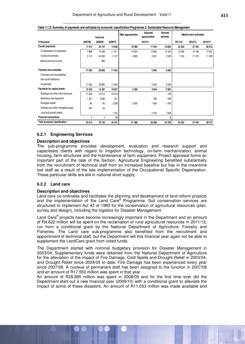|                                      |         | Outcome |         | Main appropriation | Adjusted<br>appropriation | Revised<br>estimate |         | Medium-term estimates |         |
|--------------------------------------|---------|---------|---------|--------------------|---------------------------|---------------------|---------|-----------------------|---------|
| R thousand                           | 2007/08 | 2008/09 | 2009/10 |                    | 2010/11                   |                     | 2011/12 | 2012/13               | 2013/14 |
| <b>Current payments</b>              | 11 010  | 35 747  | 13 638  | 19 3 88            | 17444                     | 16826               | 22 25 2 | 27 442                | 28 5 72 |
| Compensation of employees            | 7898    | 10448   | 11 511  | 14823              | 14823                     | 14 3 23             | 15 0 28 | 16 168                | 17542   |
| Goods and services                   | 3 1 1 2 | 24 933  | 2 1 2 7 | 4565               | 2621                      | 2 5 0 3             | 7 2 2 4 | 11 274                | 11 0 30 |
| Interest and rent on land            |         | 366     |         |                    |                           |                     |         |                       |         |
|                                      |         |         |         |                    |                           |                     |         |                       |         |
| <b>Transfers and subsidies</b>       | 17 550  | 28 895  | 11 053  |                    | 5 0 0 0                   | 3 000               |         |                       |         |
| Provinces and municipalities         |         |         |         |                    |                           |                     |         |                       |         |
| Non-profit institutions              |         |         |         |                    |                           |                     |         |                       |         |
| Households                           | 17550   | 28 8 95 | 11 053  |                    | 5 0 0 0                   | 3000                |         |                       |         |
| Payments for capital assets          | 13 452  | 13 487  | 19627   | 2 0 0 0            | 3944                      | 3 9 6 0             |         |                       |         |
| Buildings and other fixed structures | 11 553  | 10314   | 15418   |                    |                           | 169                 |         |                       |         |
| Machinery and equipment              | 1 327   | 3085    | 751     |                    | 789                       | 599                 |         |                       |         |
| <b>Biological assets</b>             | 85      | 45      | 2 3 3 6 | 2000               | 1055                      | 1 2 4 3             |         |                       |         |
| Software and other intangible assets | 487     | 43      |         |                    |                           |                     |         |                       |         |
| Land and subsoil assets              |         |         | 1 1 2 2 |                    | 2 100                     | 1949                |         |                       |         |
| <b>Financial transactions</b>        |         |         | 13      |                    |                           | 2                   |         |                       |         |
| Total economic classification:       | 42 013  | 78 130  | 44 331  | 21 388             | 26 388                    | 23788               | 22 252  | 27 442                | 28 5 72 |

|  |  |  | Table 11.12: Summary of payments and estimates by economic classification: Programme 2: Sustainable Resource Management |
|--|--|--|-------------------------------------------------------------------------------------------------------------------------|
|--|--|--|-------------------------------------------------------------------------------------------------------------------------|

#### **6.2.1 Engineering Services**

#### **Description and objectives**

The sub-programme provides development, evaluation and research support and capacitates clients with regard to irrigation technology, on-farm mechanization, animal housing, farm structures and the maintenance of farm equipment. Project appraisal forms an important part of the task of the Section. Agricultural Engineering benefited substantially from the recruitment of technical staff from an increased baseline but has in the meantime lost staff as a result of the late implementation of the Occupational Specific Dispensation. These particular skills are still in national short supply.

#### **6.2.2 Land care**

#### **Description and objectives**

Land care co-ordinates and facilitates the planning and development of land reform projects and the implementation of the Land Care® Programme. Soil conservation services are structured to implement Act 43 of 1983 for the conservation of agricultural resources (plan, survey and design), including the logistics for Disaster Management.

Land Care<sup>®</sup> projects have become increasingly important in the Department and an amount of R4.622 million will be spent on the reclamation of rural agricultural resources in 2011/12, run from a conditional grant by the National Department of Agriculture, Forestry and Fisheries. The Land care sub-programme also benefited from the recruitment and appointment of technical staff, but the Department will this financial year again not be able to supplement the LandCare grant from voted funds.

The Department started with nominal budgetary provision for Disaster Management in 2003/04. Supplementary funds were obtained from the National Department of Agriculture for the alleviation of the impact of Fire Damage, Cold Spells and Drought Relief in 2003/04, and Drought Relief since 2004/05 to date. Fire Damage has been experienced every year since 2007/08. A nucleus of permanent staff has been assigned to the function in 2007/08 and an amount of R17.550 million was spent in that year.

An amount of R28.895 million was spent in 2008/09 and for the first time ever did the Department start out a new financial year (2009/10) with a conditional grant to alleviate the impact of some of these disasters. An amount of R11.053 million was made available and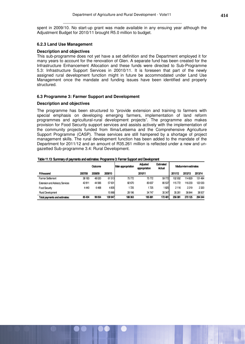spent in 2009/10. No start-up grant was made available in any ensuing year although the Adjustment Budget for 2010/11 brought R5.0 million to budget.

#### **6.2.3 Land Use Management**

#### **Description and objectives**

This sub-programme does not yet have a set definition and the Department employed it for many years to account for the renovation of Glen. A separate fund has been created for the Infrastructure Enhancement Allocation and these funds were directed to Sub-Programme 5.3: Infrastructure Support Services in 20010/11. It is foreseen that part of the newly assigned rural development function might in future be accommodated under Land Use Management once the mandate and funding issues have been identified and properly structured.

#### **6.3 Programme 3: Farmer Support and Development**

#### **Description and objectives**

The programme has been structured to "provide extension and training to farmers with special emphasis on developing emerging farmers, implementation of land reform programmes and agricultural-rural development projects". The programme also makes provision for Food Security support services and assists actively with the implementation of the community projects funded from Ilima/Letsema and the Comprehensive Agriculture Support Programme (CASP). These services are still hampered by a shortage of project management skills. The rural development function has been added to the mandate of the Department for 2011/12 and an amount of R35.261 million is reflected under a new and ungazetted Sub-programme 3.4: Rural Development.

|  |  |  | Table 11.13: Summary of payments and estimates: Programme 3: Farmer Support and Development |  |  |  |  |  |
|--|--|--|---------------------------------------------------------------------------------------------|--|--|--|--|--|
|--|--|--|---------------------------------------------------------------------------------------------|--|--|--|--|--|

|                                        |         | Outcome |         | Main appropriation | Adiusted<br>appropriation | <b>Estimated</b><br>Actual |         | <b>Medium-termestimates</b> |         |
|----------------------------------------|---------|---------|---------|--------------------|---------------------------|----------------------------|---------|-----------------------------|---------|
| Rthousand                              | 2007/08 | 2008/09 | 2009/10 |                    | 2010/11                   |                            | 2011/12 | 2012/13                     | 2013/14 |
| <b>Farmer Settlement</b>               | 38183   | 48020   | 61513   | 75772              | 75772                     | 59772                      | 102932  | 114829                      | 131 484 |
| <b>Extension and Advisory Services</b> | 42811   | 44566   | 57631   | 82670              | 83637                     | 80537                      | 115772  | 116233                      | 122033  |
| Food Security                          | 4440    | 6468    | 4835    | 725                | 1725                      | 1825                       | 2116    | 2219                        | 2320    |
| <b>Rural Development</b>               |         |         | 15968   | 28 196             | 34747                     | 30347                      | 35261   | 36844                       | 38507   |
| Total payments and estimates:          | 85434   | 99054   | 139947  | 188363             | 195881                    | 172481                     | 256081  | 270125                      | 294 344 |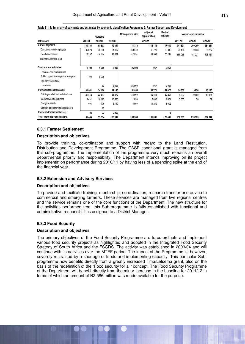|                                          |         | Outcome |         | Main appropriation | Adjusted<br>appropriation | <b>Revised</b><br>estimate |         | Medium-term estimates |         |
|------------------------------------------|---------|---------|---------|--------------------|---------------------------|----------------------------|---------|-----------------------|---------|
| R thousand                               | 2007/08 | 2008/09 | 2009/10 |                    | 2010/11                   |                            | 2011/12 | 2012/13               | 2013/14 |
| <b>Current payments</b>                  | 51 865  | 58 503  | 79844   | 111 313            | 112 143                   | 117 640                    | 241 521 | 260 269               | 284 214 |
| Compensation of employees                | 35 628  | 42 089  | 51 007  | 68 379             | 62779                     | 62 349                     | 73 466  | 79 038                | 85 757  |
| Goods and services                       | 16 237  | 16414   | 28 837  | 42 934             | 49 364                    | 55 291                     | 168 055 | 181 231               | 198 457 |
| Interest and rent on land                |         |         |         |                    |                           |                            |         |                       |         |
| <b>Transfers and subsidies</b>           | 1700    | 6050    | 8905    | 26 000             | 967                       | 2961                       |         |                       |         |
| Provinces and municipalities             |         |         |         |                    |                           |                            |         |                       |         |
| Public corporations & private enterprise | 1700    | 6 0 0 0 |         |                    |                           |                            |         |                       |         |
| Non-profit institutions                  |         |         |         |                    |                           |                            |         |                       |         |
| Households                               |         | 50      | 8 9 0 5 | 26 000             | 967                       | 2961                       |         |                       |         |
| Payments for capital assets              | 31 841  | 34 4 28 | 49 146  | 51 050             | 82771                     | 51 877                     | 14 560  | 9856                  | 10130   |
| Buildings and other fixed structures     | 21 852  | 22 517  | 35 670  | 35 000             | 62 865                    | 39 201                     | 9507    | 9800                  | 10 0 71 |
| Machinery and equipment                  | 9491    | 10 125  | 10 336  | 11 050             | 8656                      | 4674                       | 5 0 5 3 | 56                    | 59      |
| <b>Biological assets</b>                 | 498     | 1776    | 3 1 4 0 | 5 0 0 0            | 11 250                    | 8 0 0 2                    |         |                       |         |
| Software and other intangible assets     |         | 10      |         |                    |                           |                            |         |                       |         |
| Payments for financial assets            | 28      | 73      | 2052    |                    |                           | 3                          |         |                       |         |
| Total economic classification:           | 85 434  | 99 054  | 139 947 | 188 363            | 195 881                   | 172 481                    | 256 081 | 270 125               | 294 344 |

| Table 11.14: Summary of payments and estimates by economic classification:Programme 3: Farmer Support and Development |  |
|-----------------------------------------------------------------------------------------------------------------------|--|
|                                                                                                                       |  |

#### **6.3.1 Farmer Settlement**

#### **Description and objectives**

To provide training, co-ordination and support with regard to the Land Restitution, Distribution and Development Programme. The CASP conditional grant is managed from this sub-programme. The implementation of the programme very much remains an overall departmental priority and responsibility. The Department intends improving on its project implementation performance during 2010/11 by having less of a spending spike at the end of the financial year.

#### **6.3.2 Extension and Advisory Services**

#### **Description and objectives**

To provide and facilitate training, mentorship, co-ordination, research transfer and advice to commercial and emerging farmers. These services are managed from five regional centres and the service remains one of the core functions of the Department. The new structure for the activities performed from this Sub-programme is fully established with functional and administrative responsibilities assigned to a District Manager.

#### **6.3.3 Food Security**

#### **Description and objectives**

The primary objectives of the Food Security Programme are to co-ordinate and implement various food security projects as highlighted and adopted in the Integrated Food Security Strategy of South Africa and the FSGDS. The activity was established in 2003/04 and will continue with its activities over the MTEF period. The impact of the Programme is, however, severely restrained by a shortage of funds and implementing capacity. This particular Subprogramme now benefits directly from a greatly increased Ilima/Letsema grant, also on the basis of the redefinition of the "Food security for all" concept. The Food Security Programme of the Department will benefit directly from the minor increase in the baseline for 2011/12 in terms of which an amount of R2.586 million was made available for the purpose.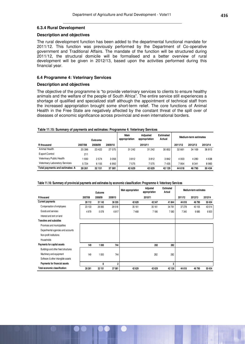#### **6.3.4 Rural Development**

#### **Description and objectives**

The rural development function has been added to the departmental functional mandate for 2011/12. This function was previously performed by the Department of Co-operative government and Traditional Affairs. The mandate of the function will be structured during 2011/12, the structural domicile will be formalised and a better overview of rural development will be given in 2012/13, based upon the activities performed during this financial year.

#### **6.4 Programme 4: Veterinary Services**

#### **Description and objectives**

The objective of the programme is "to provide veterinary services to clients to ensure healthy animals and the welfare of the people of South Africa". The entire service still experiences a shortage of qualified and specialized staff although the appointment of technical staff from the increased appropriation brought some short-term relief. The core functions of Animal Health in the Free State are negatively affected by the constant threat of the spill over of diseases of economic significance across provincial and even international borders.

#### **Table 11.15: Summary of payments and estimates: Programme 4: Veterinary Services**

|                                       |         | Outcome |         | Main<br>appropriation | Adiusted<br>appropriation | Estimated<br>Actual |         | Medium-term estimates |         |
|---------------------------------------|---------|---------|---------|-----------------------|---------------------------|---------------------|---------|-----------------------|---------|
| R thousand                            | 2007/08 | 2008/09 | 2009/10 |                       | 2010/11                   |                     | 2011/12 | 2012/13               | 2013/14 |
| Animal Health                         | 20 39 6 | 23 4 22 | 27 075  | 31 242                | 31 242                    | 30 852              | 32 661  | 34 169                | 36813   |
| Export Control                        | 211     |         |         |                       |                           |                     |         |                       |         |
| Veterinary Public Health              | 930     | 2574    | 3056    | 3812                  | 3812                      | 3842                | 4 0 0 3 | 4 2 8 0               | 4638    |
| <b>Veterinary Laboratory Services</b> | 5724    | 6 1 5 5 | 6950    | 7575                  | 7575                      | 7435                | 7954    | 8 3 4 1               | 8983    |
| Total payments and estimates: A       | 28 261  | 32 151  | 37 081  | 42629                 | 42629                     | 42 129              | 44 618  | 46790                 | 50 434  |

#### **Table 11.16: Summary of provincial payments and estimates by economic classification: Programme 4: Veterinary Services**

|                                      |         | Outcome |                | Main appropriation | Adjusted<br>appropriation | <b>Estimated</b><br>Actual |         | Medium-term estimates |         |
|--------------------------------------|---------|---------|----------------|--------------------|---------------------------|----------------------------|---------|-----------------------|---------|
| R thousand                           | 2007/08 | 2008/09 | 2009/10        |                    | 2010/11                   |                            | 2011/12 | 2012/13               | 2013/14 |
| <b>Current payments</b>              | 28 112  | 31 1 43 | 36 335         | 42 629             | 42 347                    | 41844                      | 44 618  | 46790                 | 50 434  |
| Compensation of employees            | 23 133  | 26 065  | 29518          | 35 161             | 35 161                    | 34 761                     | 37 278  | 40 105                | 43514   |
| Goods and services                   | 4979    | 5078    | 6817           | 7468               | 7186                      | 7083                       | 7340    | 6685                  | 6920    |
| Interest and rent on land            |         |         |                |                    |                           |                            |         |                       |         |
| <b>Transfers and subsidies</b>       |         |         |                |                    |                           |                            |         |                       |         |
| Provinces and municipalities         |         |         |                |                    |                           |                            |         |                       |         |
| Departmental agencies and accounts   |         |         |                |                    |                           |                            |         |                       |         |
| Non-profit institutions              |         |         |                |                    |                           |                            |         |                       |         |
| Households                           |         |         |                |                    |                           |                            |         |                       |         |
| Payments for capital assets          | 149     | 1 0 0 0 | 744            |                    | 282                       | 282                        |         |                       |         |
| Buildings and other fixed structures |         |         |                |                    |                           |                            |         |                       |         |
| Machinery and equipment              | 149     | 1 0 0 0 | 744            |                    | 282                       | 282                        |         |                       |         |
| Software & other intangible assets   |         |         |                |                    |                           |                            |         |                       |         |
| Payments for financial assets        |         | 8       | $\overline{2}$ |                    |                           | 3                          |         |                       |         |
| Total economic classification:       | 28 261  | 32 151  | 37 081         | 42 629             | 42 629                    | 42129                      | 44 618  | 46790                 | 50 434  |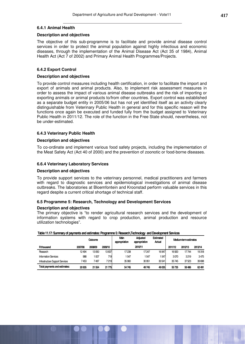#### **6.4.1 Animal Health**

#### **Description and objectives**

The objective of this sub-programme is to facilitate and provide animal disease control services in order to protect the animal population against highly infectious and economic diseases, through the implementation of the Animal Disease Act (Act 35 of 1984), Animal Health Act (Act 7 of 2002) and Primary Animal Health Programmes/Projects.

#### **6.4.2 Export Control**

#### **Description and objectives**

To provide control measures including health certification, in order to facilitate the import and export of animals and animal products. Also, to implement risk assessment measures in order to assess the impact of various animal disease outbreaks and the risk of importing or exporting animals or animal products to/from other countries. Export control was established as a separate budget entity in 2005/06 but has not yet identified itself as an activity clearly distinguishable from Veterinary Public Health in general and for this specific reason will the functions once again be executed and funded fully from the budget assigned to Veterinary Public Health in 2011/12. The role of the function in the Free State should, nevertheless, not be under-estimated.

#### **6.4.3 Veterinary Public Health**

#### **Description and objectives**

To co-ordinate and implement various food safety projects, including the implementation of the Meat Safety Act (Act 40 of 2000) and the prevention of zoonotic or food-borne diseases.

#### **6.6.4 Veterinary Laboratory Services**

#### **Description and objectives**

To provide support services to the veterinary personnel, medical practitioners and farmers with regard to diagnostic services and epidemiological investigations of animal disease outbreaks. The laboratories at Bloemfontein and Kroonstad perform valuable services in this regard despite a current critical shortage of technical staff.

#### **6.5 Programme 5: Research, Technology and Development Services**

#### **Description and objectives**

The primary objective is "to render agricultural research services and the development of information systems with regard to crop production, animal production and resource utilization technologies".

| Table 11.17: Summary of payments and estimates: Programme 5: Research,Technology and Development Services |         |         |         |                       |                                  |                            |                              |         |         |  |
|-----------------------------------------------------------------------------------------------------------|---------|---------|---------|-----------------------|----------------------------------|----------------------------|------------------------------|---------|---------|--|
|                                                                                                           |         | Outcome |         | Main<br>appropriation | <b>Adjusted</b><br>appropriation | <b>Estimated</b><br>Actual | <b>Medium-term estimates</b> |         |         |  |
| Rthousand                                                                                                 | 2007/08 | 2008/09 | 2009/10 |                       | 2010/11                          |                            | 2011/12                      | 2012/13 | 2013/14 |  |
| Research                                                                                                  | 12494   | 13050   | 13837   | 17238                 | 17247                            | 16947                      | 16920                        | 17744   | 19318   |  |
| <b>Information Services</b>                                                                               | 988     | 1007    | 719     | 1547                  | 1547                             | 547                        | 3070                         | 3219    | 3475    |  |
| Infrastructure Support Services                                                                           | 7453    | 7497    | 7219    | 35 960                | 30951                            | 30541                      | 35745                        | 37523   | 39 698  |  |
| Total payments and estimates:                                                                             | 20935   | 21554   | 21775   | 54745                 | 49745                            | 49035                      | 55735                        | 58486   | 62 491  |  |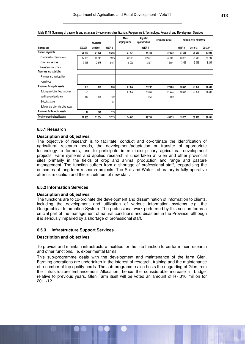|                                      |         | Outcome |         | Main<br>appropriation | Adjusted<br>appropriation | <b>Estimated Actual</b> |         | Medium-term estimates |         |
|--------------------------------------|---------|---------|---------|-----------------------|---------------------------|-------------------------|---------|-----------------------|---------|
| R thousand                           | 2007/08 | 2008/09 | 2009/10 |                       | 2010/11                   |                         | 2011/12 | 2012/13               | 2013/14 |
| <b>Current payments</b>              | 20783   | 21 120  | 21 393  | 27 571                | 27 448                    | 27 032                  | 27 306  | 28 635                | 30 998  |
| Compensation of employees            | 17 3 65 | 18 245  | 17926   | 22 341                | 22 341                    | 22 341                  | 23 811  | 25 616                | 27 794  |
| Goods and services                   | 3418    | 2875    | 3467    | 5230                  | 5107                      | 4691                    | 3 4 9 5 | 3019                  | 3 2 0 4 |
| Interest and rent on land            |         |         |         |                       |                           |                         |         |                       |         |
| <b>Transfers and subsidies</b>       |         |         |         |                       |                           |                         |         |                       |         |
| Provinces and municipalities         |         |         |         |                       |                           |                         |         |                       |         |
| Households                           |         |         |         |                       |                           |                         |         |                       |         |
| Payments for capital assets          | 135     | 105     | 203     | 27 174                | 22 297                    | 22 003                  | 28 4 29 | 29 851                | 31 493  |
| Buildings and other fixed structures | 25      |         |         | 27 174                | 22 046                    | 21 444                  | 28 4 29 | 29 851                | 31 493  |
| Machinery and equipment              | 110     | 105     | 122     |                       | 251                       | 559                     |         |                       |         |
| <b>Biological assets</b>             |         |         | 81      |                       |                           |                         |         |                       |         |
| Software and other intangible assets |         |         |         |                       |                           |                         |         |                       |         |
| Payments for financial assets        | 17      | 329     | 179     |                       |                           |                         |         |                       |         |
| Total economic classification:       | 20 935  | 21 554  | 21 775  | 54745                 | 49745                     | 49 035                  | 55 735  | 58 486                | 62 491  |

#### **Table 11.18: Summary of payments and estimates by economic classification: Programme 5: Technology, Research and Development Services**

#### **6.5.1 Research**

#### **Description and objectives**

The objective of research is to facilitate, conduct and co-ordinate the identification of agricultural research needs, the development/adaptation or transfer of appropriate technology to farmers, and to participate in multi-disciplinary agricultural development projects. Farm systems and applied research is undertaken at Glen and other provincial sites primarily in the fields of crop and animal production and range and pasture management. The function suffers from a shortage of professional staff, jeopardising the outcomes of long-term research projects. The Soil and Water Laboratory is fully operative after its relocation and the recruitment of new staff.

## **6.5.2 Information Services**

#### **Description and objectives**

The functions are to co-ordinate the development and dissemination of information to clients, including the development and utilization of various information systems e.g. the Geographical Information System. The professional work performed by this section forms a crucial part of the management of natural conditions and disasters in the Province, although it is seriously impaired by a shortage of professional staff.

#### **6.5.3 Infrastructure Support Services**

#### **Description and objectives**

To provide and maintain infrastructure facilities for the line function to perform their research and other functions, i.e. experimental farms.

This sub-programme deals with the development and maintenance of the farm Glen. Farming operations are undertaken in the interest of research, training and the maintenance of a number of top quality herds. The sub-programme also hosts the upgrading of Glen from the Infrastructure Enhancement Allocation; hence the considerable increase in budget relative to previous years. Glen Farm itself will be voted an amount of R7.316 million for 2011/12.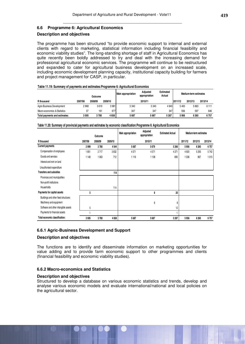#### **6.6 Programme 6: Agricultural Economics**

#### **Description and objectives**

The programme has been structured "to provide economic support to internal and external clients with regard to marketing, statistical information including financial feasibility and economic viability studies". The long-standing shortage of staff in Agricultural Economics has quite recently been boldly addressed to try and deal with the increasing demand for professional agricultural economic services. The programme will continue to be restructured and expanded to cater for agricultural business development on an increased scale, including economic development planning capacity, institutional capacity building for farmers and project management for CASP, in particular.

| Table 11.19: Summary of payments and estimates: Programme 6: Agricultural Economics |  |  |
|-------------------------------------------------------------------------------------|--|--|
|                                                                                     |  |  |

|                               |         | Outcome |         | Main appropriation | Adiusted<br>appropriation | <b>Estimated</b><br>Actual |         | Medium-term estimates |         |
|-------------------------------|---------|---------|---------|--------------------|---------------------------|----------------------------|---------|-----------------------|---------|
| R thousand                    | 2007/08 | 2008/09 | 2009/10 |                    | 2010/11                   |                            | 2011/12 | 2012/13               | 2013/14 |
| Agric-Business Development    | 2968    | 3619    | 3981    | 5 3 4 0            | 5 3 4 0                   | 4 9 4 0                    | 5400    | 5663                  | 6 1 1 1 |
| Macro-economics & Statistics  | 37      | 161     | 677     | 347                | 347                       | 347                        | 556     | 597                   | 646     |
| Total payments and estimates: | 3 005   | 3780    | 4658    | 5687               | 5687                      | 5 2 8 7                    | 5956    | 6 2 6 0               | 6757    |

|                                      |         | Outcome |         | Adjusted<br><b>Main appropriation</b><br>appropriation |         | <b>Estimated Actual</b> | Medium-term estimates |         |         |
|--------------------------------------|---------|---------|---------|--------------------------------------------------------|---------|-------------------------|-----------------------|---------|---------|
| R thousand                           | 2007/08 | 2008/09 | 2009/10 |                                                        | 2010/11 |                         | 2011/12               | 2012/13 | 2013/14 |
| <b>Current payments</b>              | 2999    | 3780    | 4544    | 5687                                                   | 5679    | 5266                    | 5956                  | 6 2 6 0 | 6757    |
| Compensation of employees            | 1851    | 2717    | 3832    | 4571                                                   | 4571    | 4 3 7 1                 | 4920                  | 5 2 9 3 | 5742    |
| Goods and services                   | 1148    | 1063    | 712     | 1116                                                   | 1108    | 895                     | 1036                  | 967     | 1015    |
| Interest and rent on land            |         |         |         |                                                        |         |                         |                       |         |         |
| Unauthorised expenditure             |         |         |         |                                                        |         |                         |                       |         |         |
| <b>Transfers and subsidies</b>       |         |         | 114     |                                                        |         |                         |                       |         |         |
| Provinces and municipalities         |         |         |         |                                                        |         |                         |                       |         |         |
| Non-profit institutions              |         |         |         |                                                        |         |                         |                       |         |         |
| Households                           |         |         | 114     |                                                        |         |                         |                       |         |         |
| Payments for capital assets          | 5       |         |         |                                                        | 8       | 20                      |                       |         |         |
| Buildings and other fixed structures |         |         |         |                                                        |         |                         |                       |         |         |
| Machinery and equipment              |         |         |         |                                                        | 8       | 8                       |                       |         |         |
| Software and other intangible assets | 5       |         |         |                                                        |         | 12                      |                       |         |         |
| Payments for financial assets        |         |         |         |                                                        |         |                         |                       |         |         |
| Total economic classification:       | 3005    | 3780    | 4658    | 5687                                                   | 5687    | 5 2 8 7                 | 5956                  | 6 2 6 0 | 6757    |

#### **Table 11.20: Summary of provincial payments and estimates by economic classification:Programme 6: Agricultural Economics**

#### **6.6.1 Agric-Business Development and Support**

#### **Description and objectives**

The functions are to identify and disseminate information on marketing opportunities for value adding and to provide farm economic support to other programmes and clients (financial feasibility and economic viability studies).

#### **6.6.2 Macro-economics and Statistics**

#### **Description and objectives**

Structured to develop a database on various economic statistics and trends, develop and analyse various economic models and evaluate international/national and local policies on the agricultural sector.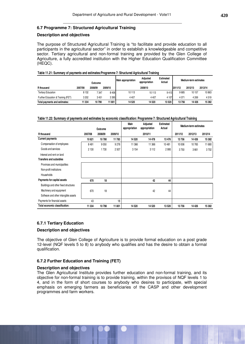#### **6.7 Programme 7: Structured Agricultural Training**

#### **Description and objectives**

The purpose of Structured Agricultural Training is "to facilitate and provide education to all participants in the agricultural sector" in order to establish a knowledgeable and competitive sector. Tertiary agricultural and non-formal training are provided by the Glen College of Agriculture, a fully accredited institution with the Higher Education Qualification Committee (HEQC).

| Table 11.21: Summary of payments and estimates: Programme 7: Structured Agricultural Training |  |  |  |  |  |  |  |
|-----------------------------------------------------------------------------------------------|--|--|--|--|--|--|--|
|-----------------------------------------------------------------------------------------------|--|--|--|--|--|--|--|

|                                    | Outcome |         |         | <b>Main appropriation</b> | Adiusted<br>appropriation | <b>Estimated</b><br>Actual |         | Medium-term estimates |         |
|------------------------------------|---------|---------|---------|---------------------------|---------------------------|----------------------------|---------|-----------------------|---------|
| R thousand                         | 2007/08 | 2008/09 | 2009/10 |                           | 2009/10                   |                            | 2011/12 | 2012/13               | 2013/14 |
| <b>Tertiary Education</b>          | 8 1 3 2 | 7347    | 8406    | 10 113                    | 10 113                    | 9413                       | 9685    | 10 157                | 10863   |
| Further Education & Training (FET) | 3 202   | 3451    | 3 3 9 5 | 4407                      | 4407                      | 4 1 0 7                    | 4 0 7 1 | 4269                  | 4519    |
| Total payments and estimates:      | 11334   | 10798   | 11801   | 14 5 20                   | 14520                     | 13 5 20                    | 13756   | 14 4 26               | 15 382  |

#### **Table 11.22: Summary of payments and estimates by economic classification: Programme 7: Structured Agricultural Training**

|                                      |         | Outcome |         | Main<br>appropriation | Adjusted<br>appropriation | <b>Estimated</b><br>Actual | Medium-term estimates |         |          |
|--------------------------------------|---------|---------|---------|-----------------------|---------------------------|----------------------------|-----------------------|---------|----------|
| R thousand                           | 2007/08 | 2008/09 | 2009/10 |                       | 2010/11                   |                            | 2011/12               | 2012/13 | 2013/14  |
| <b>Current payments</b>              | 10 621  | 10780   | 11783   | 14 520                | 14 478                    | 13 4 76                    | 13756                 | 14 4 26 | 15 3 8 2 |
| Compensation of employees            | 8491    | 9050    | 9 2 7 6 | 11 366                | 11 366                    | 10481                      | 10 006                | 10765   | 11 680   |
| Goods and services                   | 2 1 3 0 | 1730    | 2 507   | 3 1 5 4               | 3 1 1 2                   | 2995                       | 3750                  | 3661    | 3702     |
| Interest and rent on land            |         |         |         |                       |                           |                            |                       |         |          |
| <b>Transfers and subsidies</b>       |         |         |         |                       |                           |                            |                       |         |          |
| Provinces and municipalities         |         |         |         |                       |                           |                            |                       |         |          |
| Non-profit institutions              |         |         |         |                       |                           |                            |                       |         |          |
| Households                           |         |         |         |                       |                           |                            |                       |         |          |
| Payments for capital assets          | 670     | 18      |         |                       | 42                        | 44                         |                       |         |          |
| Buildings and other fixed structures |         |         |         |                       |                           |                            |                       |         |          |
| Machinery and equipment              | 670     | 18      |         |                       | 42                        | 44                         |                       |         |          |
| Software and other intangible assets |         |         |         |                       |                           |                            |                       |         |          |
| Payments for financial assets        | 43      |         | 18      |                       |                           |                            |                       |         |          |
| Total economic classification:       | 11 334  | 10798   | 11801   | 14 520                | 14520                     | 13 5 20                    | 13756                 | 14 4 26 | 15 382   |

#### **6.7.1 Tertiary Education**

#### **Description and objectives**

The objective of Glen College of Agriculture is to provide formal education on a post grade 12-level (NQF levels 5 to 8) to anybody who qualifies and has the desire to obtain a formal qualification.

#### **6.7.2 Further Education and Training (FET)**

#### **Description and objectives**

The Glen Agricultural Institute provides further education and non-formal training, and its objective for non-formal training is to provide training, within the provisos of NQF levels 1 to 4, and in the form of short courses to anybody who desires to participate, with special emphasis on emerging farmers as beneficiaries of the CASP and other development programmes and farm workers.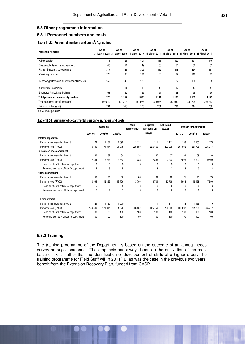#### **6.8 Other programme information**

## **6.8.1 Personnel numbers and costs**

#### **Table 11.23: Personnel numbers and costs<sup>1</sup> : Agriculture**

| <b>Personnel numbers</b>                              | As at<br>31 March 2008 | As at<br>31 March 2009 | As at   | As at<br>31 March 2010 31 March 2011 | As at   | As at<br>31 March 2012 31 March 2013 31 March 2014 | As at   |
|-------------------------------------------------------|------------------------|------------------------|---------|--------------------------------------|---------|----------------------------------------------------|---------|
| Administration                                        | 411                    | 425                    | 407     | 415                                  | 423     | 431                                                | 440     |
| Sustainable Resource Management                       | 45                     | 51                     | 49      | 50                                   | 51      | 52                                                 | 53      |
| Farmer Support & Development                          | 317                    | 323                    | 306     | 312                                  | 318     | 324                                                | 331     |
| <b>Veterinary Services</b>                            | 123                    | 133                    | 134     | 136                                  | 139     | 142                                                | 145     |
| <b>Technology Research &amp; Development Services</b> | 152                    | 149                    | 123     | 125                                  | 127     | 130                                                | 133     |
| <b>Agricultural Economics</b>                         | 13                     | 14                     | 15      | 16                                   | 17      | 17                                                 | 17      |
| <b>Structured Agricultural Training</b>               | 68                     | 62                     | 56      | 57                                   | 58      | 59                                                 | 60      |
| <b>Total personnel numbers: Agriculture</b>           | 1 1 2 9                | 1 1 5 7                | 1090    | 1111                                 | 1 1 3 3 | 1155                                               | 1 1 7 9 |
| Total personnel cost (R thousand)                     | 150 840                | 171 314                | 191 978 | 223 035                              | 261 932 | 281 795                                            | 305 747 |
| Unit cost (R thousand)                                | 134                    | 148                    | 176     | 201                                  | 231     | 244                                                | 259     |

1. Full-time equivalent

#### **Table 11.24: Summary of departmental personnel numbers and costs**

|                                             | Outcome |         |         | Main<br>appropriation | Adjusted<br>appropriation | <b>Estimated</b><br>Actual | Medium-term estimates |         |         |  |
|---------------------------------------------|---------|---------|---------|-----------------------|---------------------------|----------------------------|-----------------------|---------|---------|--|
|                                             | 2007/08 | 2008/09 | 2009/10 |                       | 2010/11                   |                            | 2011/12               | 2012/13 | 2013/14 |  |
| <b>Total for department</b>                 |         |         |         |                       |                           |                            |                       |         |         |  |
| Personnel numbers (head count)              | 1 1 2 9 | 1 1 5 7 | 1 0 9 0 | 1111                  | 1111                      | 1111                       | 1 1 3 3               | 1 1 5 5 | 1179    |  |
| Personnel cost (R'000)                      | 150 840 | 171 314 | 191 978 | 228 550               | 225 450                   | 223 035                    | 261 932               | 281795  | 305 747 |  |
| Human resources component                   |         |         |         |                       |                           |                            |                       |         |         |  |
| Personnel numbers (head count)              | 32      | 32      | 34      | 34                    | 37                        | 37                         | 39                    | 39      | 39      |  |
| Personnel cost (R'000)                      | 7 3 4 4 | 8 2 5 8 | 8 6 63  | 7333                  | 7 3 3 3                   | 7 3 3 3                    | 7993                  | 8632    | 9409    |  |
| Head count as % of total for department     | 3       | 3       | 3       | 3                     | 3                         | 3                          | 3                     | 3       | 3       |  |
| Personnel cost as % of total for department | 5       | 5       | 5       | 3                     | 3                         | 3                          | 3                     | 3       | 3       |  |
| Finance component                           |         |         |         |                       |                           |                            |                       |         |         |  |
| Personnel numbers (head count)              | 56      | 56      | 66      | 66                    | 69                        | 69                         | 71                    | 73      | 75      |  |
| Personnel cost (R'000)                      | 10 995  | 12 363  | 13706   | 13709                 | 13709                     | 13709                      | 14 943                | 16 138  | 17590   |  |
| Head count as % of total for department     | 5       | 5       | 5       | 6                     | 6                         | 6                          | 6                     | 6       | 6       |  |
| Personnel cost as % of total for department | 7       |         |         | 6                     | 6                         | 6                          | 6                     | 6       | 6       |  |
| <b>Full time workers</b>                    |         |         |         |                       |                           |                            |                       |         |         |  |
| Personnel numbers (head count)              | 1 1 2 9 | 1 1 5 7 | 1 0 9 0 | 1111                  | 1 1 1 1                   | 1 1 1 1                    | 1 1 3 3               | 1 1 5 5 | 1179    |  |
| Personnel cost (R'000)                      | 150 840 | 171 314 | 191 978 | 228 550               | 225 450                   | 223 035                    | 261 932               | 281795  | 305 747 |  |
| Head count as % of total for department     | 100     | 100     | 100     | 100                   | 100                       | 100                        | 100                   | 100     | 100     |  |
| Personnel cost as % of total for department | 100     | 100     | 100     | 100                   | 100                       | 100                        | 100                   | 100     | 100     |  |

#### **6.8.2 Training**

The training programme of the Department is based on the outcome of an annual needs survey amongst personnel. The emphasis has always been on the cultivation of the most basic of skills, rather that the identification of development of skills of a higher order. The training programme for Field Staff will in 2011/12, as was the case in the previous two years, benefit from the Extension Recovery Plan, funded from CASP.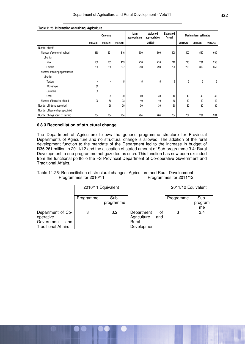|                                  |         | Outcome |         |     | Adjusted<br>appropriation | <b>Estimated</b><br>Actual | Medium-term estimates |          |         |  |
|----------------------------------|---------|---------|---------|-----|---------------------------|----------------------------|-----------------------|----------|---------|--|
|                                  | 2007/08 | 2008/09 | 2009/10 |     | 2010/11                   |                            | 20011/12              | 20012/13 | 2013/14 |  |
| Number of staff                  |         |         |         |     |                           |                            |                       |          |         |  |
| Number of personnel trained      | 350     | 621     | 816     | 500 | 500                       | 500                        | 500                   | 550      | 600     |  |
| of which                         |         |         |         |     |                           |                            |                       |          |         |  |
| Male                             | 150     | 263     | 419     | 210 | 210                       | 210                        | 210                   | 231      | 250     |  |
| Female                           | 200     | 358     | 397     | 290 | 290                       | 290                        | 290                   | 319      | 350     |  |
| Number of training opportunities |         |         |         |     |                           |                            |                       |          |         |  |
| of which                         |         |         |         |     |                           |                            |                       |          |         |  |
| Tertiary                         | 4       | 4       | 5       | 5   | 5                         | 5                          | 5                     | 5        | 5       |  |
| Workshops                        | 30      |         |         |     |                           |                            |                       |          |         |  |
| Seminars                         | 30      |         |         |     |                           |                            |                       |          |         |  |
| Other                            |         | 39      | 30      | 40  | 40                        | 40                         | 40                    | 40       | 40      |  |
| Number of bursaries offered      | 20      | 50      | 23      | 40  | 40                        | 40                         | 40                    | 40       | 40      |  |
| Number of interns appointed      |         | 29      | 20      | 30  | 30                        | 30                         | 30                    | 30       | 30      |  |
| Number of learnerships appointed |         |         |         |     |                           |                            |                       |          |         |  |
| Number of days spent on training | 264     | 264     | 264     | 264 | 264                       | 264                        | 264                   | 264      | 264     |  |

### **Table 11.25: Information on training: Agriculture**

#### **6.8.3 Reconciliation of structural change**

The Department of Agriculture follows the generic programme structure for Provincial Departments of Agriculture and no structural change is allowed. The addition of the rural development function to the mandate of the Department led to the increase in budget of R35.261 million in 2011/12 and the allocation of stated amount of Sub-programme 3.4: Rural Development, a sub-programme not gazetted as such. This function has now been excluded from the functional portfolio the FS Provincial Department of Co-operative Government and Traditional Affairs.

#### Table 11.26: Reconciliation of structural changes: Agriculture and Rural Development Programmes for 2010/11 Programmes for 2011/12

|                                                                                   |           | 2010/11 Equivalent |                                                   |           | 2011/12 Equivalent |                       |
|-----------------------------------------------------------------------------------|-----------|--------------------|---------------------------------------------------|-----------|--------------------|-----------------------|
|                                                                                   | Programme | Sub-<br>programme  |                                                   |           | Programme          | Sub-<br>program<br>me |
| Department of Co-<br>operative<br>Government<br>and<br><b>Traditional Affairs</b> | 3         | 3.2                | Department<br>Agriculture<br>Rural<br>Development | οf<br>and | 3                  | 3.4                   |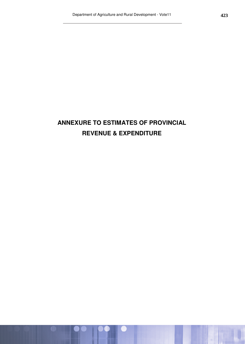# **ANNEXURE TO ESTIMATES OF PROVINCIAL REVENUE & EXPENDITURE**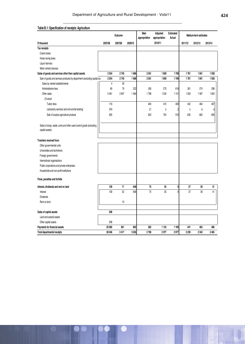|                                                                                        |                | Outcome |         | <b>Main</b><br>appropriation | Adjusted<br>appropriation | Estimated<br>Actual |         | Medium-term estimates |         |
|----------------------------------------------------------------------------------------|----------------|---------|---------|------------------------------|---------------------------|---------------------|---------|-----------------------|---------|
| R thousand                                                                             | 2007/08        | 2007/08 | 2009/10 |                              | 2010/11                   |                     | 2011/12 | 2012/13               | 2013/14 |
| Tax receipts                                                                           |                |         |         |                              |                           |                     |         |                       |         |
| Casino taxes                                                                           |                |         |         |                              |                           |                     |         |                       |         |
| Horse racing taxes                                                                     |                |         |         |                              |                           |                     |         |                       |         |
| Liquor licences                                                                        |                |         |         |                              |                           |                     |         |                       |         |
| Motor vehicle licences                                                                 |                |         |         |                              |                           |                     |         |                       |         |
| Sales of goods and services other than capital assets                                  | 2554           | 2745    | 1686    | 2051                         | 1809                      | 1769                | 1761    | 1841                  | 1938    |
| Sale of goods and services produced by department (excluding capital as:               | 2554           | 2745    | 1686    | 2051                         | 1809                      | 1769                | 1761    | 1841                  | 1938    |
| Sales by market establishments                                                         | $\overline{4}$ | 59      |         |                              |                           |                     |         |                       |         |
| Administrative fees                                                                    | 89             | 79      | 222     | 265                          | 275                       | 618                 | 261     | 274                   | 288     |
| Other sales                                                                            | 2461           | 2607    | 1464    | 1786                         | 1534                      | 1151                | 1500    | 1567                  | 1650    |
| Of which                                                                               |                |         |         |                              |                           |                     |         |                       |         |
| Tuition fees                                                                           | 116            |         |         | 400                          | 415                       | 409                 | 442     | 464                   | 487     |
| Laboratory services (soil and animal testing)                                          | 343            |         |         | 21                           | 5                         | $\overline{2}$      | 5       | 6                     | 6       |
| Sale of surplus agricultural produce                                                   | 992            |         |         | 620                          | 704                       | 516                 | 630     | 662                   | 695     |
| Sales of scrap, waste, arms and other used current goods (excluding<br>capital assets) |                |         |         |                              |                           |                     |         |                       |         |
| Transfers received from:                                                               |                |         |         |                              |                           |                     |         |                       |         |
| Other governmental units                                                               |                |         |         |                              |                           |                     |         |                       |         |
| Universities and technikons                                                            |                |         |         |                              |                           |                     |         |                       |         |
| Foreign governments                                                                    |                |         |         |                              |                           |                     |         |                       |         |
| International organisations                                                            |                |         |         |                              |                           |                     |         |                       |         |
| Public corporations and private enterprises                                            |                |         |         |                              |                           |                     |         |                       |         |
| Households and non-profit institutions                                                 |                |         |         |                              |                           |                     |         |                       |         |
| Fines, penalties and forfeits                                                          |                |         |         |                              |                           |                     |         |                       |         |
| Interest, dividends and rent on land                                                   | 109            | 71      | 948     | 75                           | 35                        | 9                   | 37      | 39                    | 41      |
| Interest                                                                               | 109            | 52      | 948     | 75                           | 35                        | $\overline{9}$      | 37      | 39                    | 41      |
| <b>Dividends</b>                                                                       |                |         |         |                              |                           |                     |         |                       |         |
| Rent on land                                                                           |                | 19      |         |                              |                           |                     |         |                       |         |
| Sales of capital assets                                                                | 298            |         |         |                              |                           |                     |         |                       |         |
| Land and subsoil assets                                                                |                |         |         |                              |                           |                     |         |                       |         |
| Other capital assets                                                                   | 298            |         |         |                              |                           |                     |         |                       |         |
| Payments for financial assets                                                          | 25 085         | 601     | 892     | 582                          | 1 1 3 3                   | 1199                | 441     | 463                   | 486     |
| <b>Total departmental receipts</b>                                                     | 28 046         | 3417    | 3526    | 2708                         | 2977                      | 2977                | 2239    | 2343                  | 2465    |

#### **Table B.1: Specification of receipts: Agriculture**  $\overline{\phantom{a}}$  $\ddot{\phantom{a}}$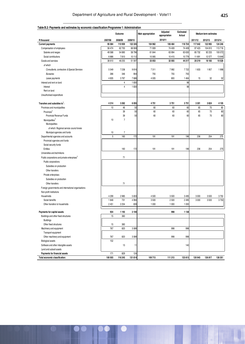#### **Table B.2: Payments and estimates by economic classification:Programme 1: Administration**

|                                                          | Outcome |                |         | Main appropriation | Adjusted<br>appropriation | Estimated<br>Actual | Medium-term estimates |         |         |
|----------------------------------------------------------|---------|----------------|---------|--------------------|---------------------------|---------------------|-----------------------|---------|---------|
| R thousand                                               | 2007/08 | 2008/09        | 2009/10 |                    | 2010/11                   |                     | 2011/12               | 2012/13 | 2013/14 |
| <b>Current payments</b>                                  | 95 084  | 110 959        | 122 335 | 104 962            | 106 464                   | 118724              | 117 642               | 122 993 | 124 246 |
| Compensation of employees                                | 56 474  | 62 700         | 68 908  | 71 909             | 74 409                    | 74 409              | 97 4 23               | 104 810 | 113718  |
| Salaries and wages                                       | 49 588  | 54 890         | 58796   | 61 844             | 63 994                    | 63 630              | 85 732                | 92 233  | 100 072 |
| Social contributions                                     | 6886    | 7810           | 10112   | 10 065             | 10415                     | 10779               | 11 691                | 12 577  | 13646   |
| Goods and services                                       | 38 610  | 48 255         | 51 597  | 33 053             | 32 055                    | 44 217              | 20219                 | 18 18 3 | 10528   |
| of which                                                 |         |                |         |                    |                           |                     |                       |         |         |
| Consultants, contractors & Special Services              | 5 5 4 9 | 7 2 3 8        | 9816    | 7311               | 7992                      | 7722                | 1833                  | 1957    | 1998    |
| <b>Bursaries</b>                                         | 286     | 346            | 904     | 755                | 755                       | 755                 |                       |         |         |
|                                                          |         |                |         |                    |                           |                     |                       |         |         |
| Lease payments                                           | 4835    | 3767           | 7686    | 4 0 0 5            | 800                       | 1 4 6 4             | 15                    | 32      | 52      |
| Interest and rent on land                                |         | 4              | 1830    |                    |                           | 98                  |                       |         |         |
| Interest                                                 |         | $\overline{4}$ | 1830    |                    |                           | 98                  |                       |         |         |
| Rent on land                                             |         |                |         |                    |                           |                     |                       |         |         |
| Unauthorised expenditure                                 |         |                |         |                    |                           |                     |                       |         |         |
| Transfers and subsidies to:                              | 4 3 1 4 | 3 2 6 2        | 6 0 5 5 | 4751               | 3751                      | 3751                | 3 3 0 1               | 3824    | 4 1 0 5 |
| Provinces and municipalities                             | 10      | 46             | 50      | 60                 | 60                        | 60                  | 65                    | 70      | 80      |
| Provinces <sup>2</sup>                                   |         | 39             | 50      | 60                 | 60                        | 60                  | 65                    | 70      | 80      |
| Provincial Revenue Funds                                 |         | 39             | 50      | 60                 | 60                        | 60                  | 65                    | 70      | 80      |
| Municipalities <sup>3</sup>                              | 10      | $\overline{7}$ |         |                    |                           |                     |                       |         |         |
| Municipalities                                           |         |                |         |                    |                           |                     |                       |         |         |
| of which: Regional service council levies                |         |                |         |                    |                           |                     |                       |         |         |
| Municipal agencies and funds                             | 10      | $\overline{7}$ |         |                    |                           |                     |                       |         |         |
| Departmental agencies and accounts                       | 5       | 160            | 172     | 191                | 191                       | 196                 | 236                   | 254     | 275     |
| Provincial agencies and funds                            |         |                |         |                    |                           |                     |                       |         |         |
| Social security funds                                    |         |                |         |                    |                           |                     |                       |         |         |
| Entities                                                 |         | 160            | 172     | 191                | 191                       | 196                 | 236                   | 254     | 275     |
| Universities and technikons                              |         |                |         |                    |                           |                     |                       |         |         |
| Public corporations and private enterprises <sup>5</sup> |         | 71             |         |                    |                           |                     |                       |         |         |
| Public corporations                                      |         |                |         |                    |                           |                     |                       |         |         |
| Subsidies on production                                  |         |                |         |                    |                           |                     |                       |         |         |
| Other transfers                                          |         |                |         |                    |                           |                     |                       |         |         |
|                                                          |         |                |         |                    |                           |                     |                       |         |         |
| Private enterprises                                      |         |                |         |                    |                           |                     |                       |         |         |
| Subsidies on production                                  |         |                |         |                    |                           |                     |                       |         |         |
| Other transfers                                          |         | 71             |         |                    |                           |                     |                       |         |         |
| Foreign governments and international organisations      |         |                |         |                    |                           |                     |                       |         |         |
| Non-profit institutions                                  |         |                |         |                    |                           |                     |                       |         |         |
| Households                                               | 4 2 9 9 | 2985           | 5833    | 4 500              | 3500                      | 3495                | 3 0 0 0               | 3500    | 3750    |
| Social benefits                                          | 1848    | 731            | 4 9 9 4 | 3500               | 2 500                     | 2 4 9 5             | 3000                  | 3500    | 3750    |
| Other transfers to households                            | 2 4 5 1 | 2 2 5 4        | 839     | 1 0 0 0            | 1 0 0 0                   | 1 0 0 0             |                       |         |         |
| Payments for capital assets                              | 934     | 1 1 9 3        | 3100    |                    | 998                       | 1 1 3 8             |                       |         |         |
| Buildings and other fixed structures                     | 15      | 360            |         |                    |                           |                     |                       |         |         |
| <b>Buildings</b>                                         |         |                |         |                    |                           |                     |                       |         |         |
| Other fixed structures                                   | 15      | 360            |         |                    |                           |                     |                       |         |         |
| Machinery and equipment                                  | 767     | 820            | 3089    |                    | 998                       | 998                 |                       |         |         |
| Transport equipment                                      |         |                |         |                    |                           |                     |                       |         |         |
| Other machinery and equipment                            | 767     | 820            | 3089    |                    | 998                       | 998                 |                       |         |         |
| <b>Biological assets</b>                                 | 152     |                |         |                    |                           |                     |                       |         |         |
| Software and other intangible assets                     |         | 13             | 11      |                    |                           | 140                 |                       |         |         |
| Land and subsoil assets                                  |         |                |         |                    |                           |                     |                       |         |         |
| Payments for financial assets                            | 171     | 829            | 124     |                    |                           |                     |                       |         |         |
| Total economic classification:                           | 100 503 | 116 243        | 131 614 | 109 713            | 111 213                   | 123 613             | 120 943               | 126 817 | 128 351 |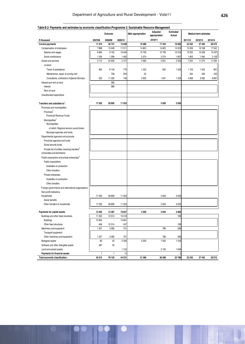#### **Table B.2: Payments and estimates by economic classification:Programme 2: Sustainable Resource Management**

|                                                           |         | Outcome |         | Main appropriation | Adjusted<br>appropriation | Estimated<br>Actual |         | Medium-term estimates |         |
|-----------------------------------------------------------|---------|---------|---------|--------------------|---------------------------|---------------------|---------|-----------------------|---------|
| R thousand                                                | 2007/08 | 2008/09 | 2009/10 |                    | 2010/11                   |                     | 2011/12 | 2012/13               | 2013/14 |
| <b>Current payments</b>                                   | 11 010  | 35 747  | 13 638  | 19 388             | 17 444                    | 16826               | 22 252  | 27 442                | 28 572  |
| Compensation of employees                                 | 7898    | 10 448  | 11 511  | 14 823             | 14 823                    | 14 3 23             | 15 0 28 | 16 168                | 17542   |
| Salaries and wages                                        | 6864    | 9 1 5 2 | 10 046  | 12749              | 12749                     | 12516               | 13 2 25 | 14 2 28               | 15 4 37 |
| Social contributions                                      | 1 0 3 4 | 1 2 9 6 | 1465    | 2 0 7 4            | 2 0 7 4                   | 1807                | 1803    | 1940                  | 2 1 0 5 |
| Goods and services                                        | 3112    | 24 933  | 2 1 2 7 | 4565               | 2621                      | 2503                | 7 2 2 4 | 11 274                | 11 030  |
| of which                                                  |         |         |         |                    |                           |                     |         |                       |         |
| Travel & subsistance                                      | 805     | 8 1 3 4 | 779     | 1 2 2 3            | 920                       | 1 0 2 0             | 1 1 0 3 | 1 0 4 2               | 961     |
| Maintenance, repair & running cost                        |         | 758     | 293     | 22                 |                           |                     | 422     | 256                   | 452     |
| Consultants, contractors & Special Services               | 532     | 11 292  | 746     | 2 9 0 5            | 1947                      | 1 2 5 3             | 4 9 5 8 | 9282                  | 8891    |
| Interest and rent on land                                 |         | 366     |         |                    |                           |                     |         |                       |         |
| Interest                                                  |         | 366     |         |                    |                           |                     |         |                       |         |
| Rent on land                                              |         |         |         |                    |                           |                     |         |                       |         |
| Unauthorised expenditure                                  |         |         |         |                    |                           |                     |         |                       |         |
|                                                           |         |         |         |                    |                           |                     |         |                       |         |
| Transfers and subsidies to:                               | 17550   | 28 895  | 11 053  |                    | 5 000                     | 3 0 0 0             |         |                       |         |
| Provinces and municipalities                              |         |         |         |                    |                           |                     |         |                       |         |
| Provinces <sup>2</sup>                                    |         |         |         |                    |                           |                     |         |                       |         |
| <b>Provincial Revenue Funds</b>                           |         |         |         |                    |                           |                     |         |                       |         |
| Municipalities <sup>3</sup>                               |         |         |         |                    |                           |                     |         |                       |         |
| Municipalities                                            |         |         |         |                    |                           |                     |         |                       |         |
| of which: Regional service council levies                 |         |         |         |                    |                           |                     |         |                       |         |
| Municipal agencies and funds                              |         |         |         |                    |                           |                     |         |                       |         |
| Departmental agencies and accounts                        |         |         |         |                    |                           |                     |         |                       |         |
| Provincial agencies and funds                             |         |         |         |                    |                           |                     |         |                       |         |
| Social security funds                                     |         |         |         |                    |                           |                     |         |                       |         |
| Provide list of entities receiving transfers <sup>4</sup> |         |         |         |                    |                           |                     |         |                       |         |
| Universities and technikons                               |         |         |         |                    |                           |                     |         |                       |         |
| Public corporations and private enterprises <sup>5</sup>  |         |         |         |                    |                           |                     |         |                       |         |
| Public corporations                                       |         |         |         |                    |                           |                     |         |                       |         |
| Subsidies on production                                   |         |         |         |                    |                           |                     |         |                       |         |
| Other transfers                                           |         |         |         |                    |                           |                     |         |                       |         |
| Private enterprises                                       |         |         |         |                    |                           |                     |         |                       |         |
| Subsidies on production                                   |         |         |         |                    |                           |                     |         |                       |         |
| Other transfers                                           |         |         |         |                    |                           |                     |         |                       |         |
| Foreign governments and international organisations       |         |         |         |                    |                           |                     |         |                       |         |
| Non-profit institutions                                   |         |         |         |                    |                           |                     |         |                       |         |
| Households                                                | 17550   | 28 895  | 11 053  |                    | 5 0 0 0                   | 3 0 0 0             |         |                       |         |
| Social benefits                                           |         |         |         |                    |                           |                     |         |                       |         |
| Other transfers to households                             | 17550   | 28 895  | 11 053  |                    | 5 0 0 0                   | 3 0 0 0             |         |                       |         |
|                                                           |         |         |         |                    |                           |                     |         |                       |         |
| Payments for capital assets                               | 13 4 52 | 13 487  | 19627   | 2 0 0 0            | 3944                      | 3960                |         |                       |         |
| Buildings and other fixed structures                      | 11 553  | 10314   | 15418   |                    |                           | 169                 |         |                       |         |
| <b>Buildings</b>                                          | 10 904  | l,      | 14 961  |                    |                           |                     |         |                       |         |
| Other fixed structures                                    | 649     | 10 314  | 457     |                    |                           | 169                 |         |                       |         |
| Machinery and equipment                                   | 1 3 2 7 | 3 0 8 5 | 751     |                    | 789                       | 599                 |         |                       |         |
| Transport equipment                                       |         |         |         |                    |                           |                     |         |                       |         |
| Other machinery and equipment                             | 1 3 2 7 | 3 0 8 5 | 751     |                    | 789                       | 599                 |         |                       |         |
| <b>Biological assets</b>                                  | 85      | 45      | 2 3 3 6 | 2 0 0 0            | 1 0 5 5                   | 1 2 4 3             |         |                       |         |
| Software and other intangible assets                      | 487     | 43      |         |                    |                           |                     |         |                       |         |
| Land and subsoil assets                                   |         |         | 1 1 2 2 |                    | 2 100                     | 1949                |         |                       |         |
| Payments for financial assets                             | 1       | 1       | 13      |                    |                           | $\overline{c}$      |         |                       |         |
| Total economic classification:                            | 42 013  | 78 130  | 44 331  | 21 388             | 26 388                    | 23 788              | 22 25 2 | 27 442                | 28 572  |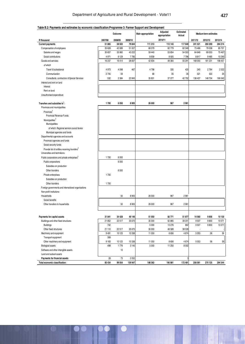## **Table B.2: Payments and estimates by economic classification:Programme 3: Farmer Support and Development**

|                                                           |         | Outcome |         | Main appropriation | Adjusted<br>appropriation | <b>Estimated</b><br>Actual |         | Medium-term estimates |         |
|-----------------------------------------------------------|---------|---------|---------|--------------------|---------------------------|----------------------------|---------|-----------------------|---------|
| R thousand                                                | 2007/08 | 2008/09 | 2009/10 |                    | 2010/11                   |                            | 2011/12 | 2012/13               | 2013/14 |
| <b>Current payments</b>                                   | 51 865  | 58 503  | 79 844  | 111 313            | 112 143                   | 117640                     | 241 521 | 260 269               | 284 214 |
| Compensation of employees                                 | 35 628  | 42 089  | 51 007  | 68 379             | 62 779                    | 62 349                     | 73 4 66 | 79 038                | 85 75 7 |
| Salaries and wages                                        | 30 657  | 35 960  | 43 222  | 59 440             | 53 854                    | 54 553                     | 64 649  | 69 553                | 75 467  |
| Social contributions                                      | 4971    | 6 1 2 9 | 7785    | 8 9 3 9            | 8925                      | 7796                       | 8817    | 9485                  | 10 290  |
| Goods and services                                        | 16 237  | 16414   | 28 837  | 42 934             | 49 364                    | 55 291                     | 168 055 | 181 231               | 198 457 |
| of which                                                  |         |         |         |                    |                           |                            |         |                       |         |
| Travel & subsistance                                      | 4973    | 4 0 9 8 | 467     | 4798               | 335                       | 435                        | 240     | 2764                  | 2 5 22  |
| Communication                                             | 2745    | 59      |         | 68                 | 35                        | 35                         | 521     | 522                   | 24      |
| Consultants, contractors & Special Services               | 532     | 2 3 8 4 | 22 845  | 35 831             | 37 077                    | 42752                      | 136 437 | 148 704               | 166 042 |
| Interest and rent on land                                 |         |         |         |                    |                           |                            |         |                       |         |
| Interest                                                  |         |         |         |                    |                           |                            |         |                       |         |
| Rent on land                                              |         |         |         |                    |                           |                            |         |                       |         |
| Unauthorised expenditure                                  |         |         |         |                    |                           |                            |         |                       |         |
|                                                           |         |         |         |                    |                           |                            |         |                       |         |
| Transfers and subsidies to:                               | 1700    | 6 0 5 0 | 8905    | 26 000             | 967                       | 2961                       |         |                       |         |
| Provinces and municipalities                              |         |         |         |                    |                           |                            |         |                       |         |
| Provinces <sup>2</sup>                                    |         |         |         |                    |                           |                            |         |                       |         |
| Provincial Revenue Funds                                  |         |         |         |                    |                           |                            |         |                       |         |
| Municipalities <sup>3</sup>                               |         |         |         |                    |                           |                            |         |                       |         |
| Municipalities                                            |         |         |         |                    |                           |                            |         |                       |         |
| of which: Regional service council levies                 |         |         |         |                    |                           |                            |         |                       |         |
| Municipal agencies and funds                              |         |         |         |                    |                           |                            |         |                       |         |
| Departmental agencies and accounts                        |         |         |         |                    |                           |                            |         |                       |         |
| Provincial agencies and funds                             |         |         |         |                    |                           |                            |         |                       |         |
| Social security funds                                     |         |         |         |                    |                           |                            |         |                       |         |
| Provide list of entities receiving transfers <sup>4</sup> |         |         |         |                    |                           |                            |         |                       |         |
| Universities and technikons                               |         |         |         |                    |                           |                            |         |                       |         |
| Public corporations and private enterprises <sup>5</sup>  | 1700    | 6 0 0 0 |         |                    |                           |                            |         |                       |         |
| Public corporations                                       |         | 6 0 0 0 |         |                    |                           |                            |         |                       |         |
| Subsidies on production                                   |         |         |         |                    |                           |                            |         |                       |         |
| Other transfers                                           |         | 6 0 0 0 |         |                    |                           |                            |         |                       |         |
| Private enterprises                                       | 1700    |         |         |                    |                           |                            |         |                       |         |
| Subsidies on production                                   |         |         |         |                    |                           |                            |         |                       |         |
| Other transfers                                           | 1700    |         |         |                    |                           |                            |         |                       |         |
| Foreign governments and international organisations       |         |         |         |                    |                           |                            |         |                       |         |
| Non-profit institutions                                   |         |         |         |                    |                           |                            |         |                       |         |
| Households                                                |         | 50      | 8 9 0 5 | 26 000             | 967                       | 2961                       |         |                       |         |
| Social benefits                                           |         |         |         |                    |                           |                            |         |                       |         |
| Other transfers to households                             |         | 50      | 8 9 0 5 | 26 000             | 967                       | 2961                       |         |                       |         |
|                                                           |         |         |         |                    |                           |                            |         |                       |         |
|                                                           |         |         |         |                    |                           |                            |         |                       |         |
| Payments for capital assets                               | 31 841  | 34 4 28 | 49 146  | 51 050             | 82 771                    | 51877                      | 14 5 60 | 9856                  | 10 130  |
| Buildings and other fixed structures                      | 21 852  | 22 517  | 35 670  | 35 000             | 62 865                    | 39 201                     | 9507    | 9800                  | 10 071  |
| <b>Buildings</b>                                          | 742     |         |         | 5 000              | 13 276                    | 662                        | 9507    | 9800                  | 10 071  |
| Other fixed structures                                    | 21 110  | 22 517  | 35 670  | 30 000             | 49 589                    | 38 539                     |         |                       |         |
| Machinery and equipment                                   | 9491    | 10 125  | 10 336  | 11 050             | 8 6 5 6                   | 4674                       | 5053    | 56                    | 59      |
| Transport equipment                                       | 308     |         |         |                    |                           |                            |         |                       |         |
| Other machinery and equipment                             | 9183    | 10 125  | 10 336  | 11 050             | 8656                      | 4674                       | 5053    | 56                    | 59      |
| <b>Biological assets</b>                                  | 498     | 1776    | 3 1 4 0 | 5 0 0 0            | 11 250                    | 8 0 0 2                    |         |                       |         |
| Software and other intangible assets                      |         | 10      |         |                    |                           |                            |         |                       |         |
| Land and subsoil assets                                   |         |         |         |                    |                           |                            |         |                       |         |
| Payments for financial assets                             | 28      | 73      | 2052    |                    |                           | 3                          |         |                       |         |
| Total economic classification:                            | 85 434  | 99 054  | 139 947 | 188 363            | 195 881                   | 172 481                    | 256 081 | 270 125               | 294 344 |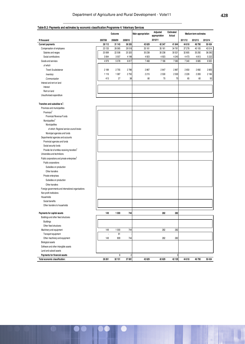| Table B.2: Payments and estimates by economic classification: Programme 4: Veterinary Services |
|------------------------------------------------------------------------------------------------|
|                                                                                                |

|                                                                                          |         | Outcome |                | Main appropriation | Adjusted<br>appropriation | Estimated<br>Actual |         | Medium-term estimates |         |
|------------------------------------------------------------------------------------------|---------|---------|----------------|--------------------|---------------------------|---------------------|---------|-----------------------|---------|
| R thousand                                                                               | 2007/08 | 2008/09 | 2009/10        |                    | 2010/11                   |                     | 2011/12 | 2012/13               | 2013/14 |
| <b>Current payments</b>                                                                  | 28 112  | 31 143  | 36 335         | 42 629             | 42 347                    | 41 844              | 44 618  | 46790                 | 50 434  |
| Compensation of employees                                                                | 23 133  | 26 065  | 29518          | 35 161             | 35 161                    | 34 761              | 37 278  | 40 105                | 43514   |
| Salaries and wages                                                                       | 20 069  | 22 508  | 25 3 20        | 30 238             | 30 238                    | 30 521              | 32 805  | 35 29 2               | 38 292  |
| Social contributions                                                                     | 3 0 6 4 | 3557    | 4198           | 4923               | 4923                      | 4 2 4 0             | 4473    | 4813                  | 5 2 2 2 |
| Goods and services                                                                       | 4979    | 5078    | 6817           | 7468               | 7186                      | 7083                | 7340    | 6685                  | 6920    |
| of which                                                                                 |         |         |                |                    |                           |                     |         |                       |         |
| Travel & subsistance                                                                     | 2 189   | 2755    | 2786           | 2867               | 2647                      | 2867                | 2650    | 2692                  | 2805    |
| Inventory                                                                                | 1116    | 1087    | 2750           | 2215               | 2530                      | 2530                | 2 2 2 6 | 2 2 8 3               | 2 184   |
| Communication                                                                            | 413     | 27      | 38             | 80                 | 70                        | 70                  | 65      | 60                    | 50      |
| Interest and rent on land                                                                |         |         |                |                    |                           |                     |         |                       |         |
| Interest                                                                                 |         |         |                |                    |                           |                     |         |                       |         |
|                                                                                          |         |         |                |                    |                           |                     |         |                       |         |
| Rent on land                                                                             |         |         |                |                    |                           |                     |         |                       |         |
| Unauthorised expenditure                                                                 |         |         |                |                    |                           |                     |         |                       |         |
| Transfers and subsidies to <sup>1</sup> :                                                |         |         |                |                    |                           |                     |         |                       |         |
| Provinces and municipalities                                                             |         |         |                |                    |                           |                     |         |                       |         |
| Provinces <sup>2</sup>                                                                   |         |         |                |                    |                           |                     |         |                       |         |
| <b>Provincial Revenue Funds</b>                                                          |         |         |                |                    |                           |                     |         |                       |         |
| Municipalities <sup>3</sup>                                                              |         |         |                |                    |                           |                     |         |                       |         |
| Municipalities                                                                           |         |         |                |                    |                           |                     |         |                       |         |
| of which: Regional service council levies                                                |         |         |                |                    |                           |                     |         |                       |         |
| Municipal agencies and funds                                                             |         |         |                |                    |                           |                     |         |                       |         |
| Departmental agencies and accounts                                                       |         |         |                |                    |                           |                     |         |                       |         |
| Provincial agencies and funds                                                            |         |         |                |                    |                           |                     |         |                       |         |
| Social security funds                                                                    |         |         |                |                    |                           |                     |         |                       |         |
|                                                                                          |         |         |                |                    |                           |                     |         |                       |         |
| Provide list of entities receiving transfers <sup>4</sup><br>Universities and technikons |         |         |                |                    |                           |                     |         |                       |         |
|                                                                                          |         |         |                |                    |                           |                     |         |                       |         |
| Public corporations and private enterprises <sup>5</sup>                                 |         |         |                |                    |                           |                     |         |                       |         |
| Public corporations                                                                      |         |         |                |                    |                           |                     |         |                       |         |
| Subsidies on production                                                                  |         |         |                |                    |                           |                     |         |                       |         |
| Other transfers                                                                          |         |         |                |                    |                           |                     |         |                       |         |
| Private enterprises                                                                      |         |         |                |                    |                           |                     |         |                       |         |
| Subsidies on production                                                                  |         |         |                |                    |                           |                     |         |                       |         |
| Other transfers                                                                          |         |         |                |                    |                           |                     |         |                       |         |
| Foreign governments and international organisations                                      |         |         |                |                    |                           |                     |         |                       |         |
| Non-profit institutions                                                                  |         |         |                |                    |                           |                     |         |                       |         |
| Households                                                                               |         |         |                |                    |                           |                     |         |                       |         |
| Social benefits                                                                          |         |         |                |                    |                           |                     |         |                       |         |
| Other transfers to households                                                            |         |         |                |                    |                           |                     |         |                       |         |
|                                                                                          |         |         |                |                    |                           |                     |         |                       |         |
| Payments for capital assets                                                              | 149     | 1 000   | 744            |                    | 282                       | 282                 |         |                       |         |
| Buildings and other fixed structures                                                     |         |         |                |                    |                           |                     |         |                       |         |
| <b>Buildings</b>                                                                         |         |         |                |                    |                           |                     |         |                       |         |
| Other fixed structures                                                                   |         |         |                |                    |                           |                     |         |                       |         |
| Machinery and equipment                                                                  | 149     | 1 0 0 0 | 744            |                    | 282                       | 282                 |         |                       |         |
| Transport equipment                                                                      | ä,      | 91      |                |                    |                           |                     |         |                       |         |
| Other machinery and equipment                                                            | 149     | 909     | 744            |                    | 282                       | 282                 |         |                       |         |
| <b>Biological assets</b>                                                                 |         |         |                |                    |                           |                     |         |                       |         |
| Software and other intangible assets                                                     |         |         |                |                    |                           |                     |         |                       |         |
| Land and subsoil assets                                                                  |         |         |                |                    |                           |                     |         |                       |         |
| Payments for financial assets                                                            |         | 8       | $\overline{2}$ |                    |                           | 3                   |         |                       |         |
| Total economic classification:                                                           | 28 26 1 | 32 151  | 37 081         | 42 629             | 42 629                    | 42 129              | 44 618  | 46 790                | 50 434  |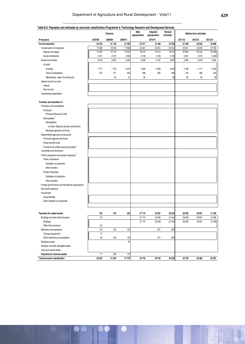| Table B.2: Payments and estimates by economic classification:Programme 5: Technology Research and Development Services |  |
|------------------------------------------------------------------------------------------------------------------------|--|
|                                                                                                                        |  |

|                                                           |         | Outcome |         | Main<br>appropriation | Adjusted<br>appropriation | Revised<br>estimates |         | Medium-term estimates |         |
|-----------------------------------------------------------|---------|---------|---------|-----------------------|---------------------------|----------------------|---------|-----------------------|---------|
| R thous and                                               | 2007/08 | 2008/09 | 2009/10 |                       | 2010/11                   |                      | 2011/12 | 2012/13               | 2013/14 |
| <b>Current payments</b>                                   | 20783   | 21 120  | 21 393  | 27 571                | 27448                     | 27 032               | 27 306  | 28 635                | 30 998  |
| Compensation of employees                                 | 17 365  | 18 245  | 17926   | 22 341                | 22 341                    | 22 341               | 23 811  | 25 616                | 27 794  |
| Salaries and wages                                        | 15 044  | 15770   | 15 361  | 19 213                | 19213                     | 19213                | 20 954  | 22 542                | 24 458  |
| Social contributions                                      | 2 3 2 1 | 2475    | 2 5 6 5 | 3 1 28                | 3128                      | 3128                 | 2857    | 3074                  | 3 3 3 6 |
| Goods and services                                        | 3418    | 2875    | 3 4 6 7 | 5 2 3 0               | 5107                      | 4691                 | 3495    | 3019                  | 3 2 0 4 |
| of which                                                  |         |         |         |                       |                           |                      |         |                       |         |
| Inventory                                                 | 1777    | 1778    | 2 2 4 7 | 3 2 2 9               | 2529                      | 2 2 2 9              | 2169    | 2117                  | 2 2 3 2 |
| Travel & subsistance                                      | 570     | 517     | 454     | 598                   | 600                       | 600                  | 416     | 482                   | 442     |
| Maintenance, repair & running cost                        |         | 32      | 21      | 56                    |                           | 65                   | 55      | 54                    | 53      |
| Interest and rent on land                                 |         |         |         |                       |                           |                      |         |                       |         |
| Interest                                                  |         |         |         |                       |                           |                      |         |                       |         |
| Rent on land                                              |         |         |         |                       |                           |                      |         |                       |         |
| Unauthorised expenditure                                  |         |         |         |                       |                           |                      |         |                       |         |
|                                                           |         |         |         |                       |                           |                      |         |                       |         |
| Transfers and subsidies to:                               |         |         |         |                       |                           |                      |         |                       |         |
| Provinces and municipalities                              |         |         |         |                       |                           |                      |         |                       |         |
| Provinces <sup>2</sup>                                    |         |         |         |                       |                           |                      |         |                       |         |
| Provincial Revenue Funds                                  |         |         |         |                       |                           |                      |         |                       |         |
| Municipalities <sup>3</sup>                               |         |         |         |                       |                           |                      |         |                       |         |
| Municipalities                                            |         |         |         |                       |                           |                      |         |                       |         |
| of which: Regional service council levies                 |         |         |         |                       |                           |                      |         |                       |         |
| Municipal agencies and funds                              |         |         |         |                       |                           |                      |         |                       |         |
| Departmental agencies and accounts                        |         |         |         |                       |                           |                      |         |                       |         |
| Provincial agencies and funds                             |         |         |         |                       |                           |                      |         |                       |         |
| Social security funds                                     |         |         |         |                       |                           |                      |         |                       |         |
| Provide list of entities receiving transfers <sup>4</sup> |         |         |         |                       |                           |                      |         |                       |         |
| Universities and technikons                               |         |         |         |                       |                           |                      |         |                       |         |
| Public corporations and private enterprises <sup>5</sup>  |         |         |         |                       |                           |                      |         |                       |         |
| Public corporations                                       |         |         |         |                       |                           |                      |         |                       |         |
| Subsidies on production                                   |         |         |         |                       |                           |                      |         |                       |         |
| Other transfers                                           |         |         |         |                       |                           |                      |         |                       |         |
| Private enterprises                                       |         |         |         |                       |                           |                      |         |                       |         |
| Subsidies on production                                   |         |         |         |                       |                           |                      |         |                       |         |
| Other transfers                                           |         |         |         |                       |                           |                      |         |                       |         |
| Foreign governments and international organisations       |         |         |         |                       |                           |                      |         |                       |         |
| Non-profit institutions                                   |         |         |         |                       |                           |                      |         |                       |         |
| Households                                                |         |         |         |                       |                           |                      |         |                       |         |
| Social benefits                                           |         |         |         |                       |                           |                      |         |                       |         |
| Other transfers to households                             |         |         |         |                       |                           |                      |         |                       |         |
|                                                           |         |         |         |                       |                           |                      |         |                       |         |
|                                                           |         |         |         |                       |                           |                      |         |                       |         |
| Payments for capital assets                               | 135     | 105     | 203     | 27 174                | 22 297                    | 22 003               | 28 4 29 | 29 851                | 31 493  |
| Buildings and other fixed structures                      | 25      |         |         | 27 174                | 22 046                    | 21 4 4 4             | 28 4 29 | 29 851                | 31 493  |
| <b>Buildings</b>                                          |         |         |         | 27 174                | 22 046                    | 21 4 4 4             | 28 4 29 | 29 851                | 31 493  |
| Other fixed structures                                    | 25      |         |         |                       |                           |                      |         |                       |         |
| Machinery and equipment                                   | 110     | 105     | 122     |                       | 251                       | 559                  |         |                       |         |
| Transport equipment                                       | 17      |         |         |                       |                           |                      |         |                       |         |
| Other machinery and equipment                             | 93      | 105     | 122     |                       | 251                       | 559                  |         |                       |         |
| <b>Biological assets</b>                                  |         |         | 81      |                       |                           |                      |         |                       |         |
| Software and other intangible assets                      |         |         |         |                       |                           |                      |         |                       |         |
| Land and subsoil assets                                   |         |         |         |                       |                           |                      |         |                       |         |
| Payments for financial assets                             | 17      | 329     | 179     |                       |                           |                      |         |                       |         |
| Total economic classification:                            | 20 935  | 21 554  | 21 775  | 54 745                | 49745                     | 49 035               | 55 735  | 58 4 86               | 62 491  |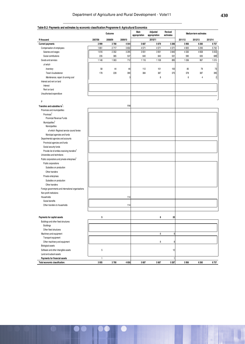| Table B.2: Payments and estimates by economic classification: Programme 6: Agricultural Economics |              |         |         |                       |                           |                      |         |                       |                         |
|---------------------------------------------------------------------------------------------------|--------------|---------|---------|-----------------------|---------------------------|----------------------|---------|-----------------------|-------------------------|
|                                                                                                   |              | Outcome |         | Main<br>appropriation | Adjusted<br>appropriation | Revised<br>estimates |         | Medium-term estimates |                         |
| R thousand                                                                                        | 2007/08      | 2008/09 | 2009/10 |                       | 2010/11                   |                      | 2011/12 | 2012/13               | 2013/14                 |
| <b>Current payments</b>                                                                           | 2999         | 3780    | 4544    | 5687                  | 5679                      | 5 2 6 6              | 5956    | 6260                  | 6757                    |
| Compensation of employees                                                                         | 1851         | 2717    | 3832    | 4571                  | 4571                      | 4 3 7 1              | 4 9 20  | 5 2 9 3               | 5742                    |
| Salaries and wages                                                                                | 1616         | 2 3 5 2 | 3 2 9 5 | 3 9 3 1               | 3931                      | 3840                 | 4 3 3 0 | 4658                  | 5053                    |
| Social contributions                                                                              | 235          | 365     | 537     | 640                   | 640                       | 531                  | 590     | 635                   | 689                     |
| Goods and services                                                                                | 1148         | 1 0 6 3 | 712     | 1 1 1 6               | 1 1 0 8                   | 895                  | 1 0 36  | 967                   | 1015                    |
| of which                                                                                          |              |         |         |                       |                           |                      |         |                       |                         |
| Inventory                                                                                         | 58           | 44      | 46      | 112                   | 101                       | 100                  | 85      | 79                    | 73                      |
| Travel & subsistance                                                                              | 178          | 228     | 390     | 384                   | 387                       | 375                  | 378     | 387                   | 395                     |
| Maintenance, repair & running cost                                                                |              |         | 3       |                       | 8                         |                      | 6       | 4                     | $\overline{\mathbf{c}}$ |
| Interest and rent on land                                                                         |              |         |         |                       |                           |                      |         |                       |                         |
| Interest                                                                                          |              |         |         |                       |                           |                      |         |                       |                         |
| Rent on land                                                                                      |              |         |         |                       |                           |                      |         |                       |                         |
| Unauthorised expenditure                                                                          |              |         |         |                       |                           |                      |         |                       |                         |
|                                                                                                   |              |         |         |                       |                           |                      |         |                       |                         |
| P                                                                                                 |              |         |         |                       |                           |                      |         |                       |                         |
| Transfers and subsidies to <sup>1</sup> :                                                         |              |         | 114     |                       |                           |                      |         |                       |                         |
| Provinces and municipalities                                                                      |              |         |         |                       |                           |                      |         |                       |                         |
| Provinces <sup>2</sup>                                                                            |              |         |         |                       |                           |                      |         |                       |                         |
| Provincial Revenue Funds                                                                          |              |         |         |                       |                           |                      |         |                       |                         |
| Municipalities <sup>3</sup>                                                                       |              |         |         |                       |                           |                      |         |                       |                         |
| Municipalities                                                                                    |              |         |         |                       |                           |                      |         |                       |                         |
| of which: Regional service council levies                                                         |              |         |         |                       |                           |                      |         |                       |                         |
| Municipal agencies and funds                                                                      |              |         |         |                       |                           |                      |         |                       |                         |
| Departmental agencies and accounts                                                                |              |         |         |                       |                           |                      |         |                       |                         |
| Provincial agencies and funds                                                                     |              |         |         |                       |                           |                      |         |                       |                         |
| Social security funds                                                                             |              |         |         |                       |                           |                      |         |                       |                         |
| Provide list of entities receiving transfers <sup>4</sup>                                         |              |         |         |                       |                           |                      |         |                       |                         |
| Universities and technikons                                                                       |              |         |         |                       |                           |                      |         |                       |                         |
| Public corporations and private enterprises <sup>5</sup>                                          |              |         |         |                       |                           |                      |         |                       |                         |
| Public corporations                                                                               |              |         |         |                       |                           |                      |         |                       |                         |
| Subsidies on production                                                                           |              |         |         |                       |                           |                      |         |                       |                         |
| Other transfers                                                                                   |              |         |         |                       |                           |                      |         |                       |                         |
| Private enterprises                                                                               |              |         |         |                       |                           |                      |         |                       |                         |
| Subsidies on production                                                                           |              |         |         |                       |                           |                      |         |                       |                         |
| Other transfers                                                                                   |              |         |         |                       |                           |                      |         |                       |                         |
| Foreign governments and international organisations                                               |              |         |         |                       |                           |                      |         |                       |                         |
| Non-profit institutions                                                                           |              |         |         |                       |                           |                      |         |                       |                         |
| Households                                                                                        |              |         | 114     |                       |                           |                      |         |                       |                         |
| Social benefits                                                                                   |              |         |         |                       |                           |                      |         |                       |                         |
| Other transfers to households                                                                     |              |         | 114     |                       |                           |                      |         |                       |                         |
|                                                                                                   |              |         |         |                       |                           |                      |         |                       |                         |
|                                                                                                   |              |         |         |                       |                           |                      |         |                       |                         |
| Payments for capital assets                                                                       | 5            |         |         |                       | 8                         | 20                   |         |                       |                         |
| Buildings and other fixed structures                                                              |              |         |         |                       |                           |                      |         |                       |                         |
| <b>Buildings</b>                                                                                  |              |         |         |                       |                           |                      |         |                       |                         |
| Other fixed structures                                                                            |              |         |         |                       |                           |                      |         |                       |                         |
| Machinery and equipment                                                                           |              |         |         |                       | 8                         | 8                    |         |                       |                         |
| Transport equipment                                                                               |              |         |         |                       |                           |                      |         |                       |                         |
| Other machinery and equipment                                                                     |              |         |         |                       | 8                         | 8                    |         |                       |                         |
| <b>Biological assets</b>                                                                          |              |         |         |                       |                           |                      |         |                       |                         |
| Software and other intangible assets                                                              | 5            |         |         |                       |                           | 12                   |         |                       |                         |
| Land and subsoil assets                                                                           |              |         |         |                       |                           |                      |         |                       |                         |
| Payments for financial assets                                                                     | $\mathbf{1}$ |         |         |                       |                           | 1                    |         |                       |                         |
| Total economic classification:                                                                    | 3 0 0 5      | 3780    | 4 6 58  | 5687                  | 5 6 8 7                   | 5 2 8 7              | 5956    | 6260                  | 6757                    |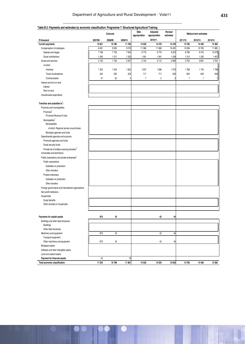| Table B.2: Payments and estimates by economic classification: Programme 7: Structured Agricultural Training |         | Outcome |                   | Main           | Adjusted                 | Revised        |                  | Medium-term estimates |                   |
|-------------------------------------------------------------------------------------------------------------|---------|---------|-------------------|----------------|--------------------------|----------------|------------------|-----------------------|-------------------|
|                                                                                                             | 2007/08 | 2008/09 |                   | appropriation  | appropriation<br>2010/11 | estimates      |                  |                       |                   |
| R thousand<br><b>Current payments</b>                                                                       | 10621   | 10780   | 2009/10<br>11 783 | 14 5 20        | 14 4 78                  | 13 4 76        | 2011/12<br>13756 | 2012/13<br>14 4 26    | 2013/14<br>15 382 |
| Compensation of employees                                                                                   | 8491    | 9 0 5 0 | 9276              | 11 366         | 11 366                   | 10 481         | 10 006           | 10765                 | 11 680            |
| Salaries and wages                                                                                          | 7198    | 7733    | 7943              | 9775           | 9775                     | 9223           | 8796             | 9473                  | 10279             |
| Social contributions                                                                                        | 1293    | 1317    | 1 3 3 3           | 1591           | 1591                     | 1 2 5 8        | 1210             | 1 2 9 2               | 1401              |
| Goods and services                                                                                          | 2 1 3 0 | 1730    | 2507              | 3 1 5 4        | 3112                     | 2995           | 3750             | 3661                  | 3702              |
| of which                                                                                                    |         |         |                   |                |                          |                |                  |                       |                   |
| Inventory                                                                                                   | 1 3 2 3 | 1 0 5 4 | 1622              | 1637           | 1586                     | 1570           | 1788             | 1743                  | 1789              |
| Travel & subsistance                                                                                        | 445     | 265     | 220               | 717            | 717                      | 500            | 650              | 650                   | 650               |
| Communication                                                                                               | 47      | 22      |                   | $\overline{7}$ | $\overline{c}$           | $\overline{2}$ | 1                | 1                     | $\mathbf{1}$      |
| Interest and rent on land                                                                                   |         |         |                   |                |                          |                |                  |                       |                   |
| Interest                                                                                                    |         |         |                   |                |                          |                |                  |                       |                   |
| Rent on land                                                                                                |         |         |                   |                |                          |                |                  |                       |                   |
| Unauthorised expenditure                                                                                    |         |         |                   |                |                          |                |                  |                       |                   |
|                                                                                                             |         |         |                   |                |                          |                |                  |                       |                   |
| Transfers and subsidies to <sup>1</sup> :                                                                   |         |         |                   |                |                          |                |                  |                       |                   |
| Provinces and municipalities                                                                                |         |         |                   |                |                          |                |                  |                       |                   |
| Provinces <sup>2</sup>                                                                                      |         |         |                   |                |                          |                |                  |                       |                   |
| Provincial Revenue Funds                                                                                    |         |         |                   |                |                          |                |                  |                       |                   |
| Municipalities <sup>3</sup><br>Municipalities                                                               |         |         |                   |                |                          |                |                  |                       |                   |
| of which: Regional service council levies                                                                   |         |         |                   |                |                          |                |                  |                       |                   |
| Municipal agencies and funds                                                                                |         |         |                   |                |                          |                |                  |                       |                   |
| Departmental agencies and accounts                                                                          |         |         |                   |                |                          |                |                  |                       |                   |
| Provincial agencies and funds                                                                               |         |         |                   |                |                          |                |                  |                       |                   |
| Social security funds                                                                                       |         |         |                   |                |                          |                |                  |                       |                   |
| Provide list of entities receiving transfers <sup>4</sup>                                                   |         |         |                   |                |                          |                |                  |                       |                   |
| Universities and technikons                                                                                 |         |         |                   |                |                          |                |                  |                       |                   |
| Public corporations and private enterprises <sup>5</sup>                                                    |         |         |                   |                |                          |                |                  |                       |                   |
| Public corporations                                                                                         |         |         |                   |                |                          |                |                  |                       |                   |
| Subsidies on production                                                                                     |         |         |                   |                |                          |                |                  |                       |                   |
| Other transfers                                                                                             |         |         |                   |                |                          |                |                  |                       |                   |
| Private enterprises                                                                                         |         |         |                   |                |                          |                |                  |                       |                   |
| Subsidies on production                                                                                     |         |         |                   |                |                          |                |                  |                       |                   |
| Other transfers                                                                                             |         |         |                   |                |                          |                |                  |                       |                   |
| Foreign governments and international organisations                                                         |         |         |                   |                |                          |                |                  |                       |                   |
| Non-profit institutions                                                                                     |         |         |                   |                |                          |                |                  |                       |                   |
| Households                                                                                                  |         |         |                   |                |                          |                |                  |                       |                   |
| Social benefits                                                                                             |         |         |                   |                |                          |                |                  |                       |                   |
| Other transfers to households                                                                               |         |         |                   |                |                          |                |                  |                       |                   |
|                                                                                                             |         |         |                   |                |                          |                |                  |                       |                   |
| Payments for capital assets                                                                                 | 670     | 18      |                   |                | 42                       | 44             |                  |                       |                   |
| Buildings and other fixed structures                                                                        |         |         |                   |                |                          |                |                  |                       |                   |
| <b>Buildings</b>                                                                                            |         |         |                   |                |                          |                |                  |                       |                   |
| Other fixed structures                                                                                      |         |         |                   |                |                          |                |                  |                       |                   |
| Machinery and equipment                                                                                     | 670     | 18      |                   |                | 42                       | 44             |                  |                       |                   |
| Transport equipment                                                                                         |         |         |                   |                |                          |                |                  |                       |                   |
| Other machinery and equipment                                                                               | 670     | 18      |                   |                | 42                       | 44             |                  |                       |                   |
| <b>Biological assets</b>                                                                                    |         |         |                   |                |                          |                |                  |                       |                   |
| Software and other intangible assets                                                                        |         |         |                   |                |                          |                |                  |                       |                   |
| Land and subsoil assets                                                                                     |         |         |                   |                |                          |                |                  |                       |                   |
| Payment for financial assets                                                                                | 43      |         | 18                |                |                          |                |                  |                       |                   |
| Total economic classification:                                                                              | 11 334  | 10798   | 11 801            | 14 5 20        | 14520                    | 13 5 20        | 13756            | 14 4 26               | 15 382            |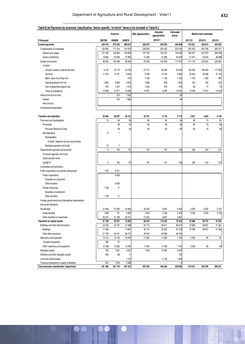#### **Table B.3a:Payments by economic classification: Sector specific "of which" items to be included in Table B.2**

|                                                     |         | Outcome        |         | Main appropriation | Adjusted<br>appropriation | Estimated<br>Actual |         | Medium-term estimates |         |
|-----------------------------------------------------|---------|----------------|---------|--------------------|---------------------------|---------------------|---------|-----------------------|---------|
| R thousand                                          | 2007/08 | 2008/09        | 2009/10 |                    | 2010/11                   |                     | 2011/12 | 2012/13               | 2013/14 |
| <b>Current payments</b>                             | 220 474 | 272 032        | 289872  | 326 070            | 326 003                   | 340 808             | 473 051 | 506 815               | 540 603 |
| Compensation of employees                           | 150 840 | 171 314        | 191978  | 228 550            | 225 450                   | 223 035             | 261 932 | 281795                | 305 747 |
| Salaries and wages                                  | 131 036 | 148 365        | 163983  | 197190             | 193754                    | 193 496             | 230 491 | 247 979               | 269 058 |
| Social contributions                                | 19 804  | 22 949         | 27 995  | 31 360             | 31 696                    | 29 539              | 31 441  | 33816                 | 36 689  |
| Goods and services                                  | 69 634  | 100 348        | 96 064  | 97520              | 100 553                   | 117 675             | 211 119 | 225 020               | 234 856 |
| of which                                            |         |                |         |                    |                           |                     |         |                       |         |
| Consult, contract & special services                | 8 1 3 3 | 22 716         | 34 705  | 47721              | 49 39 5                   | 53 934              | 145 040 | 160 904               | 177 950 |
| Inventory                                           | 11 575  | 14 191         | 9585    | 9766               | 10742                     | 9990                | 35 063  | 35 908                | 37 185  |
| Maint, repair & running cost                        |         |                | 810     | 1163               | 1 1 6 3                   | 1 1 6 3             | 1105    | 1 0 5 0               | 997     |
| Operating leases incl rent                          | 4835    | 4809           | 9022    | 4 0 8 5            | 946                       | 1564                | 153     | 164                   | 221     |
| Own & leasehold property exp                        | 570     | 1 0 0 7        | 1016    | 1055               | 979                       | 979                 | 86      | 77                    | 70      |
| Travel & subsistence                                | 19 369  | 31 971         | 16836   | 14 597             | 9 4 9 4                   | 19 240              | 15448   | 17610                 | 12 645  |
| Interest and rent on land                           |         | 370            | 1830    |                    |                           | 98                  |         |                       |         |
| Interest                                            |         | 370            | 1830    |                    |                           | 98                  |         |                       |         |
| Rent on land                                        |         |                |         |                    |                           |                     |         |                       |         |
| Unauthorised expenditure                            |         |                |         |                    |                           |                     |         |                       |         |
|                                                     |         |                |         |                    |                           |                     |         |                       |         |
| <b>Transfers and subsidies</b>                      | 23 5 64 | 38 207         | 26 127  | 30751              | 9718                      | 9712                | 3 3 0 1 | 3824                  | 4 105   |
| Provinces and municipalities                        | 10      | 46             | 50      | 60                 | 60                        | 60                  | 65      | 70                    | 80      |
| Provinces2                                          |         | 39             | 50      | 60                 | 60                        | 60                  | 65      | 70                    | 80      |
| Provincial Revenue Funds                            |         | 39             | 50      | 60                 | 60                        | 60                  | 65      | 70                    | 80      |
| Municipalities3                                     | 10      | $\overline{7}$ |         |                    |                           |                     |         |                       |         |
| Municipalities                                      |         |                |         |                    |                           |                     |         |                       |         |
| of which: Regional service council levies           |         |                |         |                    |                           |                     |         |                       |         |
| Municipal agencies and funds                        | 10      | 7              |         |                    |                           |                     |         |                       |         |
| Departmental agencies and accounts                  | 5       | 160            | 172     | 191                | 191                       | 196                 | 236     | 254                   | 275     |
| Provincial agencies and funds                       |         |                |         |                    |                           |                     |         |                       |         |
| Social security funds                               |         |                |         |                    |                           |                     |         |                       |         |
| AgriSETA                                            | 5       | 160            | 172     | 191                | 191                       | 196                 | 236     | 254                   | 275     |
| Universities and technikons                         |         |                |         |                    |                           |                     |         |                       |         |
| Public corporations and private enterprises5        | 1700    | 6071           |         |                    |                           |                     |         |                       |         |
| Public corporations                                 |         | 6000           |         |                    |                           |                     |         |                       |         |
| Subsidies on production                             |         |                |         |                    |                           |                     |         |                       |         |
| Other transfers                                     |         | 6000           |         |                    |                           |                     |         |                       |         |
| Private enterprises                                 | 1700    | 71             |         |                    |                           |                     |         |                       |         |
| Subsidies on production                             |         |                |         |                    |                           |                     |         |                       |         |
| Other transfers                                     | 1700    | 71             |         |                    |                           |                     |         |                       |         |
| Foreign governments and international organisations |         |                |         |                    |                           |                     |         |                       |         |
| Non-profit institutions                             |         |                |         |                    |                           |                     |         |                       |         |
| Households                                          | 21 849  | 31 930         | 25 905  | 30 500             | 9467                      | 9456                | 3 0 0 0 | 3500                  | 3750    |
| Social benefits                                     | 1848    | 731            | 4 9 9 4 | 3500               | 2500                      | 2 4 9 5             | 3 0 0 0 | 3500                  | 3750    |
| Other transfers to households                       | 20 001  | 31 199         | 20911   | 27 000             | 6967                      | 6961                |         |                       |         |
| Payments for capital assets                         | 47 186  | 50 231         | 72 820  | 80 224             | 110 342                   | 79 324              | 42 989  | 39707                 | 41 623  |
| Buildings and other fixed structures                | 33 4 45 | 33 191         | 51 088  | 62 174             | 84 911                    | 60 814              | 37936   | 39 651                | 41 5 64 |
| <b>Buildings</b>                                    | 11 646  |                | 14 9 61 | 32 174             | 35 322                    | 22 106              | 37936   | 39 651                | 41 5 64 |
| Other fixed structures                              | 21 799  | 33 191         | 36 127  | 30 000             | 49 589                    | 38 708              |         |                       |         |
| Machinery and equipment                             | 12 514  | 15 15 3        | 15 042  | 11 050             | 11 0 26                   | 7164                | 5053    | 56                    | 59      |
| Transport equipment                                 | 325     | 91             |         |                    |                           |                     |         |                       |         |
| Other machinery and equipment                       | 12 189  | 15 062         | 15 042  | 11 050             | 11 0 26                   | 7 1 6 4             | 5053    | 56                    | 59      |
| <b>Biological assets</b>                            | 735     | 1821           | 5557    | 7 000              | 12 305                    | 9245                |         |                       |         |
| Software and other intangible assets                | 492     | 66             | 11      |                    |                           | 152                 |         |                       |         |
| Land and subsoil assets                             |         |                | 1 1 2 2 |                    | 2100                      | 1949                |         |                       |         |
| Financial transactions in assets & liabilities      | 261     | 1 2 4 0        | 2 3 8 8 |                    |                           | 9                   |         |                       |         |
| Total economic classification: Department           | 291 485 | 361710         | 391 207 | 437 045            | 446 063                   | 429 853             | 519341  | 550 346               | 586 331 |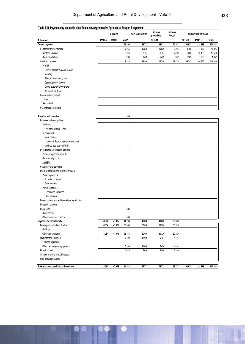|                                                     |         | Outcome |         | Main appropriation | Adjusted<br>appropriation | Estimated<br>Actual |         | Medium-term estimates |         |
|-----------------------------------------------------|---------|---------|---------|--------------------|---------------------------|---------------------|---------|-----------------------|---------|
| R thousand                                          | 2007/08 | 2008/09 | 2009/10 |                    | 2010/11                   |                     | 2011/12 | 2012/13               | 2013/14 |
| <b>Current payments</b>                             |         |         | 16 4 05 | 29772              | 25 972                    | 20 972              | 102 932 | 114829                | 131 484 |
| Compensation of employees                           |         |         | 7065    | 10226              | 10 2 26                   | 8226                | 13 189  | 14 189                | 15 3 95 |
| Salaries and wages                                  |         |         | 6076    | 8794               | 8794                      | 7239                | 11 606  | 12 4 8 6              | 13548   |
| Social contributions                                |         |         | 989     | 1432               | 1432                      | 987                 | 1583    | 1703                  | 1847    |
| Goods and services                                  |         |         | 9340    | 19546              | 15746                     | 12746               | 89743   | 100 640               | 116 089 |
| of which                                            |         |         |         |                    |                           |                     |         |                       |         |
| Consult, contract & special services                |         |         |         |                    |                           |                     |         |                       |         |
| Inventory                                           |         |         |         |                    |                           |                     |         |                       |         |
| Maint, repair & running cost                        |         |         |         |                    |                           |                     |         |                       |         |
| Operating leases incl rent                          |         |         |         |                    |                           |                     |         |                       |         |
| Own & leasehold property exp                        |         |         |         |                    |                           |                     |         |                       |         |
| Travel & subsistence                                |         |         |         |                    |                           |                     |         |                       |         |
| Interest and rent on land                           |         |         |         |                    |                           |                     |         |                       |         |
| Interest                                            |         |         |         |                    |                           |                     |         |                       |         |
| Rent on land                                        |         |         |         |                    |                           |                     |         |                       |         |
| Unauthorised expenditure                            |         |         |         |                    |                           |                     |         |                       |         |
|                                                     |         |         |         |                    |                           |                     |         |                       |         |
| <b>Transfers and subsidies</b>                      |         |         | 339     |                    |                           |                     |         |                       |         |
| Provinces and municipalities                        |         |         |         |                    |                           |                     |         |                       |         |
| Provinces2                                          |         |         |         |                    |                           |                     |         |                       |         |
| <b>Provincial Revenue Funds</b>                     |         |         |         |                    |                           |                     |         |                       |         |
| Municipalities3                                     |         |         |         |                    |                           |                     |         |                       |         |
| Municipalities                                      |         |         |         |                    |                           |                     |         |                       |         |
| of which: Regional service council levies           |         |         |         |                    |                           |                     |         |                       |         |
| Municipal agencies and funds                        |         |         |         |                    |                           |                     |         |                       |         |
| Departmental agencies and accounts                  |         |         |         |                    |                           |                     |         |                       |         |
| Provincial agencies and funds                       |         |         |         |                    |                           |                     |         |                       |         |
| Social security funds                               |         |         |         |                    |                           |                     |         |                       |         |
| AgriSETA                                            |         |         |         |                    |                           |                     |         |                       |         |
| Universities and technikons                         |         |         |         |                    |                           |                     |         |                       |         |
| Public corporations and private enterprises5        |         |         |         |                    |                           |                     |         |                       |         |
| Public corporations                                 |         |         |         |                    |                           |                     |         |                       |         |
| Subsidies on production                             |         |         |         |                    |                           |                     |         |                       |         |
| Other transfers                                     |         |         |         |                    |                           |                     |         |                       |         |
| Private enterprises                                 |         |         |         |                    |                           |                     |         |                       |         |
| Subsidies on production                             |         |         |         |                    |                           |                     |         |                       |         |
| Other transfers                                     |         |         |         |                    |                           |                     |         |                       |         |
| Foreign governments and international organisations |         |         |         |                    |                           |                     |         |                       |         |
| Non-profit institutions                             |         |         |         |                    |                           |                     |         |                       |         |
| Households                                          |         |         | 339     |                    |                           |                     |         |                       |         |
| Social benefits                                     |         |         |         |                    |                           |                     |         |                       |         |
| Other transfers to households                       |         |         | 339     |                    |                           |                     |         |                       |         |
| Payments for capital assets                         | 38 084  | 47 975  | 44 769  | 46 000             | 49 800                    | 38 800              |         |                       |         |
| Buildings and other fixed structures                | 38 084  | 47 975  | 36 856  | 30 000             | 39 320                    | 30 320              |         |                       |         |
| <b>Buildings</b>                                    |         |         |         |                    |                           |                     |         |                       |         |
| Other fixed structures                              | 38 084  | 47975   | 36 856  | 30 000             | 39 320                    | 30 320              |         |                       |         |
| Machinery and equipment                             |         |         | 6890    | 11 000             | 5494                      | 4 4 9 4             |         |                       |         |
| Transport equipment                                 |         |         |         |                    |                           |                     |         |                       |         |
| Other machinery and equipment                       |         |         | 6890    | 11 000             | 5494                      | 4 4 9 4             |         |                       |         |
| <b>Biological assets</b>                            |         |         | 1 0 2 3 | 5 0 0 0            | 4986                      | 3986                |         |                       |         |
| Software and other intangible assets                |         |         |         |                    |                           |                     |         |                       |         |
| Land and subsoil assets                             |         |         |         |                    |                           |                     |         |                       |         |
|                                                     |         |         |         |                    |                           |                     |         |                       |         |
| Total economic classification: Department           | 38 084  | 47 975  | 61 513  | 75772              | 75 772                    | 59772               | 102 932 | 114829                | 131 484 |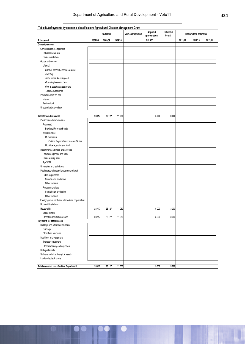|                                                     |         | Outcome |         | Main appropriation | Adjusted<br>appropriation | Estimated<br>Actual |         | Medium-term estimates |         |
|-----------------------------------------------------|---------|---------|---------|--------------------|---------------------------|---------------------|---------|-----------------------|---------|
| R thousand                                          | 2007/08 | 2008/09 | 2009/10 |                    | 2010/11                   |                     | 2011/12 | 2012/13               | 2013/14 |
| <b>Current payments</b>                             |         |         |         |                    |                           |                     |         |                       |         |
| Compensation of employees                           |         |         |         |                    |                           |                     |         |                       |         |
| Salaries and wages                                  |         |         |         |                    |                           |                     |         |                       |         |
| Social contributions                                |         |         |         |                    |                           |                     |         |                       |         |
| Goods and services                                  |         |         |         |                    |                           |                     |         |                       |         |
| of which                                            |         |         |         |                    |                           |                     |         |                       |         |
| Consult, contract & special services                |         |         |         |                    |                           |                     |         |                       |         |
| Inventory                                           |         |         |         |                    |                           |                     |         |                       |         |
| Maint, repair & running cost                        |         |         |         |                    |                           |                     |         |                       |         |
| Operating leases incl rent                          |         |         |         |                    |                           |                     |         |                       |         |
| Own & leasehold property exp                        |         |         |         |                    |                           |                     |         |                       |         |
| Travel & subsistence                                |         |         |         |                    |                           |                     |         |                       |         |
| Interest and rent on land                           |         |         |         |                    |                           |                     |         |                       |         |
| Interest                                            |         |         |         |                    |                           |                     |         |                       |         |
| Rent on land                                        |         |         |         |                    |                           |                     |         |                       |         |
| Unauthorised expenditure                            |         |         |         |                    |                           |                     |         |                       |         |
|                                                     |         |         |         |                    |                           |                     |         |                       |         |
| <b>Transfers and subsidies</b>                      | 28 417  | 26 127  | 11 053  |                    | 5 0 0 0                   | 3 0 0 0             |         |                       |         |
| Provinces and municipalities                        |         |         |         |                    |                           |                     |         |                       |         |
| Provinces2                                          |         |         |         |                    |                           |                     |         |                       |         |
| Provincial Revenue Funds                            |         |         |         |                    |                           |                     |         |                       |         |
| Municipalities3                                     |         |         |         |                    |                           |                     |         |                       |         |
| Municipalities                                      |         |         |         |                    |                           |                     |         |                       |         |
| of which: Regional service council levies           |         |         |         |                    |                           |                     |         |                       |         |
| Municipal agencies and funds                        |         |         |         |                    |                           |                     |         |                       |         |
| Departmental agencies and accounts                  |         |         |         |                    |                           |                     |         |                       |         |
| Provincial agencies and funds                       |         |         |         |                    |                           |                     |         |                       |         |
| Social security funds                               |         |         |         |                    |                           |                     |         |                       |         |
| AgriSETA                                            |         |         |         |                    |                           |                     |         |                       |         |
| Universities and technikons                         |         |         |         |                    |                           |                     |         |                       |         |
| Public corporations and private enterprises5        |         |         |         |                    |                           |                     |         |                       |         |
| Public corporations                                 |         |         |         |                    |                           |                     |         |                       |         |
| Subsidies on production                             |         |         |         |                    |                           |                     |         |                       |         |
| Other transfers                                     |         |         |         |                    |                           |                     |         |                       |         |
| Private enterprises                                 |         |         |         |                    |                           |                     |         |                       |         |
| Subsidies on production                             |         |         |         |                    |                           |                     |         |                       |         |
| Other transfers                                     |         |         |         |                    |                           |                     |         |                       |         |
|                                                     |         |         |         |                    |                           |                     |         |                       |         |
| Foreign governments and international organisations |         |         |         |                    |                           |                     |         |                       |         |
| Non-profit institutions                             |         |         |         |                    |                           |                     |         |                       |         |
| Households                                          | 28 417  | 26 127  | 11 053  |                    | 5 0 0 0                   | 3 0 0 0             |         |                       |         |
| Social benefits<br>Other transfers to households    |         |         |         |                    |                           |                     |         |                       |         |
| Payments for capital assets                         | 28 417  | 26 127  | 11 053  |                    | 5 0 0 0                   | 3 0 0 0             |         |                       |         |
| Buildings and other fixed structures                |         |         |         |                    |                           |                     |         |                       |         |
|                                                     |         |         |         |                    |                           |                     |         |                       |         |
| <b>Buildings</b>                                    |         |         |         |                    |                           |                     |         |                       |         |
| Other fixed structures                              |         |         |         |                    |                           |                     |         |                       |         |
| Machinery and equipment                             |         |         |         |                    |                           |                     |         |                       |         |
| Transport equipment                                 |         |         |         |                    |                           |                     |         |                       |         |
| Other machinery and equipment                       |         |         |         |                    |                           |                     |         |                       |         |
| <b>Biological assets</b>                            |         |         |         |                    |                           |                     |         |                       |         |
| Software and other intangible assets                |         |         |         |                    |                           |                     |         |                       |         |
| Land and subsoil assets                             |         |         |         |                    |                           |                     |         |                       |         |
| Total economic classification: Department           | 28 417  | 26 127  | 11 053  |                    | 5 0 0 0                   | 3 000               |         |                       |         |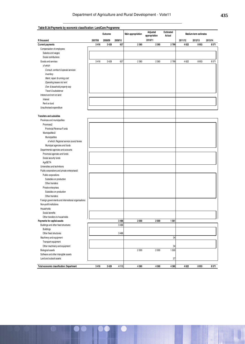|                                                     |         | Outcome |         | Main appropriation | Adjusted<br>appropriation | <b>Estimated</b><br>Actual |         | Medium-term estimates |         |
|-----------------------------------------------------|---------|---------|---------|--------------------|---------------------------|----------------------------|---------|-----------------------|---------|
| R thousand                                          | 2007/08 | 2008/09 | 2009/10 |                    | 2010/11                   |                            | 2011/12 | 2012/13               | 2013/14 |
| <b>Current payments</b>                             | 3416    | 3428    | 627     | 2 3 6 0            | 2 3 6 0                   | 2799                       | 4622    | 8953                  | 8571    |
| Compensation of employees                           |         |         |         |                    |                           |                            |         |                       |         |
| Salaries and wages                                  |         |         |         |                    |                           |                            |         |                       |         |
| Social contributions                                |         |         |         |                    |                           |                            |         |                       |         |
| Goods and services                                  | 3416    | 3 4 28  | 627     | 2 3 6 0            | 2 3 6 0                   | 2799                       | 4622    | 8953                  | 8571    |
| of which                                            |         |         |         |                    |                           |                            |         |                       |         |
| Consult, contract & special services                |         |         |         |                    |                           |                            |         |                       |         |
| Inventory                                           |         |         |         |                    |                           |                            |         |                       |         |
| Maint, repair & running cost                        |         |         |         |                    |                           |                            |         |                       |         |
| Operating leases incl rent                          |         |         |         |                    |                           |                            |         |                       |         |
| Own & leasehold property exp                        |         |         |         |                    |                           |                            |         |                       |         |
| Travel & subsistence                                |         |         |         |                    |                           |                            |         |                       |         |
| Interest and rent on land                           |         |         |         |                    |                           |                            |         |                       |         |
| Interest                                            |         |         |         |                    |                           |                            |         |                       |         |
| Rent on land                                        |         |         |         |                    |                           |                            |         |                       |         |
| Unauthorised expenditure                            |         |         |         |                    |                           |                            |         |                       |         |
|                                                     |         |         |         |                    |                           |                            |         |                       |         |
| <b>Transfers and subsidies</b>                      |         |         |         |                    |                           |                            |         |                       |         |
| Provinces and municipalities                        |         |         |         |                    |                           |                            |         |                       |         |
| Provinces2                                          |         |         |         |                    |                           |                            |         |                       |         |
| Provincial Revenue Funds                            |         |         |         |                    |                           |                            |         |                       |         |
| Municipalities3                                     |         |         |         |                    |                           |                            |         |                       |         |
| Municipalities                                      |         |         |         |                    |                           |                            |         |                       |         |
| of which: Regional service council levies           |         |         |         |                    |                           |                            |         |                       |         |
| Municipal agencies and funds                        |         |         |         |                    |                           |                            |         |                       |         |
| Departmental agencies and accounts                  |         |         |         |                    |                           |                            |         |                       |         |
| Provincial agencies and funds                       |         |         |         |                    |                           |                            |         |                       |         |
|                                                     |         |         |         |                    |                           |                            |         |                       |         |
| Social security funds                               |         |         |         |                    |                           |                            |         |                       |         |
| AgriSETA                                            |         |         |         |                    |                           |                            |         |                       |         |
| Universities and technikons                         |         |         |         |                    |                           |                            |         |                       |         |
| Public corporations and private enterprises5        |         |         |         |                    |                           |                            |         |                       |         |
| Public corporations                                 |         |         |         |                    |                           |                            |         |                       |         |
| Subsidies on production                             |         |         |         |                    |                           |                            |         |                       |         |
| Other transfers                                     |         |         |         |                    |                           |                            |         |                       |         |
| Private enterprises                                 |         |         |         |                    |                           |                            |         |                       |         |
| Subsidies on production                             |         |         |         |                    |                           |                            |         |                       |         |
| Other transfers                                     |         |         |         |                    |                           |                            |         |                       |         |
| Foreign governments and international organisations |         |         |         |                    |                           |                            |         |                       |         |
| Non-profit institutions                             |         |         |         |                    |                           |                            |         |                       |         |
| Households                                          |         |         |         |                    |                           |                            |         |                       |         |
| Social benefits                                     |         |         |         |                    |                           |                            |         |                       |         |
| Other transfers to households                       |         |         |         |                    |                           |                            |         |                       |         |
| Payments for capital assets                         |         |         | 3 4 8 6 | 2 0 0 0            | 2000                      | 1561                       |         |                       |         |
| Buildings and other fixed structures                |         |         | 3486    |                    |                           |                            |         |                       |         |
| <b>Buildings</b>                                    |         |         |         |                    |                           |                            |         |                       |         |
| Other fixed structures                              |         |         | 3 4 8 6 |                    |                           |                            |         |                       |         |
| Machinery and equipment                             |         |         |         |                    |                           | 34                         |         |                       |         |
| Transport equipment                                 |         |         |         |                    |                           |                            |         |                       |         |
| Other machinery and equipment                       |         |         |         |                    |                           | 34                         |         |                       |         |
| <b>Biological assets</b>                            |         |         |         | 2000               | 2 0 0 0                   | 1500                       |         |                       |         |
| Software and other intangible assets                |         |         |         |                    |                           |                            |         |                       |         |
| Land and subsoil assets                             |         |         |         |                    |                           | 27                         |         |                       |         |
| Total economic classification: Department           | 3416    | 3428    | 4113    | 4 3 6 0            | 4360                      | 4 3 6 0                    | 4622    | 8953                  | 8571    |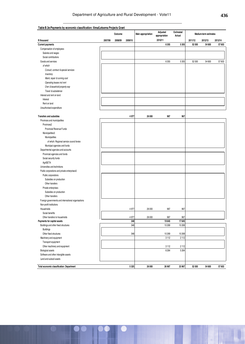| Table B.3e: Payments by economic classification: Ilima/Letsema Projects Grant |         |         |         |                    |                           |                            |         |                       |         |
|-------------------------------------------------------------------------------|---------|---------|---------|--------------------|---------------------------|----------------------------|---------|-----------------------|---------|
|                                                                               |         | Outcome |         | Main appropriation | Adjusted<br>appropriation | <b>Estimated</b><br>Actual |         | Medium-term estimates |         |
| R thousand                                                                    | 2007/08 | 2008/09 | 2009/10 |                    | 2010/11                   |                            | 2011/12 | 2012/13               | 2013/14 |
| <b>Current payments</b>                                                       |         |         |         |                    | 6 3 5 5                   | 5 3 5 5                    | 52 000  | 54 600                | 57 603  |
| Compensation of employees                                                     |         |         |         |                    |                           |                            |         |                       |         |
| Salaries and wages                                                            |         |         |         |                    |                           |                            |         |                       |         |
| Social contributions                                                          |         |         |         |                    |                           |                            |         |                       |         |
| Goods and services                                                            |         |         |         |                    | 6 3 5 5                   | 5 3 5 5                    | 52 000  | 54 600                | 57 603  |
| of which                                                                      |         |         |         |                    |                           |                            |         |                       |         |
| Consult, contract & special services                                          |         |         |         |                    |                           |                            |         |                       |         |
| Inventory                                                                     |         |         |         |                    |                           |                            |         |                       |         |
| Maint, repair & running cost                                                  |         |         |         |                    |                           |                            |         |                       |         |
| Operating leases incl rent                                                    |         |         |         |                    |                           |                            |         |                       |         |
| Own & leasehold property exp                                                  |         |         |         |                    |                           |                            |         |                       |         |
| Travel & subsistence                                                          |         |         |         |                    |                           |                            |         |                       |         |
| Interest and rent on land                                                     |         |         |         |                    |                           |                            |         |                       |         |
| Interest                                                                      |         |         |         |                    |                           |                            |         |                       |         |
| Rent on land                                                                  |         |         |         |                    |                           |                            |         |                       |         |
| Unauthorised expenditure                                                      |         |         |         |                    |                           |                            |         |                       |         |
|                                                                               |         |         |         |                    |                           |                            |         |                       |         |
| Transfers and subsidies                                                       |         |         | 4977    | 26 000             | 967                       | 967                        |         |                       |         |
| Provinces and municipalities                                                  |         |         |         |                    |                           |                            |         |                       |         |
| Provinces2                                                                    |         |         |         |                    |                           |                            |         |                       |         |
| Provincial Revenue Funds                                                      |         |         |         |                    |                           |                            |         |                       |         |
| Municipalities3                                                               |         |         |         |                    |                           |                            |         |                       |         |
| Municipalities                                                                |         |         |         |                    |                           |                            |         |                       |         |
| of which: Regional service council levies                                     |         |         |         |                    |                           |                            |         |                       |         |
| Municipal agencies and funds                                                  |         |         |         |                    |                           |                            |         |                       |         |
| Departmental agencies and accounts                                            |         |         |         |                    |                           |                            |         |                       |         |
| Provincial agencies and funds                                                 |         |         |         |                    |                           |                            |         |                       |         |
| Social security funds                                                         |         |         |         |                    |                           |                            |         |                       |         |
| AgriSETA                                                                      |         |         |         |                    |                           |                            |         |                       |         |
| Universities and technikons                                                   |         |         |         |                    |                           |                            |         |                       |         |
| Public corporations and private enterprises5                                  |         |         |         |                    |                           |                            |         |                       |         |
| Public corporations                                                           |         |         |         |                    |                           |                            |         |                       |         |
| Subsidies on production                                                       |         |         |         |                    |                           |                            |         |                       |         |
| Other transfers                                                               |         |         |         |                    |                           |                            |         |                       |         |
| Private enterprises                                                           |         |         |         |                    |                           |                            |         |                       |         |
|                                                                               |         |         |         |                    |                           |                            |         |                       |         |
| Subsidies on production<br>Other transfers                                    |         |         |         |                    |                           |                            |         |                       |         |
|                                                                               |         |         |         |                    |                           |                            |         |                       |         |
| Foreign governments and international organisations                           |         |         |         |                    |                           |                            |         |                       |         |
| Non-profit institutions                                                       |         |         |         |                    |                           |                            |         |                       |         |
| Households                                                                    |         |         | 4 9 7 7 | 26 000             | 967                       | 967                        |         |                       |         |
| Social benefits<br>Other transfers to households                              |         |         | 4 9 7 7 |                    | 967                       | 967                        |         |                       |         |
| Payments for capital assets                                                   |         |         | 348     | 26 000             | 19645                     | 17645                      |         |                       |         |
| Buildings and other fixed structures                                          |         |         | 348     |                    | 10 269                    | 10 269                     |         |                       |         |
| <b>Buildings</b>                                                              |         |         |         |                    |                           |                            |         |                       |         |
| Other fixed structures                                                        |         |         | 348     |                    | 10 269                    | 10 269                     |         |                       |         |
|                                                                               |         |         |         |                    | 3112                      | 2112                       |         |                       |         |
| Machinery and equipment                                                       |         |         |         |                    |                           |                            |         |                       |         |
| Transport equipment                                                           |         |         |         |                    |                           |                            |         |                       |         |
| Other machinery and equipment                                                 |         |         |         |                    | 3112                      | 2112                       |         |                       |         |
| <b>Biological assets</b>                                                      |         |         |         |                    | 6264                      | 5 2 6 4                    |         |                       |         |
| Software and other intangible assets                                          |         |         |         |                    |                           |                            |         |                       |         |
| Land and subsoil assets                                                       |         |         |         |                    |                           |                            |         |                       |         |
| Total economic classification: Department                                     |         |         | 5 3 2 5 | 26 000             | 26 967                    | 23 967                     | 52 000  | 54 600                | 57603   |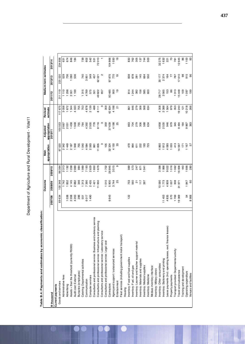Department of Agriculture and Rural Development - Vote11 Department of Agriculture and Rural Development - Vote11

Table B.4: Payments and estimates by economic classification: **Table B.4: Payments and estimates by economic classification:** 

|                                                                     |          | Outcome                 |         | appropriation<br>Main | appropriation<br>Adjusted | estimate<br>Revised |               | Medium-term estimates |                        |
|---------------------------------------------------------------------|----------|-------------------------|---------|-----------------------|---------------------------|---------------------|---------------|-----------------------|------------------------|
| <b>Rthousand</b>                                                    | 2007/08  | 2008/09                 | 2009/10 |                       | 2010/11                   |                     | 2011/12       | 2012/13               | 2013/14                |
| Current payments                                                    |          |                         |         |                       |                           |                     |               |                       |                        |
| Goods and services                                                  | 69634    | 100348                  | 96064   | 97520                 | 100553                    | 117675              | 211119        | 225020                | 234 856                |
| Administrative fees                                                 |          | 1742                    | 2313    | 2342                  | 2667                      | 3056                | 1110          | 529                   | 631                    |
| Advertising                                                         | 038      | 852                     | 1192    | 1449                  | 2051                      | 672                 | 1298          | 736                   | 674                    |
| Assets < than the threshold (currently R5000)                       | 2 268    | 4145                    | 1268    | 2187                  | 1458                      | 344                 | 2001          | 280                   | 846                    |
| Audit cost: External                                                | 4 263    | 2882                    | 2989    | 1948                  | 948                       | 333                 | 1199          | 536                   | 184                    |
| Bursaries (employees)                                               | 286      | 346                     | 984     | 755                   | 755                       | 755                 |               |                       |                        |
| Catering: Departmental activities                                   | 551      | 1313                    | 1989    | 1040                  | 764                       | 753                 | 315           | 740                   | 739                    |
| Communication                                                       | O17<br>o | 7390                    | 7193    | 4584                  | 4392                      | 4878                | 4769          | 851<br>ო              | 602                    |
| Computer services                                                   | 1490     | 2435                    | 2629    | 2593                  | 2500                      | 2139                | 575           | 549                   | 542                    |
| Consultants and professional service: Business and advisory service |          | 1421                    | 1850    | 861                   | 778                       | 488                 | 501           | 457                   | 531                    |
| Consultants and professional service: Infrastructure and planning   |          | 11950                   | 679     | 11835                 | 8116                      | 8111                | 49822         | 62021                 | 010<br>$\overline{72}$ |
| Consultants and professional service: Laboratory service            |          |                         |         |                       |                           |                     | 657           | N                     |                        |
| Consultants and professional service: Legal cost                    |          | 1010                    | 1702    | 105                   | 359                       | 359                 |               |                       |                        |
| Contractors                                                         | 6643     | 5900                    | 26845   | 32 324                | 37639                     | 42834               | 93485         | 875<br>57             | 104866                 |
| Agencyand support / outsourced services                             |          | 3744                    | 3515    | 4150                  | 4198                      | 4198                | 900           | 770                   | 1030                   |
| Entertainment                                                       |          | 25                      | თ       | 33                    | 25                        | ā                   | $\frac{1}{2}$ | ၣ                     | ٩P                     |
| Fleet services (including government motor transport)               |          |                         |         |                       |                           |                     |               |                       |                        |
| Housing                                                             |          |                         |         |                       |                           |                     |               |                       |                        |
| Inventory: Food and food supplies                                   | 122      | 733                     | 989     | 479                   | 863                       | 861                 | 814           | 839                   | 830                    |
| Inventory: Fuel, oil and gas                                        |          | 560                     | 573     | 864                   | 704                       | 646                 | 244           | 878                   | 762                    |
| Inventory: Learner and teacher support material                     |          | $\overline{\mathbf{S}}$ | 247     | 611                   | 279                       | 279                 | 382           | 281                   | 305                    |
| Inventory: Materials and supplies                                   |          | 117                     | 871     | 222                   | 306                       | 306                 | 156           | 145                   | 137                    |
| Inventory: Medical supplies                                         |          | 397                     | 941     | 193                   | 568                       | 568                 | 585           | 664                   | 744                    |
| Inventory: Medicine                                                 |          |                         |         | 725                   | 634                       | 634                 | 600           | 550                   | 500                    |
| Medsas inventory interface                                          |          |                         |         |                       |                           |                     |               |                       |                        |
| nventory: Military stores                                           |          |                         |         |                       |                           |                     |               |                       |                        |
| Inventory: Other consumbles                                         |          | 0590                    | 3098    | 4860                  | 4858                      | 4 308               | 28717         | 30177                 | 32 275                 |
| Inventory: Stationery and printing                                  | 11453    | 1773                    | 1866    | 1812                  | 2530                      | 2 3 8 8             | 2565          | 2374                  | 1632                   |
| leases)<br>Lease payments (Incl. operating leases, excl. finance    | 4835     | 4809                    | 9022    | 4 085                 | 946                       | 1564                | 153           | 164                   | 221                    |
| Property payments                                                   | 570      | 1007                    | 1016    | 1055                  | 979                       | 979                 | 86            | 77                    | $\overline{z}$         |
| Transport provided: Departmental activity                           | 1769     | 308                     | 1062    | 413                   | 345                       | 353                 | 1313          | 787                   | 781                    |
| Travel and subsistence                                              | 19369    | 31971                   | 16836   | 14597                 | 9494                      | 19240               | 15448         | 17610                 | 12645                  |
| Training and development                                            |          |                         | 440     | 171                   | 164                       | $\frac{5}{2}$       | 109           | 8                     | 86                     |
| Operating expenditure                                               | 54       | 1847                    | 1666    | 1167                  | 9867                      | 10218               | 097           | 915                   | 1 100                  |
| Venues and facilities                                               | 8906     | 60                      | 280     | 57                    | 363                       | 266                 | 199           | 96                    | S,                     |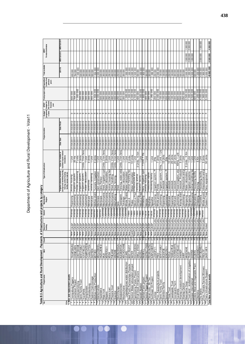| Table B.5 Agrifouture and Rural Development - Payments of infrastructure and projects by category<br>ایمی ا |                               |                                                                 | Source of<br>funding            |                         | Municipality /<br>Region            | Type of infrastructure                                                                                                  |                                                                    |                        | Project duratio          | programm<br><b>Budget</b> | budget for                       | Total project cost Expenditure<br>to date from |                    | Total availabl     | Forward estimates   |              |
|-------------------------------------------------------------------------------------------------------------|-------------------------------|-----------------------------------------------------------------|---------------------------------|-------------------------|-------------------------------------|-------------------------------------------------------------------------------------------------------------------------|--------------------------------------------------------------------|------------------------|--------------------------|---------------------------|----------------------------------|------------------------------------------------|--------------------|--------------------|---------------------|--------------|
|                                                                                                             |                               |                                                                 |                                 |                         |                                     |                                                                                                                         |                                                                    |                        |                          | ename                     | the current<br>financial<br>year |                                                | previous<br>years  |                    |                     |              |
| R tho                                                                                                       |                               |                                                                 |                                 |                         |                                     | lrrigation scheme; borehole;<br>storage and marketing facility;<br>fencing; animal housing<br>facility; access road etc | Units (i.e. number of<br>facilities/ square meters/<br>kilometers) | Date: Star             | Date: Finish             |                           |                                  |                                                |                    | 2011/12            | <b>MTEF 2012/13</b> | MTEF 2013/14 |
| . New and replacement assets                                                                                | <b>TROMPSBURG</b>             | New<br>က္က                                                      |                                 | Xhariep                 | Kopanong                            | Animal housing                                                                                                          | $\frac{1}{2}$                                                      | 01/04/2011             | 31/03/2012               | ო                         |                                  | 600 000                                        | 600000             |                    |                     |              |
| Trompsburg Piggery<br>Cornelisen Project                                                                    | CORNELISEN                    | న్ల                                                             | CASP<br>New CASP                | Xnarrep                 | Letsemeng                           | migation system                                                                                                         | 20 На                                                              | 01/04/2011             | 31/03/2012               | ω                         |                                  | 764 000                                        | 764000             |                    |                     |              |
| Gwotswametsing                                                                                              | GWOTSWAME                     | New<br>$\sqrt{8}$                                               | <b>CASP</b>                     | Xhariep                 | Letsemeng                           | Ponds, processing                                                                                                       | units                                                              | 01/04/201              | 31/03/2012               | ∣ෆ                        |                                  | 000 000                                        | 1000000            |                    |                     |              |
| Senti Family Trust                                                                                          | <b>SENTIFAMILY</b>            |                                                                 | New CASP                        | Xhariep                 | Letsemeng                           | meas As uone biu                                                                                                        | Units<br>$\mathbf{\hat{a}}$                                        | 01/04/201              | 31/03/2012               | ო                         |                                  | 500 000                                        | 500 000            |                    |                     |              |
| Vuyathela                                                                                                   | VUYATHELA(1                   | New<br>ន្ត្រ<br>ន                                               | <b>CASP</b>                     | Xhariep                 | Letsemeng                           | rrigation system,                                                                                                       | fenc<br>Units, 3 km                                                | 01/04/201              | 31/03/2012               | სო                        |                                  | 300 000                                        | 300000             |                    |                     |              |
| Pompfontein<br>ما                                                                                           | POMPFONTEIN                   |                                                                 | New CASP                        | Xhariep                 | Letsemeng                           | Water reticulation                                                                                                      | i<br>1<br>1                                                        | 01/04/2011             | 31/03/2012               | ო                         |                                  | 300 000                                        | 300000             |                    |                     |              |
| Charlottenburg                                                                                              | CHARLOTTEN                    | $\overline{8}$                                                  | New CASP                        | Xnariep                 | Mohokare                            | Boreholes                                                                                                               | 3 Units                                                            | 01/04/201              | 31/03/2012               | სა                        |                                  | 300 000                                        | 300000             |                    |                     |              |
| Zastron Commonage<br>⅏                                                                                      | ZASTRON                       | $\frac{1}{8}$                                                   | New CASP                        | Xharlep                 | Mohokare                            | Animal handling                                                                                                         | Unit                                                               | 01/04/201              | 31/03/2012               | က                         |                                  | 000 006                                        | 900000             |                    |                     |              |
| Motheo Crop Production<br>Þ                                                                                 | MOTHEO                        | New CASP                                                        |                                 | <b>Motheo</b>           | Motheo distrio                      | Tunnels, Irrigation                                                                                                     | 3 Units                                                            | 01/04/20               | 31/03/2012               | က                         |                                  | 554 000                                        | 1554000            |                    |                     |              |
| TO Mahlomaholo<br>╞                                                                                         | <b>MAHLOMAHOI</b>             | New CASP<br>ន្ត្រ                                               |                                 | Motheo<br><b>Motheo</b> | Mantsopa                            | Dam construction                                                                                                        | j<br>1<br>1                                                        | 01/04/201<br>01/04/201 | 31/03/2012<br>31/03/2012 | ო<br>lm.                  |                                  | 2000000                                        | 2000000            |                    |                     |              |
| Hazeldene                                                                                                   | HAZELDENE (O                  | New CASP<br>$\overline{24}$                                     |                                 |                         | Mantsopa                            | Dairy Parlour                                                                                                           | ji<br>1<br>1                                                       |                        | 31/03/2012               | က                         |                                  | 500 000                                        | 500000             |                    |                     |              |
| <sup>12</sup> Maja trust<br>þ                                                                               | MAJA                          | New CASP                                                        |                                 | <b>Lejwelep</b>         | Lejwelep Masilonyana                | Shed, irrigation syst                                                                                                   | Units, 2 km feno 01/04/201                                         | 01/04/201              | 31/03/2012               |                           |                                  | 393 000                                        | 393000             |                    |                     |              |
| <sup>14</sup> Mosia trust<br>Mopero                                                                         | MOPERO(11<br><b>MOSIA</b>     | <b>Hew CASP</b><br>New CASP<br>ន $\overline{\mathbb{R}}$ ន្ត្រី |                                 |                         | Lejwelep Masilonyana<br>Masilonyana | Water reticulation,                                                                                                     | Units<br>j<br>1<br>1<br>3                                          | 01/04/201              | 31/03/2012               | ω<br>lm                   |                                  | 300 000<br>290 000                             | 300 000            |                    |                     |              |
| Phejane trust<br>Ŀ                                                                                          | <b>PHEJANE</b>                |                                                                 | New CASP                        | <b>Lejwelep</b>         | Masilonyana                         | Animal housing faci<br>Shed, handling                                                                                   | fenc<br>2 km<br>Units,                                             | 01/04/201              | 31/03/2012               | ო                         |                                  | 460 000                                        | 290000<br>460000   |                    |                     |              |
| 16 Sisonke                                                                                                  | <b>SISONKE</b>                | New CASP                                                        |                                 |                         | Lejwelep Matjhabeng                 | Shed, fencing                                                                                                           | Units, 3 km fenc 01/04/201                                         |                        | 31/03/2012               | ကြ                        |                                  | 400 000                                        | 400 000            |                    |                     |              |
| Msimlhanga                                                                                                  | <b>MSIMLHANGA</b>             | New CASP                                                        |                                 | celwereb                | Nala                                | Shed                                                                                                                    | š                                                                  | 01/04/201              | 31/03/2012               |                           |                                  | 250 000                                        | 250 000            |                    |                     |              |
| r8 Blesbokfontein                                                                                           | <b>BLESBOKFON</b>             | New CASP<br>$\frac{4}{8}$                                       |                                 |                         | Lejwelep Tswelopele                 | Fencing, water retic                                                                                                    | Units, 3 km fenco 01/04/201                                        |                        | 31/03/2012               | ო  ო                      |                                  | 810000                                         | 810000             |                    |                     |              |
| 19 Mochochane                                                                                               | МОСНОСНАМЕ                    | $\overline{24}$                                                 | New CASP                        | Lejwelep Tokologo       |                                     | Water reticulation                                                                                                      | Š                                                                  | 01/04/2011             | 31/03/2012               | ო                         |                                  | 300 000                                        | 300000             |                    |                     |              |
| Leiweleputswa water distribution<br>R                                                                       | LEJWEL                        | New CASP<br>$\overline{32}$                                     |                                 |                         | Lejwelep Whole Distric              | Water reticulation                                                                                                      | Ξ<br>Τ                                                             | 01/04/201              | 31/03/2012               | ကြ                        |                                  | 1000000                                        | 1000000            |                    |                     |              |
| 21 Beef Profit Partnerships Projects                                                                        | BEEF PROFIT                   | 12                                                              | New CASP                        | Thato                   | Maluti A                            | Animal Handling fac                                                                                                     | 3 Units                                                            | 01/04/201              | 31/03/2012               | ო  ო                      |                                  | 000 000                                        | 1000000            |                    |                     |              |
| 22 District Water reticulation project<br>23   Kgolokoeng Potato Project                                    | WATER                         | Conti CASP<br>12                                                |                                 | Thato                   | Thabo                               | Water reticulation<br>Infrastructure and                                                                                | 10 Units                                                           | 01/04/201              | 31/03/2012               |                           |                                  | 4 000 000                                      | 4000000            |                    |                     |              |
| 4                                                                                                           | KGOLOKOENG                    | 하의                                                              | New CASP                        | Thato<br>Thato          | Maluti a Phuf                       |                                                                                                                         | j<br>1<br>1                                                        | 01/04/201<br>01/04/201 | 31/03/2012<br>31/03/2012 | 3                         |                                  | 2500000                                        | 2500000            |                    |                     |              |
| Small Stock Infrastructure<br>$-52$                                                                         | SMALL STOCK                   | New CASP                                                        |                                 | Thatoo                  | Dihlabeng                           | Fencing, animal<br>Maluti a Phof Abattoir facility                                                                      | 3 Units, 10 km                                                     | 01/04/201              | 31/03/2012               | က<br>က                    |                                  | 400 000                                        | 400 000            |                    |                     |              |
| Kestell Abattoir<br>82                                                                                      | KESTEL                        | New CASP<br><b>Intinud CASP</b><br>$\frac{1}{8}$                |                                 | Thato                   | Dihlabeng                           | Dairy, Irrigation syst                                                                                                  | Ρá<br>j<br>1<br>1<br>Unit, 1                                       | 01/04/20               | 1/03/2012                | ო                         |                                  | 1000000                                        | 1000000            |                    |                     |              |
| Rainfall Farm project<br>Ñ                                                                                  | DISTRICT PIGG<br>RAINFALI     | 이                                                               | New CASP                        | Fezile                  | Mafube                              | Animal housing                                                                                                          | j<br>1<br>1                                                        | 01/04/201              | 31/03/2012               | ო                         |                                  | 800 000<br>300 000                             | 1800000<br>300000  |                    |                     |              |
| District Piggery Project<br>Pecan nuts - Mr Tau<br>82                                                       |                               | New<br>$\overline{R}$                                           | CASP                            | <b>Hezile</b>           |                                     | Production inputs                                                                                                       |                                                                    | 01/04/201              | 31/03/2012               | სო                        |                                  | 000 008                                        | 300000             |                    |                     |              |
| 29 Sunflower Oil Project                                                                                    | SUNFLOWER O<br>PECAN NUTS(1   | New CASP<br>22                                                  |                                 | Fezile                  | Moqhaka<br>Ngwathe                  | Procesing facility                                                                                                      | 1 Unit                                                             | 01/04/201              | 31/03/2012               | ო                         |                                  | 1392000                                        | 1392000            |                    |                     |              |
| Loskop<br>इ                                                                                                 | LOSKOP <sub>(11</sub>         | $\overline{50}$                                                 | New llima/Lets                  | Xhariep                 | Letsemeng                           | irigation system, P                                                                                                     | 2Ha                                                                | 01/04/20               | 31/03/2012               | lസ                        |                                  | 200 000                                        | 200 000            |                    |                     |              |
| Prov. Aquaculture projects<br>F                                                                             | PROV                          |                                                                 | New llima/Lets                  | whole                   | Whole provin                        | Ponds                                                                                                                   | 7 Units                                                            | 01/04/201              | 31/03/2012               | ကြ                        |                                  | 2000000                                        | 2000000            |                    |                     |              |
| Senti Family Trust<br>$\overline{\mathbb{R}}$                                                               | <b>SENTIFAMILY</b>            | នន្ត្រី<br>និង                                                  | New llima/Lets                  | Xnariep                 | Letsemeng                           | Irrigation system, Ch                                                                                                   | Ŝ<br>Unit, 1<br>์<br> ±ี๊                                          | 01/04/201              | 31/03/2012               | lm                        |                                  | 100000                                         | 100000             |                    |                     |              |
| Sicentse Family<br>Ŗ                                                                                        | <b>SICENTSE</b>               |                                                                 | New Illima/Lets                 | Xnariep                 | Kopanong                            | Livestock                                                                                                               | 15 Units                                                           | 01/04/201              | 31/03/2012               | က                         |                                  | 100 000                                        | 100000             |                    |                     |              |
| Sonco<br>뵵                                                                                                  | SONCOR(1                      | <b>New</b><br>$\frac{20}{25}$                                   | llima/Lets                      | Xhariep                 | Letsemeng                           | o.<br>Irrigation system,                                                                                                | $2$ Ha                                                             | 01/04/201              | 31/03/2012               | ო  ო                      |                                  | 200 000                                        | 200 000            |                    |                     |              |
| Thola Trust<br>ķ                                                                                            | THOLA                         |                                                                 | New Ilima/Lets                  | Xhariep                 | Mohokare                            | Livestock                                                                                                               | 10 Units                                                           | 01/04/201              | 31/03/2012               |                           |                                  | 200 000                                        | 200000             |                    |                     |              |
| <b>Tswelopele Trust</b><br>36<br>h                                                                          | <b>TSWELOPELE</b>             | <b>New</b><br>$\overline{30}$                                   | llima/Lets                      | Xhariep<br>Xnariep      | Kopanong                            | Livestock                                                                                                               | 25 Units                                                           | 01/04/201              | 31/03/2012               | ω                         |                                  | 100 000                                        | 100000             |                    |                     |              |
| Voorwaarts Farm<br>38                                                                                       | VOORWAARTS                    | $\sqrt{8}$                                                      | New Illima/Lets                 | Xnarrep                 | Mohokare                            | Livestock                                                                                                               | 20 Units                                                           | 01/04/201              | 31/03/2012               | ო                         |                                  | 300 000                                        | 300 000            |                    |                     |              |
| Vuyathela<br>ह्य                                                                                            | VUYATHELA(1                   | New<br>នានានា                                                   | llima/Lets                      | Xhariep                 | Letsemeng                           | Flood irrigation, stor                                                                                                  | 40Ha, 1 uni                                                        | 01/04/201              | 31/03/2012               | ω                         |                                  | 600 000                                        | 600 000            |                    |                     |              |
| Xhariep Livestock development                                                                               | XHARIEP                       |                                                                 | New llima/Lets                  | Xhariep                 | Xhariep distri                      | Livestock, Producti                                                                                                     | 5 Units                                                            | 01/04/201<br>01/04/201 | 31/03/2012<br>31/03/2012 | ω<br>ო                    |                                  | 500 000                                        | 500000             |                    |                     |              |
| 40 Xhariep Ostrich<br>4T                                                                                    | XHRP                          | <b>New</b>                                                      | llima/Lets                      | Motheo                  | Letsemeng                           | Infrastructure and                                                                                                      | $1$ Unit                                                           | 01/04/201              | 31/03/2012               | lက                        |                                  | 250 000                                        | 250000             |                    |                     |              |
| Masizakhe Coop                                                                                              | <b>MASIZAKHE</b>              | $\overline{a}$                                                  | New Illima/Lets                 | <b>Motheo</b>           | Mangaung                            | Water reticulation,                                                                                                     | 5 Units, 5 Km                                                      | 01/04/201              | 31/03/2012               | ო                         |                                  | 3500000<br>1000000                             | 3500000            | 1500000            |                     | 1000000      |
| 42 Trust land - revitalization of irrigation<br>Dorper international<br>43                                  | <b>DORPER</b><br><b>TRUST</b> | New<br>New<br>$\overline{32}$                                   | <b>Ilima/Lets</b><br>llima/Lets | dajawie                 | Masilonyana<br>Mangaung             | Animal handling fac<br>Irrigation systems                                                                               | j<br>1<br>1<br>j<br>1<br>1                                         | 01/04/20               | 31/03/2012               | lო                        |                                  | 2500000                                        | 1000000<br>2500000 | 2000000<br>1000000 |                     | 2000000      |
| 44 Elders Meat and Vegetable Plant                                                                          | <b>ELDERS</b>                 | ၉                                                               | New llima/Lets                  | dajamle                 | Matjhabeng                          | Processing facility                                                                                                     | $1 \overline{D}$                                                   | 01/04/201              | 31/03/2012               | ကြ                        |                                  | 600 000                                        | 600000             |                    |                     |              |
| 45 Ditshimo                                                                                                 | DITSHIMO (11-                 | New<br>$\overline{2}$                                           | llima/Lets                      | Thabo                   | Dihlabeng                           | Fencing                                                                                                                 | 5 Km                                                               | 01/04/201              | 31/03/2012               | lက                        |                                  | 1 200 000                                      | 1200000            |                    |                     |              |
| 46 Dry beans                                                                                                | DRY BEANS(11                  | 23                                                              | New Illima/Lets                 | Thato                   | Phumelela                           | Processing facility                                                                                                     | j<br>1<br>1                                                        | 01/04/201              | 31/03/2012               | ო                         |                                  | 4 000 000                                      | 4000000            | 2000000            |                     | 1000000      |
| Prov. Female Farmer Winners<br>ļ                                                                            | PROV <sub>F/F</sub>           | $\overline{29}$                                                 | New llima/Lets                  | Whole                   | Whole provin                        | Infrastructure and p                                                                                                    | 5 Units                                                            | 01/04/201              | 31/03/2012               | lက                        |                                  | 1900000                                        | 1900000            |                    |                     |              |
| 48 Dairy Infrastructure Support                                                                             | DAIRY INFR                    | New Voted<br>32                                                 |                                 |                         | Eastern Free                        | Dairy equipment                                                                                                         | 50 Units                                                           | 01/04/201              | 31/03/2012               | m                         |                                  | 5 000 000                                      | 5000000            |                    |                     |              |
| Total New infrastructure assets                                                                             |                               |                                                                 |                                 |                         |                                     |                                                                                                                         |                                                                    |                        |                          |                           |                                  |                                                | 49863000           |                    | 000 000 4 000 000 9 |              |

Department of Agriculture and Rural Development - Vote11 Department of Agriculture and Rural Development - Vote11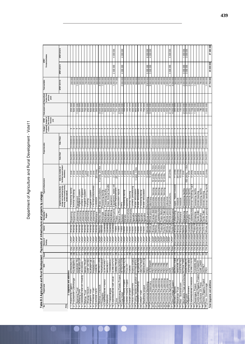| י היי היי היי היי ה |
|---------------------|
|                     |
| allu hulal De<br>ſ  |
|                     |
|                     |
|                     |
| Í                   |
|                     |
|                     |
|                     |
|                     |
| ֞                   |
| ていこう ヘッニュ こうこく      |
|                     |
|                     |
|                     |
|                     |
|                     |
|                     |
|                     |
|                     |
|                     |
| j                   |
|                     |
|                     |
|                     |
|                     |
|                     |
|                     |
|                     |
|                     |
|                     |
|                     |
| í                   |
|                     |

| .ek             | Table B.5 Agriculture and Rural Development - Payments of infrastructure and projects by category<br>Project name | BAS                                        | Count                   |                             | Source of<br>funding                     | <b>District</b>                  | Municipality<br>Region           | Type of infrastructure                                                                                                  |                                                                   |                          | Project duration         | programm<br>ename<br><b>Budget</b> | budget for<br>the current<br>financial<br>ElwP<br>year | Total project cost           | Expenditure<br>to date from<br>previous<br>years | <b>Total available</b> | Forward estimates<br>Ë |                    |
|-----------------|-------------------------------------------------------------------------------------------------------------------|--------------------------------------------|-------------------------|-----------------------------|------------------------------------------|----------------------------------|----------------------------------|-------------------------------------------------------------------------------------------------------------------------|-------------------------------------------------------------------|--------------------------|--------------------------|------------------------------------|--------------------------------------------------------|------------------------------|--------------------------------------------------|------------------------|------------------------|--------------------|
| Rtho            |                                                                                                                   |                                            |                         |                             |                                          |                                  |                                  | storage and marketing facility;<br>fencing; animal housing facility;<br>access road etc<br>Irrigation scheme; borehole; | facilities/square meters/<br>kilometers)<br>Units (i.e. number of | Date: Star               | Date: Finish             |                                    |                                                        |                              |                                                  | <b>MTEF 2011/12</b>    | <b>MTEF 2012/13</b>    | <b>MTEF2013/14</b> |
|                 | additions<br>and                                                                                                  |                                            |                         |                             | <b>CASP</b>                              |                                  |                                  |                                                                                                                         |                                                                   |                          |                          |                                    |                                                        |                              |                                                  |                        |                        |                    |
| N               | Fauresmith Commonge<br>Kopanong Piggery                                                                           | Kopanong Pic                               | 88                      | ŏ                           | b<br>S                                   | <b>Xhariep</b><br><b>Xhariep</b> | Kopanong                         | Amoet Buisseoor<br>Animal Handling                                                                                      | 1 Unit                                                            | 01/04/2011               | 31/03/2012               | ო                                  |                                                        | 200 000                      |                                                  | 200 000                |                        |                    |
| m,              |                                                                                                                   | <b>FAURESMITH C</b>                        |                         | õб                          | UASP                                     | <b>Xnariep</b>                   | Kopanong                         |                                                                                                                         | 1 Unit                                                            | 01/04/2011               | 31/03/2012               | က                                  |                                                        | 500 000                      |                                                  | 500 000                |                        |                    |
| 4               | Aganang Trust                                                                                                     | AGANANG TRU<br>ITERELENG CP<br>JACOBSDAL   | ನ                       | olo<br>ᅙ                    | <b>UASP</b>                              | <b>Xhariep</b>                   | Letsemeng                        | <b>Irrigation</b> system<br>Equipment                                                                                   | i Unit                                                            | 01/04/2017<br>01/04/201  | 31/03/2012<br>31/03/2012 | ო<br>ო                             |                                                        | 000 000<br>500 000           |                                                  | 000 000                |                        |                    |
| ρ               | Titreleng CPA<br>Jacobsdal War on Poverty                                                                         |                                            | 。                       | Fo                          | <b>GASP</b>                              | Xharlep                          | Letsemeng                        | Tunnels, Irrigation                                                                                                     | 3 Units<br>1 Unit                                                 | 01/04/201                | 31/03/2012               | က                                  |                                                        | 500 000                      |                                                  | 500 000<br>500 000     |                        |                    |
| ما              | Mahau Trust                                                                                                       | <b>MAHAU TRUS</b>                          | 8                       | plo                         | <b>UASP</b>                              | xnariep                          | Letsemeng                        | <b>Imgation</b> system                                                                                                  | 1 Unit                                                            | 01/04/2011               | 31/03/2012               | ო                                  |                                                        | 700 000                      |                                                  | 700 000                |                        |                    |
|                 | <b>Xhariep Ostric</b>                                                                                             | <b>XHRP OST RICH</b>                       |                         | ŏ                           | CASP                                     | Xhariep                          | Letsemeng                        | Fencing                                                                                                                 | $2$ Km                                                            | 01/04/201                | 31/03/2012               | က                                  |                                                        | 250 000                      |                                                  | 250 000                |                        |                    |
| ⊨               | Kliparit Irust                                                                                                    | KLIPDRIFT (09-                             | 23                      | Old                         | <b>UASP</b>                              | Xhariep                          | Letsemeng                        | mgation system                                                                                                          | j<br>1<br>1                                                       | 01/04/2011               | 31/03/2012               | ო                                  |                                                        | 000 009                      |                                                  | 500 000                |                        |                    |
| Ь               | Phindiso Trust                                                                                                    |                                            |                         | Fo                          | प्रहा                                    | <b>Xnariep</b>                   | <b>Letsemeng</b>                 | Pre-manutacturerec                                                                                                      | T Unit                                                            | 01/04/201                | 31/03/2012               | ო                                  |                                                        | 250 000                      |                                                  | 250 000                |                        |                    |
| ₽               | Lismore Farm                                                                                                      | PHINDISO (09-<br>LISMORE                   | ಜ ಜ                     | olo                         | CASP                                     | <b>Xhariep</b>                   | Mohokare                         | Livestock                                                                                                               | 20 Units                                                          | 102/10/10                | 31/03/2012               | ω                                  |                                                        | 300 00C                      |                                                  | 300 000                |                        |                    |
| Ξħ              | Motheo Livestock                                                                                                  | MOTHEO LIVES                               | 32                      | 하                           | <b>CASP</b>                              | Motheo<br>Motheo                 | Motheo distri                    | Water reticulation                                                                                                      | 4 Units, 20 Km                                                    | 01/04/2011<br>01/04/2011 | 31/03/2012               | ოო                                 |                                                        | 3000000                      |                                                  | 3 000 000              |                        |                    |
|                 | Thitapoho<br>Lejweleputswa Peanui                                                                                 | THITAPOHO(0)                               | 2                       |                             |                                          |                                  | Mantsopa                         | Procesing facility                                                                                                      | 1 Unit                                                            |                          |                          |                                    |                                                        | 500 000                      |                                                  | 1500000                |                        |                    |
| $\frac{13}{2}$  |                                                                                                                   | <b>LEJW PEANUT</b>                         | လ္က                     | old                         | <b>CASP</b>                              |                                  | Lejwelep Matjhabeng              | Procesing facility                                                                                                      | 2 Units                                                           | 01/04/2011               | 31/03/2012               | ω                                  |                                                        | 900 000                      |                                                  | 900 000                |                        |                    |
| ł.              | Marumo                                                                                                            | MAHUMO(11-                                 | $\overline{\mathbb{S}}$ | <b>PO</b>                   | <b>UASP</b><br><b>UASP</b>               |                                  | Lejwelep Matjhabeng              | Shed, Animal handlin                                                                                                    | 2 Units                                                           | 01/04/20                 | 1/03/2012                | ო                                  |                                                        | 300 000                      |                                                  | 300 000                |                        |                    |
| ط               | I hakamakgoa                                                                                                      | <b>THAKAMAKGC</b>                          | 25                      | plo                         |                                          |                                  | Lejwelep Matjhabeng              |                                                                                                                         | i<br>Jai                                                          | 01/04/201                | 31/03/2012               | က                                  |                                                        | 500 000                      |                                                  | 500 000                |                        |                    |
| 91              | Lejweleputswa Salt value                                                                                          | <b>LEJWELEPUTS</b><br><b>LIMING PROJEC</b> |                         | olo                         | CASP<br><b>UASP</b>                      | Thabo                            | Lejwelep Masilonyana             | Equipment<br>Equipment, water reti<br>Land improvement                                                                  | 2 Units                                                           | 01/04/2011<br>01/04/201  | 31/03/2012<br>31/03/2012 | ო                                  |                                                        | 200 000                      |                                                  | 200 000                | 2500000                | 4000000            |
| 18              | Lime                                                                                                              |                                            | 8<br>51                 | plo<br>ŏ                    | <b>UASF</b>                              | Thabo                            | Thabo                            | Production inputs                                                                                                       | 25 Units                                                          | 01/04/2011               | 31/03/2012               | ო<br>က                             |                                                        | 741 000                      |                                                  | 741000                 |                        |                    |
| ք               | Kgolokoeng Potato Project                                                                                         | <b>KGOLOKOENG</b><br>SETSOTO COW           | 5                       | <b>PO</b>                   | CASP                                     | Thabo                            | Maluti a Phuf<br>Setsoto         | Uarry                                                                                                                   | i<br>1 Unit<br>š                                                  | 102/10/10                | 31/03/2012               | מ                                  |                                                        | 500 00C<br>$\mathbf{\Omega}$ |                                                  | 2000000                | 4000000                | 4000000            |
| Ŕ               | Cow Hotel<br>District Poultry Projec                                                                              |                                            | ౚ                       | ЭQ                          | <b>UASP</b>                              | <b>Hezlle</b>                    | Matube                           | Procesing facility                                                                                                      | 1 Unit                                                            | 01/04/201                | 31/03/2012               | ო                                  |                                                        | 2000000                      |                                                  | 500 00                 |                        |                    |
| ħ               | <b>District Poultry Project</b>                                                                                   | POULI <del>I</del> Y<br>POULIIY            | န္က                     | Бo                          | <b>UASP</b>                              | <b>Fezile</b>                    | Metsimaholo                      | Hatcher                                                                                                                 | 1 Unit                                                            | 01/04/20                 | 31/03/2012               | က                                  |                                                        | <b>200 000</b>               |                                                  | 500 000                |                        |                    |
| 22              | Vukani project                                                                                                    | VUKANI                                     | 28                      | ∂<br>O                      | <b>CASP</b>                              | Fezile                           | Metsimaholo                      | Animal housing                                                                                                          | i<br>1 Unit                                                       | 01/04/2011               | 31/03/2012               | ო                                  |                                                        | 200 000                      |                                                  | 200 000                |                        |                    |
|                 | 23 Parys Hydroponics                                                                                              | PARYS HYDRO                                | 5                       | ŏ                           | CASP                                     | <b>Hezlle</b>                    | Ngwathe                          | Tunnels, processing                                                                                                     | 3 Units                                                           | 01/04/201                | 31/03/2012               | ო                                  |                                                        | 400 000                      |                                                  | 400 000                |                        |                    |
| $\frac{1}{2}$   | Fatting/ feedlot & abattoir ur FATING &FEDLO                                                                      |                                            | က္ကြ                    | ја<br>О                     | CASP                                     | Fezile                           | Ngwathe                          | Water reticulation                                                                                                      | Unit, 3 Km                                                        | 01/04/2011               | 31/03/2012               | က                                  |                                                        | 900 000                      |                                                  | 900 00C                |                        |                    |
| $rac{1}{25}$    | Heilbron Community                                                                                                | <b>HEILBRON PIG</b>                        | ౢ                       | olo                         | <b>CASP</b>                              | <b>Fezile</b>                    | Ngwathe                          | Water reticulation                                                                                                      | 1 Unit                                                            | 01/04/201                | 31/03/2012               | ო                                  |                                                        | <b>200 006</b>               |                                                  | 900 000                |                        |                    |
|                 | <b>Trust</b><br>Joelyn                                                                                            | <b>JOELYN TRUS</b>                         | 26                      | <sub>o</sub> o              | <b>UASP</b>                              | Fezile                           | Ngwathe                          | Procesing facility                                                                                                      | i<br>Ditt                                                         | 01/04/201                | 31/03/2012               | מ                                  |                                                        | 300 000                      |                                                  | 300 000                |                        |                    |
|                 | Madihlofa project                                                                                                 | MADIHLOFA (O                               | $\overline{5}$          | $\overline{5}$              | CASP                                     | Fezile                           | Ngwathe                          | Water reticulation                                                                                                      | 1 Unit                                                            | 01/04/2011               | 31/03/2012               | ო                                  |                                                        | 700 000                      |                                                  | 700 000                |                        |                    |
| $\mathbb{R}^2$  | Provincial Marketing                                                                                              | PROV                                       | 32                      | <b>PO</b>                   | CASP                                     | Whole p                          | pr Whole provin Marketing        |                                                                                                                         | 5 Units                                                           | 01/04/20                 | 31/03/2012               | c                                  |                                                        | 923 000<br>ო                 |                                                  | 3923000                | 5000000                | 6000000            |
| 82              | Provincial Veterinary                                                                                             | VETERINARY                                 | 22                      | old                         | <b>UASP</b>                              | Whole                            | Whole provin                     | Veterinary                                                                                                              | 5 Units                                                           | 01/04/201                | 31/03/2012               | ო                                  |                                                        | 3000000                      |                                                  | 3000000                | 3500000                | 40000000           |
| 30 <sub>o</sub> | Provincial Pre-planning                                                                                           | PROVPRE-                                   | ြုလ                     | <b>PO</b>                   | CASP                                     | Xhariep                          |                                  | Xhariep distri Boreholes, fencing                                                                                       | Units, 10 Km<br>$\frac{1}{2}$                                     | 01/04/2011               | 31/03/2012               | S                                  |                                                        | 400 000                      |                                                  | 400 000                |                        |                    |
|                 | 31 Provincial Pre-planning                                                                                        | PROV PRE-                                  | ೫                       | ŏ                           | CASP                                     | Motheo                           |                                  | Motheo distri Boreholes, fencing                                                                                        | 10 Units, 10 Km                                                   | 01/04/2011               | 31/03/2012               | ω                                  |                                                        | 400 000                      |                                                  | 400 000                |                        |                    |
| 32              | Provincial Pre-planning                                                                                           | PROV PRE-                                  | $\frac{8}{8}$           | Old                         | CASP                                     |                                  |                                  | Lejwelep Lejweleputsw Boreholes, fencing                                                                                | Units, 10 Km<br>$\overline{0}$                                    | 01/04/201                | 31/03/2012               | ო                                  |                                                        | 400 000                      |                                                  | 400 000                |                        |                    |
| 34              | 33 Provincial Pre-planning<br>Provincial Pre-planning                                                             | PROVPRE-<br>PROV PRE                       |                         | 9 <sub>0</sub><br>96        | CASP<br>CASP                             | Fezile I                         | de Dabi d                        | Thabo M Thabo Motut Boreholes, fencing<br>Boreholes, fencing                                                            | 10 Units, 10 Km<br>10 Units, 10 Km                                | 01/04/2011<br>01/04/201  | 31/03/2012<br>31/03/2012 | S<br>ო                             |                                                        | 400 000<br>400 000           |                                                  | 400 000<br>400 000     |                        |                    |
|                 |                                                                                                                   | PROV PRE-                                  | ಜ ಜ                     | 96                          |                                          |                                  | Whole pri Whole provin Outsource |                                                                                                                         |                                                                   |                          |                          |                                    |                                                        | 1000000                      |                                                  | 1000000                |                        |                    |
|                 | 35 Provincial Pre-planning<br>36 Provincial Agricultural<br>Provincial Agricultural                               | AGRI                                       | ြင                      | Fo                          | <b>CASP</b>                              |                                  |                                  | Whole pr Whole provin Infrastructure                                                                                    | $\overline{20}$ Units                                             | 01/04/2011<br>01/04/2011 | 31/03/2012               | ကကြ                                |                                                        | 2734000                      |                                                  | 2734000                | 4500000                | 55000000           |
| न्नि            |                                                                                                                   |                                            | 80                      | New                         | CASP                                     | Fezile I                         | ansilonyana                      |                                                                                                                         |                                                                   | 01/04/201                | 31/03/2012               | က                                  |                                                        | 4 000 000                    |                                                  | 4 000 000              |                        |                    |
| 38              | Glen College Support<br>Boiteko Rabbits                                                                           | GLEN<br>BOITEKO RABB                       | ని                      |                             | Old Ima/Letsem Xhariep                   |                                  | Letsemeng                        | Cages, Rabbit breedir                                                                                                   | 11 Units                                                          | 102/10/10                | 31/03/2012               | ო                                  |                                                        | 300 000                      |                                                  | 300 000                |                        |                    |
| Įа              | Mabokwe Trus                                                                                                      | <b>MABOKWE TRI</b>                         |                         | <b>PIO</b>                  | ma/Letsem                                | <b>Xhariep</b>                   | Kopanong<br>Mohokare             | Livestock                                                                                                               | 20 Units                                                          | 01/04/20                 | 31/03/2012               |                                    |                                                        | 250 00                       |                                                  | 250 000                |                        |                    |
| $\frac{1}{2}$   | Mtai - Susterstroom                                                                                               | <b>SUSTERSTROC</b>                         | ೫                       | ŏ                           | ma/Letsem<br>Xhariep                     |                                  |                                  | Livestock                                                                                                               | 15 Units                                                          | 01/04/201                | 31/03/2012               | ო                                  |                                                        | 150 000                      |                                                  | 150000                 |                        |                    |
| 4L              | Dicing<br><b>Btshabelo Tripe and</b>                                                                              | <b>BOTSHATRIPE</b>                         | 5                       | <b>PO</b>                   | ma/Letsem                                | Motheo                           | Mangaung                         | Processing facility                                                                                                     | T Unit                                                            | 01/04/2011               | 31/03/2012               | ო                                  |                                                        | 2000002                      |                                                  | 2000000                | 3000000                | 000 000            |
| 42              | <sup>42</sup> Agri-park<br>43 Kopano Broilers                                                                     | AGRI-PARK(10-                              | 23                      | <b>bio</b>                  | ma/Letsem Motheo                         |                                  | Mangaung                         | Processing facility                                                                                                     | 150 Units, 1 Km<br>1 Unit                                         | 01/04/201                | 31/03/2012               | m                                  |                                                        | 2000000                      |                                                  | 2000000                | 3000000                | 3000000            |
| $\frac{44}{1}$  | Lejweleputswa Livestock                                                                                           | <b>LEJWEL LVSTK</b><br><b>IOBRO BROI</b>   | 8<br>80                 | <b>DIO</b><br><b>PIO</b>    | ima/Letsem Lejwele<br>ma/Letsem Lejweler |                                  | piLejweleputsw<br>pirginia       | Animal Handling Faci<br>Processing facility                                                                             | 5 Units                                                           | 01/04/201<br>01/04/20    | 31/03/2012<br>1/03/2012  | ო<br>က                             |                                                        | 2000 000                     |                                                  | 2000000                |                        |                    |
|                 |                                                                                                                   |                                            | R,                      | $\frac{1}{5}$               | Ima/Letsem Thabo M                       |                                  |                                  |                                                                                                                         |                                                                   | 01/04/201                | 31/03/2012               | ო                                  |                                                        | 726 000                      |                                                  | 1726000                |                        |                    |
| 46              | 45 Asperagus Project                                                                                              | FICKSBRG WM                                |                         |                             |                                          |                                  | A Dihlabeng                      | Processing facility                                                                                                     | j<br>F                                                            | 01/04/201                | 31/03/2012               |                                    |                                                        | 1000000                      |                                                  | 1000000                |                        |                    |
| A               | Fezile Dabi Piggery Project<br>Sunflower Oil Press                                                                | <b>SUNFLOWER</b><br>F/D PIGGERY            | ೫<br>27                 | $\frac{1}{2}$<br><b>DIO</b> | ma/Letsem<br>Fezile<br>ma/Letsem         | Fezile                           | Fazile Dabi<br>Da Ngwathe        | Processing facility<br>Animal housing                                                                                   | i<br>1 Unit<br>j<br>1<br>1                                        | 01/04/2011               | 31/03/2012               | m                                  |                                                        | 780000<br>400 000            |                                                  | 780000<br>400 000      |                        |                    |
| Þ₿              | District Piggery Project                                                                                          | <b>DISTRIC</b>                             | န္က                     | <b>DIO</b>                  | ma⁄Letsem                                | Fezile                           | Fazile Dabi                      | <b>Animal housing</b>                                                                                                   | š                                                                 | 102/10/10                | 31/03/2012               |                                    |                                                        | 200 000                      |                                                  | 200 000                |                        |                    |
|                 | 49 Prov. Commonage                                                                                                | PROV                                       | 32                      |                             |                                          |                                  |                                  | Old ma/Letsem Whole pr Whole provin Animal handling facilit                                                             | 10 Units                                                          | 01/04/2011               | 31/03/2012               | ო                                  |                                                        | 000 000<br>÷                 |                                                  | 1000000                |                        |                    |
|                 |                                                                                                                   |                                            |                         |                             |                                          |                                  |                                  |                                                                                                                         |                                                                   |                          |                          |                                    |                                                        |                              |                                                  | 47704000               |                        | 27 500 000         |
|                 | Total Upgrades and additions                                                                                      |                                            |                         |                             |                                          |                                  |                                  |                                                                                                                         |                                                                   |                          |                          |                                    |                                                        |                              |                                                  |                        | 25 500 000             |                    |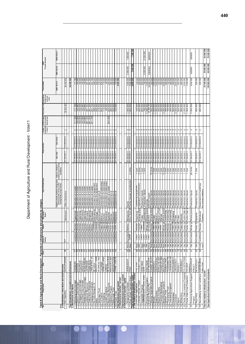| י הוח הוה                                  |
|--------------------------------------------|
|                                            |
|                                            |
|                                            |
| ı                                          |
|                                            |
| ;<br>;<br>;                                |
|                                            |
|                                            |
| ı                                          |
| _<br>3<br>3                                |
| Š                                          |
|                                            |
|                                            |
|                                            |
| <b>、、、、、、、、、、、、、、、、、、、、、、、、、、、、、、、、、、、</b> |
|                                            |
|                                            |
|                                            |
|                                            |
|                                            |
|                                            |
|                                            |
|                                            |
|                                            |
|                                            |
|                                            |
|                                            |
|                                            |
|                                            |
|                                            |
|                                            |
| ı                                          |
|                                            |

| ş                    | Table B.5 Agriculture and Rural Development - Payments of infrastructure and projects by category<br>Project name |                                                | Count                           |                                                                                                                                                                                                                                    | <b>District</b>                                                                                                                                                  |                                                                                                | Type of infrastructu                                                                                                 |                                                                    |                                                                                                                                                                               |                          |                              |                                                  |                                                     |                                             |                                                                                           |                     |                     |
|----------------------|-------------------------------------------------------------------------------------------------------------------|------------------------------------------------|---------------------------------|------------------------------------------------------------------------------------------------------------------------------------------------------------------------------------------------------------------------------------|------------------------------------------------------------------------------------------------------------------------------------------------------------------|------------------------------------------------------------------------------------------------|----------------------------------------------------------------------------------------------------------------------|--------------------------------------------------------------------|-------------------------------------------------------------------------------------------------------------------------------------------------------------------------------|--------------------------|------------------------------|--------------------------------------------------|-----------------------------------------------------|---------------------------------------------|-------------------------------------------------------------------------------------------|---------------------|---------------------|
|                      |                                                                                                                   |                                                |                                 | Source of<br>funding                                                                                                                                                                                                               |                                                                                                                                                                  | unicipality ,<br>Region                                                                        |                                                                                                                      |                                                                    |                                                                                                                                                                               |                          | Budget<br>programm<br>e name | EPWP budget<br>for the current<br>financial year |                                                     | snoµabd<br>woupuedx⊒<br>sumupuedx⊒<br>years |                                                                                           | Forward est imates  |                     |
|                      | a <sub>thol</sub><br>3. Rehabilitation, renovations and refurbishments                                            |                                                |                                 |                                                                                                                                                                                                                                    |                                                                                                                                                                  |                                                                                                | irrigation scheme; borehole; storage and<br>marketing facility; fencing; animal<br>housing facility; access road etc | Units (i.e. number of<br>facilities/ square meters/<br>kilometers) | Date: Star                                                                                                                                                                    | Date: Finish             |                              |                                                  |                                                     |                                             | <b>MTEF '2011/12</b>                                                                      | <b>MTEF 2012/13</b> | <b>MTEF 2013/14</b> |
|                      | iperbdn ueig                                                                                                      | <b>GLEN UPGRADIN</b>                           | ఇ                               | Ľ                                                                                                                                                                                                                                  |                                                                                                                                                                  | Masilonyana                                                                                    | Office infrastructure                                                                                                |                                                                    | 01/04/2011                                                                                                                                                                    | 31/03/2012               | $\sim$                       |                                                  | ğ<br>30000                                          |                                             | 28 429 000                                                                                |                     |                     |
|                      | Total Rehabilitation, renovations and refurbishments<br>4. Maintenance and repairs                                |                                                |                                 |                                                                                                                                                                                                                                    |                                                                                                                                                                  |                                                                                                |                                                                                                                      |                                                                    |                                                                                                                                                                               |                          |                              |                                                  |                                                     |                                             | 28 429 000                                                                                |                     |                     |
|                      |                                                                                                                   |                                                |                                 |                                                                                                                                                                                                                                    |                                                                                                                                                                  |                                                                                                |                                                                                                                      |                                                                    | 01/04/2011                                                                                                                                                                    | 31/03/2012               |                              |                                                  |                                                     |                                             |                                                                                           |                     |                     |
|                      | Edenburg Commonage<br>Zastron Commonage                                                                           | EDENBURG<br>ZASTRON                            |                                 |                                                                                                                                                                                                                                    | ariep<br>ariep<br>$\ddot{\tilde{\mathbf{x}}}$<br>₹<br>LandCare<br>LandCare                                                                                       | Kopanong,<br>Mohokare/                                                                         | Eradication of invader<br>Eradication of invader                                                                     |                                                                    | 01/04/2011                                                                                                                                                                    | 31/03/2012               | 2                            | 171760<br>160880                                 | 171760<br>88<br>$\frac{60}{1}$                      |                                             | 760<br>88<br>160<br>$\overline{171}$                                                      |                     |                     |
| 0                    | Philippolis Commonage                                                                                             | <b>PHILIPPOLIS</b>                             |                                 | LandCare                                                                                                                                                                                                                           | ariep<br>Š                                                                                                                                                       | Kopanong/                                                                                      | Eradication of invader                                                                                               |                                                                    | 01/04/2011                                                                                                                                                                    | 31/03/2012               |                              | 150 000                                          | 150000                                              |                                             |                                                                                           |                     |                     |
| 4                    | Smithfield Commonage                                                                                              | SMITHFIELD<br>REDDE RSBURG                     |                                 |                                                                                                                                                                                                                                    | ariep<br>LandCare<br>LandCare                                                                                                                                    | Mokhokare/                                                                                     | Eradication of invader                                                                                               |                                                                    | 01/04/2011                                                                                                                                                                    | 31/03/2012               |                              | 160 880                                          | 160880                                              |                                             | 150 000<br>160 880<br>160 880                                                             |                     |                     |
| S<br>$\circ$         | Reddersburg Commonage                                                                                             | <b>LADYBRAND</b>                               |                                 |                                                                                                                                                                                                                                    | ariep<br>Į                                                                                                                                                       | Kopanong/                                                                                      | Eradication of invader                                                                                               |                                                                    | 01/04/2011<br>01/04/2011                                                                                                                                                      | 31/03/2012<br>31/03/2012 |                              |                                                  |                                                     |                                             |                                                                                           |                     |                     |
|                      | Thaba Nchu Woolcare<br>Ladybrand Resource                                                                         |                                                | 임영영정 이 이 영영 이 영영 외정 이 영영        |                                                                                                                                                                                                                                    | Motheo<br>LandCare                                                                                                                                               | Mantsopa/                                                                                      | Eradication of invader                                                                                               |                                                                    |                                                                                                                                                                               | 31/03/2012               |                              | 281 333<br>281 333<br>241 734                    | 281333                                              |                                             | 333<br>281                                                                                |                     |                     |
| œ                    |                                                                                                                   | THABA NCHU<br>TWEESPRUIT LAI                   |                                 |                                                                                                                                                                                                                                    |                                                                                                                                                                  |                                                                                                |                                                                                                                      |                                                                    | LL02/20/L0<br>LL02/20/L0                                                                                                                                                      | 31/03/2012               |                              |                                                  |                                                     |                                             |                                                                                           |                     |                     |
| စ                    | Tweespruit LandCare<br>Re Llela Makgulo 16<br>I Mollo                                                             |                                                |                                 |                                                                                                                                                                                                                                    | LandCare<br>LandCare<br>LandCare                                                                                                                                 | Motheo Mangaung/  <br>  Motheo Mantsopa/  <br>  Lejwelep Matihabeng/  <br>  Lejwelep Tokologo/ | Eradication of invader<br>Eradication of invader<br>Purchase fire equipment                                          |                                                                    | 01/04/2011<br>01/04/2011                                                                                                                                                      | 31/03/2012               |                              |                                                  |                                                     |                                             |                                                                                           |                     |                     |
| $\frac{1}{2}$        | Setshego Trust                                                                                                    | RE LLELA<br>MOLLO(11-12/665<br>SE TSHE GO TRUS |                                 |                                                                                                                                                                                                                                    | LandCare Lej                                                                                                                                                     |                                                                                                | Establishment of                                                                                                     |                                                                    | 01/04/2011                                                                                                                                                                    | 31/03/2012<br>31/03/2012 |                              |                                                  | 281 333<br>241 734<br>286 000<br>200 400<br>318 400 |                                             | 3334<br>8 3 3 3 4 5 4 6 7 8 9 9 9 9 9 9 1<br>8 4 8 9 9 9 9 9 10 11<br>8 4 8 9 9 9 9 10 11 |                     |                     |
| $^{12}$              | $114$ Farms                                                                                                       |                                                |                                 |                                                                                                                                                                                                                                    | LandCare Th                                                                                                                                                      | welep Masilonyana  <br>abo M Maluti a                                                          | Construction of waterways                                                                                            |                                                                    | 01/04/2011                                                                                                                                                                    | 31/03/2012               |                              |                                                  | 634 400                                             |                                             | 634 400                                                                                   |                     |                     |
|                      | 13 Verblijding                                                                                                    | 114 FARMS<br>VERBLUD LANDO                     |                                 |                                                                                                                                                                                                                                    | LandCare   Thabo M/Seisoro/<br>  LandCare   Fezile DaMarube/<br>  LandCare   Fezile DaMarube/<br>  LandCare   Fezile DaMarube/<br>  LandCare   Fezile DaModhaka/ |                                                                                                | Construction of waterways                                                                                            |                                                                    | 01/04/2011                                                                                                                                                                    | 31/03/2012               |                              |                                                  | 11000C                                              |                                             | 110000                                                                                    |                     |                     |
| $\frac{4}{4}$        | Lorelei Landcare                                                                                                  | LORELEI<br>REYA-HOLA RES                       |                                 |                                                                                                                                                                                                                                    |                                                                                                                                                                  |                                                                                                | Construction of waterways                                                                                            |                                                                    | 01/04/2011<br>01/04/2011                                                                                                                                                      | 31/03/2012               |                              | 204 400                                          | 60000                                               |                                             | 60000                                                                                     |                     |                     |
| 15<br>16             | Reya-Hola Resource<br>Madihlofa Projec                                                                            | MADIHLOFA (08)                                 |                                 |                                                                                                                                                                                                                                    |                                                                                                                                                                  |                                                                                                | Eradication of invader<br>Establishment of                                                                           |                                                                    | 01/04/2011                                                                                                                                                                    | 31/03/2012               |                              |                                                  | 204 400<br>280 000<br>200 000<br>120 000            |                                             | 204 400                                                                                   |                     |                     |
| $\overline{1}$       | Mokunotlo Trust<br>Fixane Trust                                                                                   | FIXANE TRUST (0<br>FIXANE TRUST (0             | $\frac{8}{25}$                  |                                                                                                                                                                                                                                    |                                                                                                                                                                  |                                                                                                |                                                                                                                      |                                                                    | 01/04/2011                                                                                                                                                                    | 31/03/2012               |                              |                                                  |                                                     |                                             | 200 000                                                                                   |                     |                     |
| 18                   |                                                                                                                   |                                                |                                 |                                                                                                                                                                                                                                    |                                                                                                                                                                  |                                                                                                | jo jueuusijqeps∃<br>Establishment of                                                                                 |                                                                    | 01/04/2011                                                                                                                                                                    | 31/03/2012               |                              |                                                  |                                                     |                                             |                                                                                           |                     |                     |
|                      | Total Maintenance and repairs<br>5. Infrastructure transfers - current                                            |                                                |                                 |                                                                                                                                                                                                                                    |                                                                                                                                                                  |                                                                                                |                                                                                                                      |                                                                    |                                                                                                                                                                               |                          |                              |                                                  |                                                     |                                             | 8                                                                                         |                     |                     |
|                      |                                                                                                                   |                                                |                                 |                                                                                                                                                                                                                                    |                                                                                                                                                                  |                                                                                                |                                                                                                                      |                                                                    |                                                                                                                                                                               |                          |                              |                                                  |                                                     |                                             |                                                                                           |                     |                     |
|                      | Total Infrastructure transfers - current<br>6. Infrastructure transfers - capital                                 |                                                |                                 |                                                                                                                                                                                                                                    |                                                                                                                                                                  |                                                                                                |                                                                                                                      |                                                                    |                                                                                                                                                                               |                          |                              |                                                  |                                                     |                                             |                                                                                           |                     |                     |
|                      | Prov. Small Farmers Grain<br>Vergezocht sunflower                                                                 | VE RGE ZOCHT<br>PROV                           |                                 | 30 New ma/Letserr Motheo                                                                                                                                                                                                           |                                                                                                                                                                  | Mangaung                                                                                       | DC's 19 & 20 Poultry houses & production<br>Equity                                                                   | 4 Units                                                            | 01/04/2011                                                                                                                                                                    | 31/03/2012<br>31/03/2012 | ოო                           |                                                  | 1000000<br>900 00C                                  |                                             | 1000000                                                                                   | 2000000             | 1000000             |
|                      |                                                                                                                   |                                                |                                 |                                                                                                                                                                                                                                    |                                                                                                                                                                  |                                                                                                |                                                                                                                      |                                                                    |                                                                                                                                                                               |                          |                              |                                                  |                                                     |                                             | $\frac{7800000}{8800000}$                                                                 | 2000000             | 1 000 000           |
|                      | Total Infrastructure transfers -capital<br>7. Not related to infrastructure -current                              |                                                |                                 |                                                                                                                                                                                                                                    |                                                                                                                                                                  |                                                                                                |                                                                                                                      |                                                                    |                                                                                                                                                                               |                          |                              |                                                  |                                                     |                                             |                                                                                           |                     |                     |
|                      | Xhariep Female Project<br>Five Star vegetables                                                                    | <b>XHAREPFMALE</b><br>FIVE STAR                | $\overline{8}$<br>ि             | <b>CASP</b><br><b>UASP</b><br>New<br>wew                                                                                                                                                                                           | Xhariep<br>Xhariep                                                                                                                                               | <b>Xhanep</b> distri<br>Kopanong                                                               | Vegetable Intrastructure,<br>Gardening equipment                                                                     | 3 Units<br>$\frac{1}{2}$                                           | 1104/2011<br>01/04/2011                                                                                                                                                       | 31/03/2012<br>31/03/2012 | ω<br>က                       |                                                  | 000 001<br><b>200 005</b>                           |                                             | 100 000<br>ĕ<br>500                                                                       |                     |                     |
|                      |                                                                                                                   |                                                |                                 |                                                                                                                                                                                                                                    | Thabo                                                                                                                                                            | habo                                                                                           | Production inputs                                                                                                    |                                                                    | 01/04/2011                                                                                                                                                                    | 31/03/2012               |                              |                                                  |                                                     |                                             |                                                                                           |                     |                     |
|                      | Vegetable Projects<br>Cejweleputswa Poultry (Hub)                                                                 | <b>LEJW</b><br>EUW                             |                                 |                                                                                                                                                                                                                                    | ΡŪ                                                                                                                                                               | Leiweleputsw<br>welep                                                                          | Production inputs                                                                                                    | 閩                                                                  | 01/04/2011                                                                                                                                                                    | 31/03/2012               |                              |                                                  |                                                     |                                             |                                                                                           | 000 000             | 12000000            |
| ഥ∣                   |                                                                                                                   |                                                |                                 |                                                                                                                                                                                                                                    |                                                                                                                                                                  | Whole provin<br>All DC's                                                                       |                                                                                                                      |                                                                    | 01/04/2011                                                                                                                                                                    | 31/03/2012               |                              |                                                  |                                                     |                                             |                                                                                           |                     |                     |
| $\frac{1}{2}$        | Provincial Training project<br>Extension Recovery Plan<br>Xhariep Vegetable projects                              | <b>PROV TRAIN<br/>EXT RECOVERY</b>             |                                 | The Mexican Creation of the Marian Creation of the Marian Creation of the Maria Creation of the Maria Creation<br>2010 Creation of the Maria Creation of the Maria Creation of the Maria Creation of the Maria Creation of the<br> | CASP Whole pr <mark>V</mark><br>CASP All municipi A<br>I ma/Letsen Xhariep X                                                                                     | <b>Xhariep</b> distri                                                                          | Training<br>Extension support<br>TProduction inputs                                                                  | 10 Units                                                           | $\begin{array}{ c c c } \hline 0\,1/0\,4/20\,11\\ \hline 0\,1/0\,4/20\,11\\ \hline 0\,1/0\,4/20\,11\\ \hline 0\,1/0\,4/20\,11\\ \hline 0\,1/0\,4/20\,11\\ \hline \end{array}$ | 31/03/2012<br>31/03/2012 |                              |                                                  | 500 000                                             |                                             |                                                                                           | 25000000            | 2600000             |
| 8                    | Shoats                                                                                                            | SHOATS(11-                                     |                                 |                                                                                                                                                                                                                                    |                                                                                                                                                                  | Thabo<br>ariep<br>abo Mi<br>abo Min                                                            | Production inputs                                                                                                    | i<br>D                                                             |                                                                                                                                                                               | 31/03/2012               |                              |                                                  | 000 000                                             |                                             |                                                                                           |                     |                     |
| თ                    | <b>Zoepsfontein</b>                                                                                               | ZOE PFONTEIN(1                                 |                                 |                                                                                                                                                                                                                                    |                                                                                                                                                                  | Maluti a                                                                                       | Production inputs                                                                                                    | mm<br>D                                                            |                                                                                                                                                                               | 31/03/2012<br>31/03/2012 |                              |                                                  | 500 00C                                             |                                             |                                                                                           |                     |                     |
| $\frac{1}{2}$        | Frankfort Beekeeping<br>Bopelo Ke Matla                                                                           | <b>ERANKFORT BE</b><br>FRANKFORT BE            |                                 |                                                                                                                                                                                                                                    | $rac{1}{2}$<br>ma/Letsem <sup>Fe2</sup>                                                                                                                          | abo M Maluti a Phuf<br>Matube                                                                  | Production inputs<br>Production inputs                                                                               | j<br>1<br>1<br>T<br>T<br>T                                         | 01/04/2011                                                                                                                                                                    | 31/03/2012               | ω                            |                                                  | 000 00<br>300 000                                   |                                             |                                                                                           |                     |                     |
| $\frac{1}{2}$        | Beautification projects<br>Salmon Trust                                                                           | BE AUTIFICATIO<br>SALMON TRUST                 |                                 | New                                                                                                                                                                                                                                | ma/Letserr WH<br>ma/Letserr Xh                                                                                                                                   | nole pri Whole provin                                                                          | Production inputs<br>Production inputs                                                                               | 5 Units<br>1 Unit                                                  | 01/04/2011                                                                                                                                                                    | 31/03/2012               |                              |                                                  | $\frac{0000000}{3000000}$<br>m                      |                                             |                                                                                           |                     |                     |
| $\frac{3}{2}$        |                                                                                                                   |                                                |                                 |                                                                                                                                                                                                                                    | ariep                                                                                                                                                            | Letsemeng                                                                                      |                                                                                                                      |                                                                    | 104/2011                                                                                                                                                                      | 31/03/2012<br>31/03/2012 | ო                            |                                                  |                                                     |                                             |                                                                                           |                     |                     |
| 15<br>$\frac{4}{1}$  | Thusanong Irrigation<br>Thusanang Trust                                                                           | <b>THUSANONG IRF</b><br>THUSANANG TR           |                                 | Old<br>olo                                                                                                                                                                                                                         | dəue<br>ariep<br>ma/Letsem <sup>Xh</sup><br>ma/Letserr <sub>Xhi</sub>                                                                                            | Letsemeng<br>Letsemeng                                                                         | Production inputs<br>Production inputs                                                                               | 1 Unit<br>T<br>Unit                                                | 01/04/2011<br>01/04/2011                                                                                                                                                      | 31/03/2012               | m                            |                                                  | 150 000<br>300 000                                  |                                             |                                                                                           |                     |                     |
| 16                   | <b>Diyatalawa</b>                                                                                                 |                                                | <mark>ិន្តិ និង វីន្ត្រី</mark> | <b>Dig</b>                                                                                                                                                                                                                         | ma/Letserr Thabo M                                                                                                                                               | Dihlabeng                                                                                      | Production inputs                                                                                                    |                                                                    | 01/04/2011                                                                                                                                                                    | 31/03/2012               |                              |                                                  | $\frac{1000}{200}$<br>500                           |                                             |                                                                                           |                     |                     |
| $\overline{1}$       | Livestock                                                                                                         | LIVESTOCK(11-                                  |                                 | a<br> a                                                                                                                                                                                                                            | ma/Letser Thabo M Thabo                                                                                                                                          |                                                                                                | Production inputs                                                                                                    | ĪĪ                                                                 | 01/04/2011                                                                                                                                                                    | 31/03/2012               | ω                            |                                                  | 000 000<br>ო                                        |                                             | 3 000 000                                                                                 |                     |                     |
| $\frac{18}{1}$       | iung<br>Ng                                                                                                        | NGUNI(11-                                      | $\frac{9}{2}$                   | $\frac{1}{5}$                                                                                                                                                                                                                      | ma/Letserr Thabo M                                                                                                                                               | Thabo                                                                                          | Production inputs                                                                                                    | j<br>1<br>1                                                        | 01/04/2011                                                                                                                                                                    | 31/03/2012               | S                            |                                                  | 500 000                                             |                                             | 500 000                                                                                   |                     |                     |
| $\frac{9}{5}$        | Wilhemina                                                                                                         | WLHEMINA (11                                   | $\frac{1}{2}$                   | <b>DIO</b>                                                                                                                                                                                                                         | Thabo M<br>ma/Letserr                                                                                                                                            | Setsoto                                                                                        | Production inputs                                                                                                    | Š                                                                  | 1/04/2011                                                                                                                                                                     | 31/03/2012               | co                           |                                                  | 994 000                                             |                                             | 994 000                                                                                   |                     |                     |
| $\overline{20}$      | Fezile Dabi Livestock Productic F/D LVSTK PROD                                                                    |                                                | $\frac{1}{20}$                  | Old<br>O                                                                                                                                                                                                                           |                                                                                                                                                                  |                                                                                                | ma/Letserr Fezile Da Fazile Dabi d Production inputs                                                                 | i<br>1<br>1                                                        | 01/04/2011                                                                                                                                                                    | 31/03/2012               | c                            |                                                  | 2000000                                             |                                             | 2 000 000                                                                                 |                     |                     |
| 21                   | Fezile Dabi Crop Production                                                                                       | F/D CROP                                       |                                 | Old ma/Letserr Fez                                                                                                                                                                                                                 | ≗                                                                                                                                                                | DaFazile Dabi d                                                                                | Production inputs                                                                                                    | 1 Unit                                                             | 01/04/2011                                                                                                                                                                    | 31/03/2012               | S                            |                                                  | 1500 000                                            |                                             | 1500 00                                                                                   |                     |                     |
| $^{22}$              | Provincial Agricultural Support<br>Project                                                                        | PRODAT-<br>  AGRI SUPPORT<br>  PROJ(11-        | $\overline{\mathfrak{S}}$       | ma/Letserr<br>Old<br>O                                                                                                                                                                                                             | ξ                                                                                                                                                                | ole pr <sup>i</sup> Whole provin                                                               | Production inputs                                                                                                    | 25 Units                                                           | 01/04/2011                                                                                                                                                                    | 31/03/2012               | c                            |                                                  | 500 000<br>ო                                        |                                             | 500 000                                                                                   | 4500000             | 5500000             |
| $\frac{3}{2}$        | Reya Hola                                                                                                         | REYA HOLA (11-                                 | $\overline{3}$                  |                                                                                                                                                                                                                                    | Old   ma/Letsen Fezile                                                                                                                                           | DaNgwathe                                                                                      | Production inputs                                                                                                    | š                                                                  | 01/04/2011                                                                                                                                                                    | 31/03/2012               | S                            |                                                  | 500 000                                             |                                             | 500 000                                                                                   |                     |                     |
| $\frac{4}{\sqrt{2}}$ |                                                                                                                   |                                                | $\overline{3}$                  | Contin                                                                                                                                                                                                                             | LandCare Xhariep                                                                                                                                                 | Mohokare/<br>Zastron                                                                           | Awareness on LandCare<br>for school children                                                                         |                                                                    | 01/04/2011                                                                                                                                                                    | 31/03/2012               | 2                            |                                                  | 600000                                              |                                             | 600 000                                                                                   |                     |                     |
|                      | Total Not related to infrastructure - current                                                                     |                                                |                                 | linis                                                                                                                                                                                                                              |                                                                                                                                                                  |                                                                                                |                                                                                                                      |                                                                    |                                                                                                                                                                               |                          |                              |                                                  |                                                     |                                             | 54 165 000                                                                                | 35500000            | 43 500 000          |
|                      | Total Agriculture Infrastructure and projects                                                                     |                                                |                                 |                                                                                                                                                                                                                                    |                                                                                                                                                                  |                                                                                                |                                                                                                                      |                                                                    |                                                                                                                                                                               |                          |                              |                                                  |                                                     |                                             | 192 983 000                                                                               | 69500000            | 76 000 000          |
|                      |                                                                                                                   |                                                |                                 |                                                                                                                                                                                                                                    |                                                                                                                                                                  |                                                                                                |                                                                                                                      |                                                                    |                                                                                                                                                                               |                          |                              |                                                  |                                                     |                                             |                                                                                           |                     |                     |